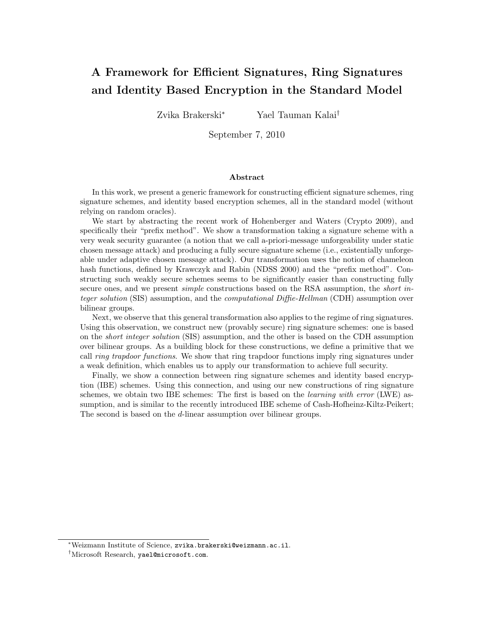# **A Framework for Efficient Signatures, Ring Signatures and Identity Based Encryption in the Standard Model**

Zvika Brakerski*<sup>∗</sup>* Yael Tauman Kalai*†*

September 7, 2010

#### **Abstract**

In this work, we present a generic framework for constructing efficient signature schemes, ring signature schemes, and identity based encryption schemes, all in the standard model (without relying on random oracles).

We start by abstracting the recent work of Hohenberger and Waters (Crypto 2009), and specifically their "prefix method". We show a transformation taking a signature scheme with a very weak security guarantee (a notion that we call a-priori-message unforgeability under static chosen message attack) and producing a fully secure signature scheme (i.e., existentially unforgeable under adaptive chosen message attack). Our transformation uses the notion of chameleon hash functions, defined by Krawczyk and Rabin (NDSS 2000) and the "prefix method". Constructing such weakly secure schemes seems to be significantly easier than constructing fully secure ones, and we present *simple* constructions based on the RSA assumption, the *short integer solution* (SIS) assumption, and the *computational Diffie-Hellman* (CDH) assumption over bilinear groups.

Next, we observe that this general transformation also applies to the regime of ring signatures. Using this observation, we construct new (provably secure) ring signature schemes: one is based on the *short integer solution* (SIS) assumption, and the other is based on the CDH assumption over bilinear groups. As a building block for these constructions, we define a primitive that we call *ring trapdoor functions*. We show that ring trapdoor functions imply ring signatures under a weak definition, which enables us to apply our transformation to achieve full security.

Finally, we show a connection between ring signature schemes and identity based encryption (IBE) schemes. Using this connection, and using our new constructions of ring signature schemes, we obtain two IBE schemes: The first is based on the *learning with error* (LWE) assumption, and is similar to the recently introduced IBE scheme of Cash-Hofheinz-Kiltz-Peikert; The second is based on the *d*-linear assumption over bilinear groups.

*<sup>∗</sup>*Weizmann Institute of Science, zvika.brakerski@weizmann.ac.il.

*<sup>†</sup>*Microsoft Research, yael@microsoft.com.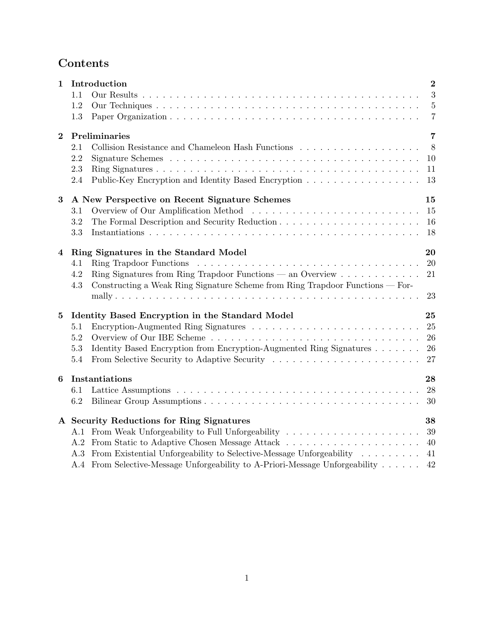# **Contents**

| $\mathbf 1$ | Introduction                                                                         | $\overline{2}$ |
|-------------|--------------------------------------------------------------------------------------|----------------|
|             | 1.1                                                                                  | 3              |
|             | 1.2                                                                                  | $\overline{5}$ |
|             | 1.3                                                                                  | $\overline{7}$ |
| $\bf{2}$    | Preliminaries                                                                        | 7              |
|             | 2.1                                                                                  | 8              |
|             | 2.2                                                                                  | 10             |
|             | 2.3                                                                                  | 11             |
|             | Public-Key Encryption and Identity Based Encryption<br>2.4                           | 13             |
| $\bf{3}$    | A New Perspective on Recent Signature Schemes                                        | 15             |
|             | 3.1                                                                                  | 15             |
|             | 3.2                                                                                  | 16             |
|             | 3.3                                                                                  | 18             |
| 4           | Ring Signatures in the Standard Model                                                | 20             |
|             | 4.1                                                                                  | 20             |
|             | Ring Signatures from Ring Trapdoor Functions — an Overview<br>4.2                    | 21             |
|             | Constructing a Weak Ring Signature Scheme from Ring Trapdoor Functions — For-<br>4.3 |                |
|             |                                                                                      | 23             |
| $\bf{5}$    | Identity Based Encryption in the Standard Model                                      | 25             |
|             | 5.1                                                                                  | 25             |
|             | 5.2                                                                                  | 26             |
|             | Identity Based Encryption from Encryption-Augmented Ring Signatures<br>5.3           | 26             |
|             | 5.4                                                                                  | 27             |
| 6           | Instantiations                                                                       | 28             |
|             | 6.1                                                                                  | 28             |
|             | 6.2                                                                                  | 30             |
|             | A Security Reductions for Ring Signatures                                            | 38             |
|             | A.1 From Weak Unforgeability to Full Unforgeability                                  | 39             |
|             |                                                                                      | 40             |
|             | A.3 From Existential Unforgeability to Selective-Message Unforgeability              | 41             |
|             | A.4 From Selective-Message Unforgeability to A-Priori-Message Unforgeability         | 42             |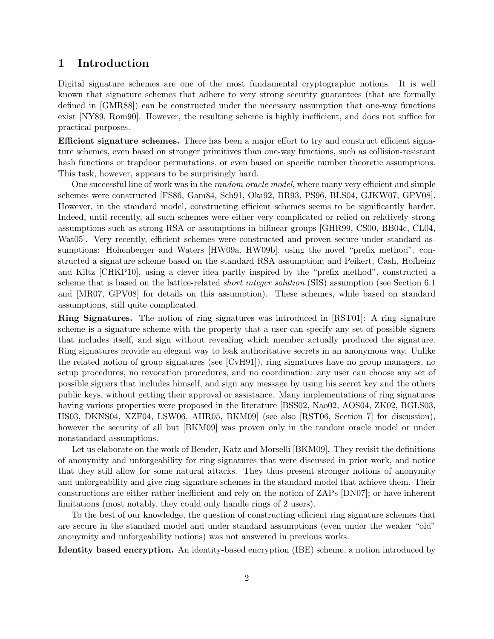# **1 Introduction**

Digital signature schemes are one of the most fundamental cryptographic notions. It is well known that signature schemes that adhere to very strong security guarantees (that are formally defined in [GMR88]) can be constructed under the necessary assumption that one-way functions exist [NY89, Rom90]. However, the resulting scheme is highly inefficient, and does not suffice for practical purposes.

**Efficient signature schemes.** There has been a major effort to try and construct efficient signature schemes, even based on stronger primitives than one-way functions, such as collision-resistant hash functions or trapdoor permutations, or even based on specific number theoretic assumptions. This task, however, appears to be surprisingly hard.

One successful line of work was in the *random oracle model*, where many very efficient and simple schemes were constructed [FS86, Gam84, Sch91, Oka92, BR93, PS96, BLS04, GJKW07, GPV08]. However, in the standard model, constructing efficient schemes seems to be significantly harder. Indeed, until recently, all such schemes were either very complicated or relied on relatively strong assumptions such as strong-RSA or assumptions in bilinear groups [GHR99, CS00, BB04c, CL04, Wat05]. Very recently, efficient schemes were constructed and proven secure under standard assumptions: Hohenberger and Waters [HW09a, HW09b], using the novel "prefix method", constructed a signature scheme based on the standard RSA assumption; and Peikert, Cash, Hofheinz and Kiltz [CHKP10], using a clever idea partly inspired by the "prefix method", constructed a scheme that is based on the lattice-related *short integer solution* (SIS) assumption (see Section 6.1 and [MR07, GPV08] for details on this assumption). These schemes, while based on standard assumptions, still quite complicated.

**Ring Signatures.** The notion of ring signatures was introduced in [RST01]: A ring signature scheme is a signature scheme with the property that a user can specify any set of possible signers that includes itself, and sign without revealing which member actually produced the signature. Ring signatures provide an elegant way to leak authoritative secrets in an anonymous way. Unlike the related notion of group signatures (see [CvH91]), ring signatures have no group managers, no setup procedures, no revocation procedures, and no coordination: any user can choose any set of possible signers that includes himself, and sign any message by using his secret key and the others public keys, without getting their approval or assistance. Many implementations of ring signatures having various properties were proposed in the literature [BSS02, Nao02, AOS04, ZK02, BGLS03, HS03, DKNS04, XZF04, LSW06, AHR05, BKM09] (see also [RST06, Section 7] for discussion), however the security of all but [BKM09] was proven only in the random oracle model or under nonstandard assumptions.

Let us elaborate on the work of Bender, Katz and Morselli [BKM09]. They revisit the definitions of anonymity and unforgeability for ring signatures that were discussed in prior work, and notice that they still allow for some natural attacks. They thus present stronger notions of anonymity and unforgeability and give ring signature schemes in the standard model that achieve them. Their constructions are either rather inefficient and rely on the notion of ZAPs [DN07]; or have inherent limitations (most notably, they could only handle rings of 2 users).

To the best of our knowledge, the question of constructing efficient ring signature schemes that are secure in the standard model and under standard assumptions (even under the weaker "old" anonymity and unforgeability notions) was not answered in previous works.

**Identity based encryption.** An identity-based encryption (IBE) scheme, a notion introduced by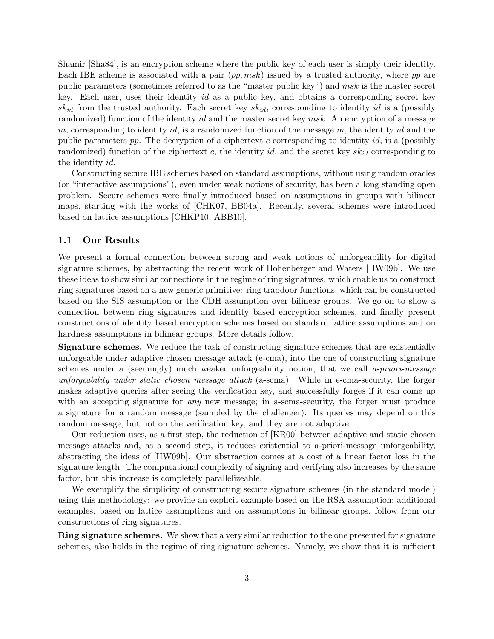Shamir [Sha84], is an encryption scheme where the public key of each user is simply their identity. Each IBE scheme is associated with a pair (*pp, msk*) issued by a trusted authority, where *pp* are public parameters (sometimes referred to as the "master public key") and *msk* is the master secret key. Each user, uses their identity *id* as a public key, and obtains a corresponding secret key *skid* from the trusted authority. Each secret key *skid*, corresponding to identity *id* is a (possibly randomized) function of the identity *id* and the master secret key *msk*. An encryption of a message *m*, corresponding to identity *id*, is a randomized function of the message *m*, the identity *id* and the public parameters *pp*. The decryption of a ciphertext *c* corresponding to identity *id*, is a (possibly randomized) function of the ciphertext *c*, the identity *id*, and the secret key *skid* corresponding to the identity *id*.

Constructing secure IBE schemes based on standard assumptions, without using random oracles (or "interactive assumptions"), even under weak notions of security, has been a long standing open problem. Secure schemes were finally introduced based on assumptions in groups with bilinear maps, starting with the works of [CHK07, BB04a]. Recently, several schemes were introduced based on lattice assumptions [CHKP10, ABB10].

## **1.1 Our Results**

We present a formal connection between strong and weak notions of unforgeability for digital signature schemes, by abstracting the recent work of Hohenberger and Waters [HW09b]. We use these ideas to show similar connections in the regime of ring signatures, which enable us to construct ring signatures based on a new generic primitive: ring trapdoor functions, which can be constructed based on the SIS assumption or the CDH assumption over bilinear groups. We go on to show a connection between ring signatures and identity based encryption schemes, and finally present constructions of identity based encryption schemes based on standard lattice assumptions and on hardness assumptions in bilinear groups. More details follow.

**Signature schemes.** We reduce the task of constructing signature schemes that are existentially unforgeable under adaptive chosen message attack (e-cma), into the one of constructing signature schemes under a (seemingly) much weaker unforgeability notion, that we call *a-priori-message unforgeability under static chosen message attack* (a-scma). While in e-cma-security, the forger makes adaptive queries after seeing the verification key, and successfully forges if it can come up with an accepting signature for *any* new message; in a-sema-security, the forger must produce a signature for a random message (sampled by the challenger). Its queries may depend on this random message, but not on the verification key, and they are not adaptive.

Our reduction uses, as a first step, the reduction of [KR00] between adaptive and static chosen message attacks and, as a second step, it reduces existential to a-priori-message unforgeability, abstracting the ideas of [HW09b]. Our abstraction comes at a cost of a linear factor loss in the signature length. The computational complexity of signing and verifying also increases by the same factor, but this increase is completely parallelizeable.

We exemplify the simplicity of constructing secure signature schemes (in the standard model) using this methodology: we provide an explicit example based on the RSA assumption; additional examples, based on lattice assumptions and on assumptions in bilinear groups, follow from our constructions of ring signatures.

**Ring signature schemes.** We show that a very similar reduction to the one presented for signature schemes, also holds in the regime of ring signature schemes. Namely, we show that it is sufficient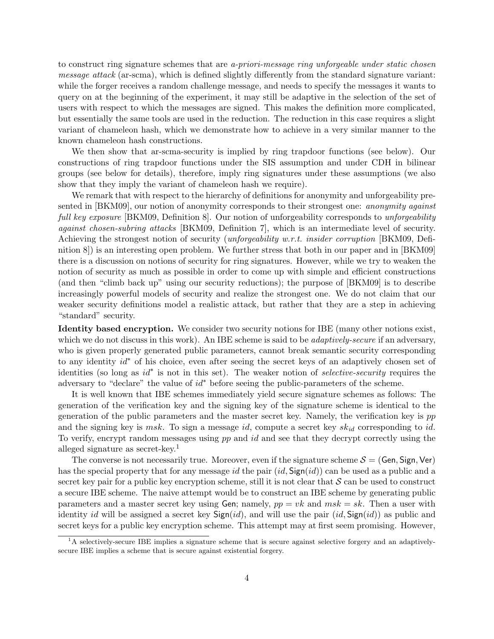to construct ring signature schemes that are *a-priori-message ring unforgeable under static chosen message attack* (ar-scma), which is defined slightly differently from the standard signature variant: while the forger receives a random challenge message, and needs to specify the messages it wants to query on at the beginning of the experiment, it may still be adaptive in the selection of the set of users with respect to which the messages are signed. This makes the definition more complicated, but essentially the same tools are used in the reduction. The reduction in this case requires a slight variant of chameleon hash, which we demonstrate how to achieve in a very similar manner to the known chameleon hash constructions.

We then show that ar-scma-security is implied by ring trapdoor functions (see below). Our constructions of ring trapdoor functions under the SIS assumption and under CDH in bilinear groups (see below for details), therefore, imply ring signatures under these assumptions (we also show that they imply the variant of chameleon hash we require).

We remark that with respect to the hierarchy of definitions for anonymity and unforgeability presented in [BKM09], our notion of anonymity corresponds to their strongest one: *anonymity against full key exposure* [BKM09, Definition 8]. Our notion of unforgeability corresponds to *unforgeability against chosen-subring attacks* [BKM09, Definition 7], which is an intermediate level of security. Achieving the strongest notion of security (*unforgeability w.r.t. insider corruption* [BKM09, Definition 8]) is an interesting open problem. We further stress that both in our paper and in [BKM09] there is a discussion on notions of security for ring signatures. However, while we try to weaken the notion of security as much as possible in order to come up with simple and efficient constructions (and then "climb back up" using our security reductions); the purpose of [BKM09] is to describe increasingly powerful models of security and realize the strongest one. We do not claim that our weaker security definitions model a realistic attack, but rather that they are a step in achieving "standard" security.

**Identity based encryption.** We consider two security notions for IBE (many other notions exist, which we do not discuss in this work). An IBE scheme is said to be *adaptively-secure* if an adversary, who is given properly generated public parameters, cannot break semantic security corresponding to any identity  $id^*$  of his choice, even after seeing the secret keys of an adaptively chosen set of identities (so long as *id<sup>∗</sup>* is not in this set). The weaker notion of *selective-security* requires the adversary to "declare" the value of *id<sup>∗</sup>* before seeing the public-parameters of the scheme.

It is well known that IBE schemes immediately yield secure signature schemes as follows: The generation of the verification key and the signing key of the signature scheme is identical to the generation of the public parameters and the master secret key. Namely, the verification key is *pp* and the signing key is *msk*. To sign a message *id*, compute a secret key *skid* corresponding to *id*. To verify, encrypt random messages using *pp* and *id* and see that they decrypt correctly using the alleged signature as secret-key.<sup>1</sup>

The converse is not necessarily true. Moreover, even if the signature scheme  $S = (Gen, Sign, Ver)$ has the special property that for any message *id* the pair (*id,* Sign(*id*)) can be used as a public and a secret key pair for a public key encryption scheme, still it is not clear that *S* can be used to construct a secure IBE scheme. The naive attempt would be to construct an IBE scheme by generating public parameters and a master secret key using Gen; namely,  $pp = vk$  and  $msk = sk$ . Then a user with identity *id* will be assigned a secret key Sign(*id*), and will use the pair (*id,* Sign(*id*)) as public and secret keys for a public key encryption scheme. This attempt may at first seem promising. However,

<sup>&</sup>lt;sup>1</sup>A selectively-secure IBE implies a signature scheme that is secure against selective forgery and an adaptivelysecure IBE implies a scheme that is secure against existential forgery.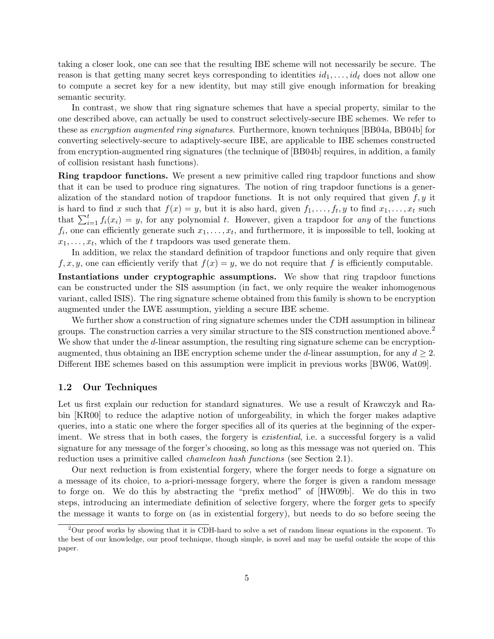taking a closer look, one can see that the resulting IBE scheme will not necessarily be secure. The reason is that getting many secret keys corresponding to identities  $id_1, \ldots, id_\ell$  does not allow one to compute a secret key for a new identity, but may still give enough information for breaking semantic security.

In contrast, we show that ring signature schemes that have a special property, similar to the one described above, can actually be used to construct selectively-secure IBE schemes. We refer to these as *encryption augmented ring signatures*. Furthermore, known techniques [BB04a, BB04b] for converting selectively-secure to adaptively-secure IBE, are applicable to IBE schemes constructed from encryption-augmented ring signatures (the technique of [BB04b] requires, in addition, a family of collision resistant hash functions).

**Ring trapdoor functions.** We present a new primitive called ring trapdoor functions and show that it can be used to produce ring signatures. The notion of ring trapdoor functions is a generalization of the standard notion of trapdoor functions. It is not only required that given *f, y* it is hard to find x such that  $f(x) = y$ , but it is also hard, given  $f_1, \ldots, f_t, y$  to find  $x_1, \ldots, x_t$  such that  $\sum_{i=1}^{t} f_i(x_i) = y$ , for any polynomial *t*. However, given a trapdoor for *any* of the functions  $f_i$ , one can efficiently generate such  $x_1, \ldots, x_t$ , and furthermore, it is impossible to tell, looking at  $x_1, \ldots, x_t$ , which of the *t* trapdoors was used generate them.

In addition, we relax the standard definition of trapdoor functions and only require that given  $f, x, y$ , one can efficiently verify that  $f(x) = y$ , we do not require that f is efficiently computable.

**Instantiations under cryptographic assumptions.** We show that ring trapdoor functions can be constructed under the SIS assumption (in fact, we only require the weaker inhomogenous variant, called ISIS). The ring signature scheme obtained from this family is shown to be encryption augmented under the LWE assumption, yielding a secure IBE scheme.

We further show a construction of ring signature schemes under the CDH assumption in bilinear groups. The construction carries a very similar structure to the SIS construction mentioned above.<sup>2</sup> We show that under the *d*-linear assumption, the resulting ring signature scheme can be encryptionaugmented, thus obtaining an IBE encryption scheme under the *d*-linear assumption, for any  $d \geq 2$ . Different IBE schemes based on this assumption were implicit in previous works [BW06, Wat09].

### **1.2 Our Techniques**

Let us first explain our reduction for standard signatures. We use a result of Krawczyk and Rabin [KR00] to reduce the adaptive notion of unforgeability, in which the forger makes adaptive queries, into a static one where the forger specifies all of its queries at the beginning of the experiment. We stress that in both cases, the forgery is *existential*, i.e. a successful forgery is a valid signature for any message of the forger's choosing, so long as this message was not queried on. This reduction uses a primitive called *chameleon hash functions* (see Section 2.1).

Our next reduction is from existential forgery, where the forger needs to forge a signature on a message of its choice, to a-priori-message forgery, where the forger is given a random message to forge on. We do this by abstracting the "prefix method" of [HW09b]. We do this in two steps, introducing an intermediate definition of selective forgery, where the forger gets to specify the message it wants to forge on (as in existential forgery), but needs to do so before seeing the

<sup>2</sup>Our proof works by showing that it is CDH-hard to solve a set of random linear equations in the exponent. To the best of our knowledge, our proof technique, though simple, is novel and may be useful outside the scope of this paper.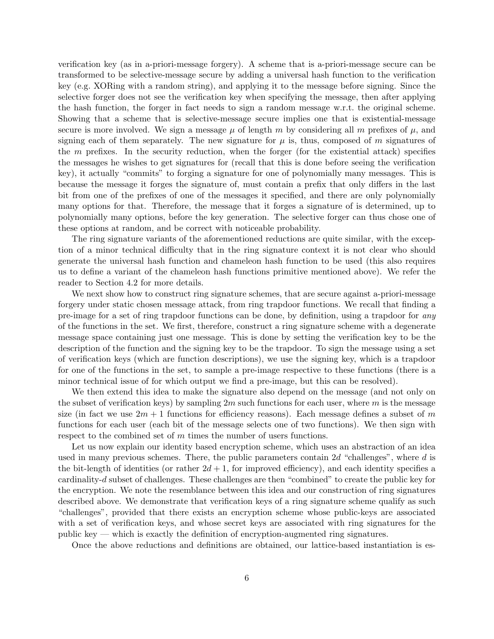verification key (as in a-priori-message forgery). A scheme that is a-priori-message secure can be transformed to be selective-message secure by adding a universal hash function to the verification key (e.g. XORing with a random string), and applying it to the message before signing. Since the selective forger does not see the verification key when specifying the message, then after applying the hash function, the forger in fact needs to sign a random message w.r.t. the original scheme. Showing that a scheme that is selective-message secure implies one that is existential-message secure is more involved. We sign a message  $\mu$  of length *m* by considering all *m* prefixes of  $\mu$ , and signing each of them separately. The new signature for  $\mu$  is, thus, composed of  $m$  signatures of the *m* prefixes. In the security reduction, when the forger (for the existential attack) specifies the messages he wishes to get signatures for (recall that this is done before seeing the verification key), it actually "commits" to forging a signature for one of polynomially many messages. This is because the message it forges the signature of, must contain a prefix that only differs in the last bit from one of the prefixes of one of the messages it specified, and there are only polynomially many options for that. Therefore, the message that it forges a signature of is determined, up to polynomially many options, before the key generation. The selective forger can thus chose one of these options at random, and be correct with noticeable probability.

The ring signature variants of the aforementioned reductions are quite similar, with the exception of a minor technical difficulty that in the ring signature context it is not clear who should generate the universal hash function and chameleon hash function to be used (this also requires us to define a variant of the chameleon hash functions primitive mentioned above). We refer the reader to Section 4.2 for more details.

We next show how to construct ring signature schemes, that are secure against a-priori-message forgery under static chosen message attack, from ring trapdoor functions. We recall that finding a pre-image for a set of ring trapdoor functions can be done, by definition, using a trapdoor for *any* of the functions in the set. We first, therefore, construct a ring signature scheme with a degenerate message space containing just one message. This is done by setting the verification key to be the description of the function and the signing key to be the trapdoor. To sign the message using a set of verification keys (which are function descriptions), we use the signing key, which is a trapdoor for one of the functions in the set, to sample a pre-image respective to these functions (there is a minor technical issue of for which output we find a pre-image, but this can be resolved).

We then extend this idea to make the signature also depend on the message (and not only on the subset of verification keys) by sampling 2*m* such functions for each user, where *m* is the message size (in fact we use  $2m + 1$  functions for efficiency reasons). Each message defines a subset of m functions for each user (each bit of the message selects one of two functions). We then sign with respect to the combined set of *m* times the number of users functions.

Let us now explain our identity based encryption scheme, which uses an abstraction of an idea used in many previous schemes. There, the public parameters contain 2*d* "challenges", where *d* is the bit-length of identities (or rather  $2d + 1$ , for improved efficiency), and each identity specifies a cardinality-*d* subset of challenges. These challenges are then "combined" to create the public key for the encryption. We note the resemblance between this idea and our construction of ring signatures described above. We demonstrate that verification keys of a ring signature scheme qualify as such "challenges", provided that there exists an encryption scheme whose public-keys are associated with a set of verification keys, and whose secret keys are associated with ring signatures for the public key — which is exactly the definition of encryption-augmented ring signatures.

Once the above reductions and definitions are obtained, our lattice-based instantiation is es-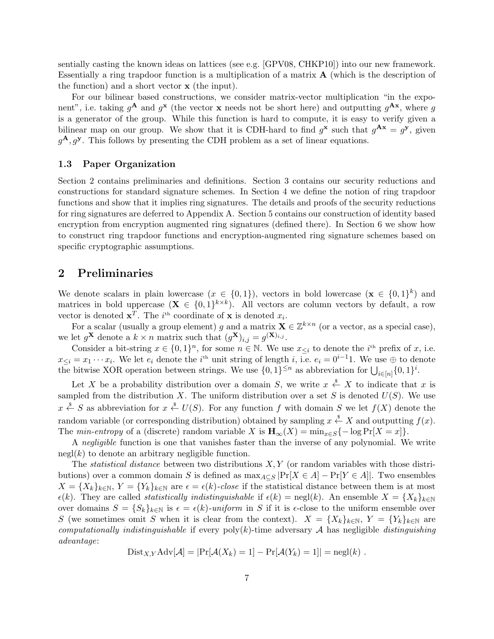sentially casting the known ideas on lattices (see e.g. [GPV08, CHKP10]) into our new framework. Essentially a ring trapdoor function is a multiplication of a matrix **A** (which is the description of the function) and a short vector **x** (the input).

For our bilinear based constructions, we consider matrix-vector multiplication "in the exponent", i.e. taking  $g^{\mathbf{A}}$  and  $g^{\mathbf{x}}$  (the vector **x** needs not be short here) and outputting  $g^{\mathbf{A}\mathbf{x}}$ , where  $g$ is a generator of the group. While this function is hard to compute, it is easy to verify given a bilinear map on our group. We show that it is CDH-hard to find  $g^{\bf x}$  such that  $g^{\bf Ax} = g^{\bf y}$ , given  $g^{\mathbf{A}}, g^{\mathbf{y}}$ . This follows by presenting the CDH problem as a set of linear equations.

## **1.3 Paper Organization**

Section 2 contains preliminaries and definitions. Section 3 contains our security reductions and constructions for standard signature schemes. In Section 4 we define the notion of ring trapdoor functions and show that it implies ring signatures. The details and proofs of the security reductions for ring signatures are deferred to Appendix A. Section 5 contains our construction of identity based encryption from encryption augmented ring signatures (defined there). In Section 6 we show how to construct ring trapdoor functions and encryption-augmented ring signature schemes based on specific cryptographic assumptions.

# **2 Preliminaries**

We denote scalars in plain lowercase  $(x \in \{0,1\})$ , vectors in bold lowercase  $(\mathbf{x} \in \{0,1\}^k)$  and matrices in bold uppercase  $(X \in \{0,1\}^{k \times k})$ . All vectors are column vectors by default, a row vector is denoted  $\mathbf{x}^T$ . The *i*<sup>th</sup> coordinate of **x** is denoted  $x_i$ .

For a scalar (usually a group element) *g* and a matrix  $\mathbf{X} \in \mathbb{Z}^{k \times n}$  (or a vector, as a special case), we let  $g^{\mathbf{X}}$  denote a  $k \times n$  matrix such that  $(g^{\mathbf{X}})_{i,j} = g^{(\mathbf{X})_{i,j}}$ .

Consider a bit-string  $x \in \{0,1\}^n$ , for some  $n \in \mathbb{N}$ . We use  $x_{\leq i}$  to denote the *i*<sup>th</sup> prefix of *x*, i.e.  $x \leq i = x_1 \cdots x_i$ . We let  $e_i$  denote the *i*<sup>th</sup> unit string of length *i*, i.e.  $e_i = 0^{i-1}1$ . We use  $\oplus$  to denote the bitwise XOR operation between strings. We use  $\{0,1\}^{\leq n}$  as abbreviation for  $\bigcup_{i\in[n]}\{0,1\}^i$ .

Let *X* be a probability distribution over a domain *S*, we write  $x \stackrel{\$}{\leftarrow} X$  to indicate that *x* is sampled from the distribution *X*. The uniform distribution over a set *S* is denoted  $U(S)$ . We use *x*  $\stackrel{\$}{\leftarrow}$  *S* as abbreviation for *x*  $\stackrel{\$}{\leftarrow}$  *U*(*S*). For any function *f* with domain *S* we let *f*(*X*) denote the random variable (or corresponding distribution) obtained by sampling  $x \stackrel{\$}{\leftarrow} X$  and outputting  $f(x)$ . The *min-entropy* of a (discrete) random variable *X* is  $\mathbf{H}_{\infty}(X) = \min_{x \in S} \{-\log \Pr[X = x]\}.$ 

A *negligible* function is one that vanishes faster than the inverse of any polynomial. We write  $negl(k)$  to denote an arbitrary negligible function.

The *statistical distance* between two distributions *X, Y* (or random variables with those distributions) over a common domain *S* is defined as  $\max_{A \subseteq S} |\Pr[X \in A] - \Pr[Y \in A]|$ . Two ensembles  $X = \{X_k\}_{k \in \mathbb{N}}, Y = \{Y_k\}_{k \in \mathbb{N}}$  are  $\epsilon = \epsilon(k)$ *-close* if the statistical distance between them is at most  $\epsilon(k)$ . They are called *statistically indistinguishable* if  $\epsilon(k) = \text{negl}(k)$ . An ensemble  $X = \{X_k\}_{k \in \mathbb{N}}$ over domains  $S = \{S_k\}_{k \in \mathbb{N}}$  is  $\epsilon = \epsilon(k)$ *-uniform* in *S* if it is  $\epsilon$ -close to the uniform ensemble over *S* (we sometimes omit *S* when it is clear from the context).  $X = \{X_k\}_{k\in\mathbb{N}}, Y = \{Y_k\}_{k\in\mathbb{N}}$  are *computationally indistinguishable* if every poly(*k*)-time adversary *A* has negligible *distinguishing advantage*:

$$
Dist_{X,Y} Adv[\mathcal{A}] = |Pr[\mathcal{A}(X_k) = 1] - Pr[\mathcal{A}(Y_k) = 1]| = negl(k).
$$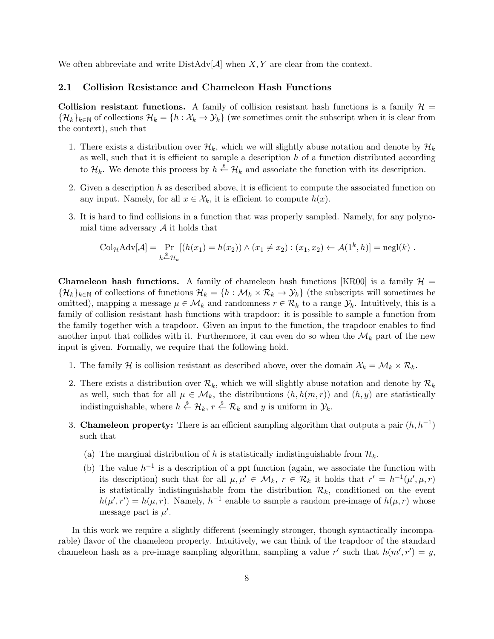We often abbreviate and write  $DistAdv[\mathcal{A}]$  when *X,Y* are clear from the context.

## **2.1 Collision Resistance and Chameleon Hash Functions**

**Collision resistant functions.** A family of collision resistant hash functions is a family  $H =$  $\{\mathcal{H}_k\}_{k\in\mathbb{N}}$  of collections  $\mathcal{H}_k = \{h : \mathcal{X}_k \to \mathcal{Y}_k\}$  (we sometimes omit the subscript when it is clear from the context), such that

- 1. There exists a distribution over  $\mathcal{H}_k$ , which we will slightly abuse notation and denote by  $\mathcal{H}_k$ as well, such that it is efficient to sample a description *h* of a function distributed according to  $\mathcal{H}_k$ . We denote this process by  $h \stackrel{\$}{\leftarrow} \mathcal{H}_k$  and associate the function with its description.
- 2. Given a description *h* as described above, it is efficient to compute the associated function on any input. Namely, for all  $x \in \mathcal{X}_k$ , it is efficient to compute  $h(x)$ .
- 3. It is hard to find collisions in a function that was properly sampled. Namely, for any polynomial time adversary *A* it holds that

$$
\mathrm{Col}_{\mathcal{H}}\mathrm{Adv}[\mathcal{A}] = \Pr_{h \stackrel{\$}{\leftarrow} \mathcal{H}_k} [(h(x_1) = h(x_2)) \wedge (x_1 \neq x_2) : (x_1, x_2) \leftarrow \mathcal{A}(1^k, h)] = \mathrm{negl}(k) .
$$

**Chameleon hash functions.** A family of chameleon hash functions [KR00] is a family  $H =$  $\{\mathcal{H}_k\}_{k\in\mathbb{N}}$  of collections of functions  $\mathcal{H}_k = \{h : \mathcal{M}_k \times \mathcal{R}_k \to \mathcal{Y}_k\}$  (the subscripts will sometimes be omitted), mapping a message  $\mu \in \mathcal{M}_k$  and randomness  $r \in \mathcal{R}_k$  to a range  $\mathcal{Y}_k$ . Intuitively, this is a family of collision resistant hash functions with trapdoor: it is possible to sample a function from the family together with a trapdoor. Given an input to the function, the trapdoor enables to find another input that collides with it. Furthermore, it can even do so when the  $\mathcal{M}_k$  part of the new input is given. Formally, we require that the following hold.

- 1. The family *H* is collision resistant as described above, over the domain  $X_k = \mathcal{M}_k \times \mathcal{R}_k$ .
- 2. There exists a distribution over  $\mathcal{R}_k$ , which we will slightly abuse notation and denote by  $\mathcal{R}_k$ as well, such that for all  $\mu \in \mathcal{M}_k$ , the distributions  $(h, h(m, r))$  and  $(h, y)$  are statistically indistinguishable, where  $h \stackrel{\$}{\leftarrow} \mathcal{H}_k$ ,  $r \stackrel{\$}{\leftarrow} \mathcal{R}_k$  and  $y$  is uniform in  $\mathcal{Y}_k$ .
- 3. **Chameleon property:** There is an efficient sampling algorithm that outputs a pair  $(h, h^{-1})$ such that
	- (a) The marginal distribution of h is statistically indistinguishable from  $\mathcal{H}_k$ .
	- (b) The value  $h^{-1}$  is a description of a ppt function (again, we associate the function with its description) such that for all  $\mu, \mu' \in \mathcal{M}_k$ ,  $r \in \mathcal{R}_k$  it holds that  $r' = h^{-1}(\mu', \mu, r)$ is statistically indistinguishable from the distribution  $\mathcal{R}_k$ , conditioned on the event  $h(\mu', r') = h(\mu, r)$ . Namely,  $h^{-1}$  enable to sample a random pre-image of  $h(\mu, r)$  whose message part is  $\mu'$ .

In this work we require a slightly different (seemingly stronger, though syntactically incomparable) flavor of the chameleon property. Intuitively, we can think of the trapdoor of the standard chameleon hash as a pre-image sampling algorithm, sampling a value r' such that  $h(m', r') = y$ ,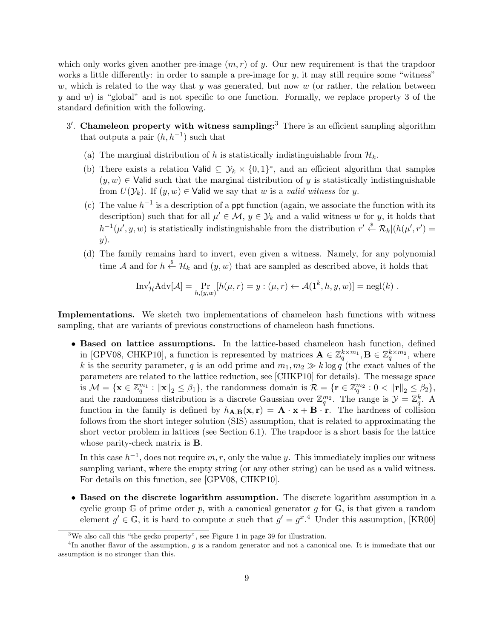which only works given another pre-image  $(m, r)$  of *y*. Our new requirement is that the trapdoor works a little differently: in order to sample a pre-image for *y*, it may still require some "witness" *w*, which is related to the way that *y* was generated, but now *w* (or rather, the relation between *y* and *w*) is "global" and is not specific to one function. Formally, we replace property 3 of the standard definition with the following.

- 3 *′ .* **Chameleon property with witness sampling:**<sup>3</sup> There is an efficient sampling algorithm that outputs a pair  $(h, h^{-1})$  such that
	- (a) The marginal distribution of h is statistically indistinguishable from  $\mathcal{H}_k$ .
	- (b) There exists a relation Valid  $\subseteq \mathcal{Y}_k \times \{0,1\}^*$ , and an efficient algorithm that samples  $(y, w) \in$  Valid such that the marginal distribution of *y* is statistically indistinguishable from  $U(\mathcal{Y}_k)$ . If  $(y, w) \in$  Valid we say that *w* is a *valid witness* for *y*.
	- (c) The value  $h^{-1}$  is a description of a ppt function (again, we associate the function with its description) such that for all  $\mu' \in \mathcal{M}$ ,  $y \in \mathcal{Y}_k$  and a valid witness *w* for *y*, it holds that  $h^{-1}(\mu', y, w)$  is statistically indistinguishable from the distribution  $r' \stackrel{\$}{\leftarrow} \mathcal{R}_k | (h(\mu', r')) =$ *y*).
	- (d) The family remains hard to invert, even given a witness. Namely, for any polynomial time *A* and for  $h \stackrel{\$}{\leftarrow} \mathcal{H}_k$  and  $(y, w)$  that are sampled as described above, it holds that

Inv'<sub>H</sub>Adv[
$$
\mathcal{A}
$$
] =  $\Pr_{h,(y,w)}[h(\mu, r) = y : (\mu, r) \leftarrow \mathcal{A}(1^k, h, y, w)] = \text{negl}(k)$ .

**Implementations.** We sketch two implementations of chameleon hash functions with witness sampling, that are variants of previous constructions of chameleon hash functions.

*•* **Based on lattice assumptions.** In the lattice-based chameleon hash function, defined in [GPV08, CHKP10], a function is represented by matrices  $\mathbf{A} \in \mathbb{Z}_q^{k \times m_1}, \mathbf{B} \in \mathbb{Z}_q^{k \times m_2}$ , where *k* is the security parameter, *q* is an odd prime and  $m_1, m_2 \gg k \log q$  (the exact values of the parameters are related to the lattice reduction, see [CHKP10] for details). The message space is  $\mathcal{M} = \{ \mathbf{x} \in \mathbb{Z}_q^{m_1} : ||\mathbf{x}||_2 \leq \beta_1 \},\$ the randomness domain is  $\mathcal{R} = \{ \mathbf{r} \in \mathbb{Z}_q^{m_2} : 0 < ||\mathbf{r}||_2 \leq \beta_2 \},\$ and the randomness distribution is a discrete Gaussian over  $\mathbb{Z}_q^{m_2}$ . The range is  $\mathcal{Y} = \mathbb{Z}_q^k$ . A function in the family is defined by  $h_{\mathbf{A},\mathbf{B}}(\mathbf{x},\mathbf{r}) = \mathbf{A} \cdot \mathbf{x} + \mathbf{B} \cdot \mathbf{r}$ . The hardness of collision follows from the short integer solution (SIS) assumption, that is related to approximating the short vector problem in lattices (see Section 6.1). The trapdoor is a short basis for the lattice whose parity-check matrix is **B**.

In this case  $h^{-1}$ , does not require  $m, r$ , only the value *y*. This immediately implies our witness sampling variant, where the empty string (or any other string) can be used as a valid witness. For details on this function, see [GPV08, CHKP10].

*•* **Based on the discrete logarithm assumption.** The discrete logarithm assumption in a cyclic group  $\mathbb{G}$  of prime order p, with a canonical generator g for  $\mathbb{G}$ , is that given a random element  $g' \in \mathbb{G}$ , it is hard to compute *x* such that  $g' = g^x$ .<sup>4</sup> Under this assumption, [KR00]

<sup>&</sup>lt;sup>3</sup>We also call this "the gecko property", see Figure 1 in page 39 for illustration.

<sup>4</sup> In another flavor of the assumption, *g* is a random generator and not a canonical one. It is immediate that our assumption is no stronger than this.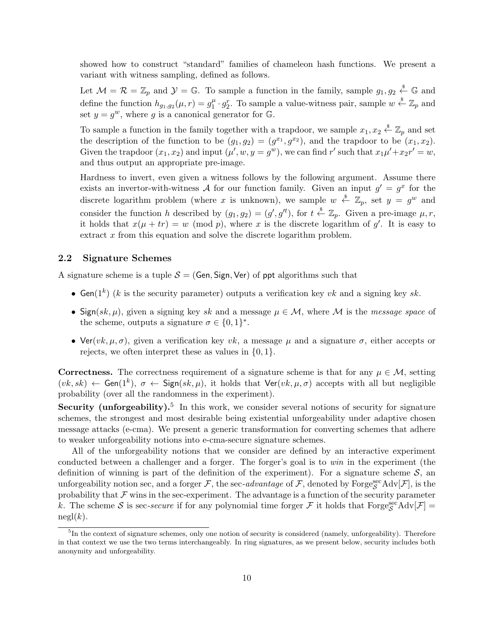showed how to construct "standard" families of chameleon hash functions. We present a variant with witness sampling, defined as follows.

Let  $\mathcal{M} = \mathcal{R} = \mathbb{Z}_p$  and  $\mathcal{Y} = \mathbb{G}$ . To sample a function in the family, sample  $g_1, g_2 \stackrel{\hspace{0.1em}\mathsf{\scriptscriptstyle\$}}{\leftarrow} \mathbb{G}$  and define the function  $h_{g_1,g_2}(\mu, r) = g_1^{\mu}$  $y_1^{\mu} \cdot g_2^{\nu}$ . To sample a value-witness pair, sample  $w \stackrel{\$}{\leftarrow} \mathbb{Z}_p$  and set  $y = g^w$ , where g is a canonical generator for  $\mathbb{G}$ .

To sample a function in the family together with a trapdoor, we sample  $x_1, x_2 \stackrel{\$}{\leftarrow} \mathbb{Z}_p$  and set the description of the function to be  $(g_1, g_2) = (g^{x_1}, g^{x_2})$ , and the trapdoor to be  $(x_1, x_2)$ . Given the trapdoor  $(x_1, x_2)$  and input  $(\mu', w, y = g^w)$ , we can find r' such that  $x_1\mu' + x_2r' = w$ , and thus output an appropriate pre-image.

Hardness to invert, even given a witness follows by the following argument. Assume there exists an invertor-with-witness  $A$  for our function family. Given an input  $g' = g^x$  for the discrete logarithm problem (where *x* is unknown), we sample  $w \stackrel{\$}{\leftarrow} \mathbb{Z}_p$ , set  $y = g^w$  and consider the function *h* described by  $(g_1, g_2) = (g', g'^t)$ , for  $t \stackrel{\$}{\leftarrow} \mathbb{Z}_p$ . Given a pre-image  $\mu, r$ , it holds that  $x(\mu + tr) = w \pmod{p}$ , where *x* is the discrete logarithm of *g'*. It is easy to extract *x* from this equation and solve the discrete logarithm problem.

## **2.2 Signature Schemes**

A signature scheme is a tuple  $S = (Gen, Sign, Ver)$  of ppt algorithms such that

- *•* Gen(1*<sup>k</sup>* ) (*k* is the security parameter) outputs a verification key *vk* and a signing key *sk*.
- Sign( $sk, \mu$ ), given a signing key  $sk$  and a message  $\mu \in M$ , where M is the *message space* of the scheme, outputs a signature  $\sigma \in \{0,1\}^*$ .
- Ver( $vk, µ, σ$ ), given a verification key  $vk$ , a message  $µ$  and a signature  $σ$ , either accepts or rejects, we often interpret these as values in *{*0*,* 1*}*.

**Correctness.** The correctness requirement of a signature scheme is that for any  $\mu \in \mathcal{M}$ , setting  $(vk, sk) \leftarrow$  Gen(1<sup>k</sup>),  $\sigma \leftarrow$  Sign( $sk, \mu$ ), it holds that  $\text{Ver}(vk, \mu, \sigma)$  accepts with all but negligible probability (over all the randomness in the experiment).

**Security (unforgeability).**<sup>5</sup> In this work, we consider several notions of security for signature schemes, the strongest and most desirable being existential unforgeability under adaptive chosen message attacks (e-cma). We present a generic transformation for converting schemes that adhere to weaker unforgeability notions into e-cma-secure signature schemes.

All of the unforgeability notions that we consider are defined by an interactive experiment conducted between a challenger and a forger. The forger's goal is to *win* in the experiment (the definition of winning is part of the definition of the experiment). For a signature scheme  $S$ , an unforgeability notion sec, and a forger  $\mathcal{F}$ , the sec-*advantage* of  $\mathcal{F}$ , denoted by  $\text{Forge}^{\text{sec}}_{\mathcal{S}}\text{Adv}[\mathcal{F}]$ , is the probability that  $\mathcal F$  wins in the sec-experiment. The advantage is a function of the security parameter *k*. The scheme *S* is sec-*secure* if for any polynomial time forger  $\mathcal F$  it holds that  $\text{Forge}_{\mathcal S}^{\text{sec}} \text{Adv}[\mathcal F] =$  $negl(k)$ .

<sup>&</sup>lt;sup>5</sup>In the context of signature schemes, only one notion of security is considered (namely, unforgeability). Therefore in that context we use the two terms interchangeably. In ring signatures, as we present below, security includes both anonymity and unforgeability.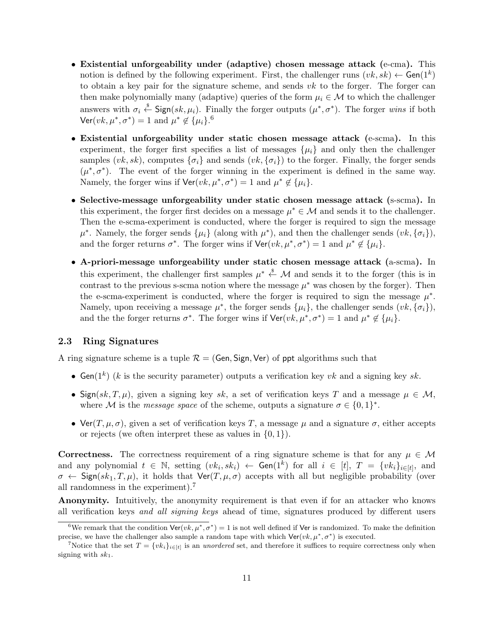- *•* **Existential unforgeability under (adaptive) chosen message attack (**e-cma**).** This notion is defined by the following experiment. First, the challenger runs  $(vk, sk) \leftarrow \text{Gen}(1^k)$ to obtain a key pair for the signature scheme, and sends *vk* to the forger. The forger can then make polynomially many (adaptive) queries of the form  $\mu_i \in \mathcal{M}$  to which the challenger answers with  $\sigma_i \stackrel{\$}{\leftarrow}$  Sign( $sk, \mu_i$ ). Finally the forger outputs  $(\mu^*, \sigma^*)$ . The forger *wins* if both  $\mathsf{Ver}(vk, \mu^*, \sigma^*) = 1 \text{ and } \mu^* \notin {\{\mu_i\}}^6$
- *•* **Existential unforgeability under static chosen message attack (**e-scma**).** In this experiment, the forger first specifies a list of messages  $\{\mu_i\}$  and only then the challenger samples  $(vk, sk)$ , computes  $\{\sigma_i\}$  and sends  $(vk, \{\sigma_i\})$  to the forger. Finally, the forger sends  $(\mu^*, \sigma^*)$ . The event of the forger winning in the experiment is defined in the same way. Namely, the forger wins if  $\text{Ver}(vk, \mu^*, \sigma^*) = 1$  and  $\mu^* \notin {\{\mu_i\}}$ .
- *•* **Selective-message unforgeability under static chosen message attack (**s-scma**).** In this experiment, the forger first decides on a message  $\mu^* \in \mathcal{M}$  and sends it to the challenger. Then the e-scma-experiment is conducted, where the forger is required to sign the message  $\mu^*$ . Namely, the forger sends  $\{\mu_i\}$  (along with  $\mu^*$ ), and then the challenger sends  $(vk, {\{\sigma_i\}})$ , and the forger returns  $\sigma^*$ . The forger wins if  $\text{Ver}(vk, \mu^*, \sigma^*) = 1$  and  $\mu^* \notin {\{\mu_i\}}$ .
- *•* **A-priori-message unforgeability under static chosen message attack (**a-scma**).** In this experiment, the challenger first samples  $\mu^* \stackrel{\$}{\leftarrow} \mathcal{M}$  and sends it to the forger (this is in contrast to the previous s-scma notion where the message  $\mu^*$  was chosen by the forger). Then the e-scma-experiment is conducted, where the forger is required to sign the message  $\mu^*$ . Namely, upon receiving a message  $\mu^*$ , the forger sends  $\{\mu_i\}$ , the challenger sends  $(vk, {\{\sigma_i\}})$ , and the the forger returns  $\sigma^*$ . The forger wins if  $\text{Ver}(vk, \mu^*, \sigma^*) = 1$  and  $\mu^* \notin {\{\mu_i\}}$ .

# **2.3 Ring Signatures**

A ring signature scheme is a tuple  $\mathcal{R} = (Gen, Sign, Ver)$  of ppt algorithms such that

- *•* Gen(1*<sup>k</sup>* ) (*k* is the security parameter) outputs a verification key *vk* and a signing key *sk*.
- Sign( $sk, T, \mu$ ), given a signing key  $sk$ , a set of verification keys *T* and a message  $\mu \in M$ , where *M* is the *message space* of the scheme, outputs a signature  $\sigma \in \{0,1\}^*$ .
- Ver(*T*,  $\mu$ ,  $\sigma$ ), given a set of verification keys *T*, a message  $\mu$  and a signature  $\sigma$ , either accepts or rejects (we often interpret these as values in *{*0*,* 1*}*).

**Correctness.** The correctness requirement of a ring signature scheme is that for any  $\mu \in \mathcal{M}$ and any polynomial  $t \in \mathbb{N}$ , setting  $(vk_i, sk_i) \leftarrow$  Gen $(1^k)$  for all  $i \in [t]$ ,  $T = \{vk_i\}_{i \in [t]}$ , and  $\sigma \leftarrow$  Sign( $sk_1, T, \mu$ ), it holds that  $\text{Ver}(T, \mu, \sigma)$  accepts with all but negligible probability (over all randomness in the experiment).<sup>7</sup>

**Anonymity.** Intuitively, the anonymity requirement is that even if for an attacker who knows all verification keys *and all signing keys* ahead of time, signatures produced by different users

<sup>&</sup>lt;sup>6</sup>We remark that the condition  $\text{Ver}(vk, \mu^*, \sigma^*) = 1$  is not well defined if Ver is randomized. To make the definition precise, we have the challenger also sample a random tape with which  $\text{Ver}(vk, \mu^*, \sigma^*)$  is executed.

<sup>&</sup>lt;sup>7</sup>Notice that the set  $T = \{vk_i\}_{i \in [t]}$  is an *unordered* set, and therefore it suffices to require correctness only when signing with *sk*1.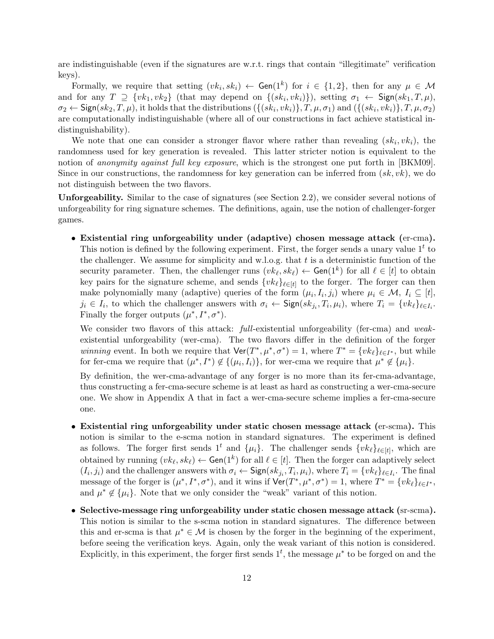are indistinguishable (even if the signatures are w.r.t. rings that contain "illegitimate" verification keys).

Formally, we require that setting  $(vk_i, sk_i) \leftarrow \textsf{Gen}(1^k)$  for  $i \in \{1, 2\}$ , then for any  $\mu \in \mathcal{M}$ and for any  $T \supseteq \{vk_1, vk_2\}$  (that may depend on  $\{(sk_i, vk_i)\}\)$ , setting  $\sigma_1 \leftarrow$  Sign $(sk_1, T, \mu)$ ,  $\sigma_2 \leftarrow \mathsf{Sign}(sk_2, T, \mu)$ , it holds that the distributions  $(\{(sk_i, vk_i)\}, T, \mu, \sigma_1)$  and  $(\{(sk_i, vk_i)\}, T, \mu, \sigma_2)$ are computationally indistinguishable (where all of our constructions in fact achieve statistical indistinguishability).

We note that one can consider a stronger flavor where rather than revealing  $(k_i, v k_i)$ , the randomness used for key generation is revealed. This latter stricter notion is equivalent to the notion of *anonymity against full key exposure*, which is the strongest one put forth in [BKM09]. Since in our constructions, the randomness for key generation can be inferred from (*sk, vk*), we do not distinguish between the two flavors.

**Unforgeability.** Similar to the case of signatures (see Section 2.2), we consider several notions of unforgeability for ring signature schemes. The definitions, again, use the notion of challenger-forger games.

*•* **Existential ring unforgeability under (adaptive) chosen message attack (**er-cma**).** This notion is defined by the following experiment. First, the forger sends a unary value  $1<sup>t</sup>$  to the challenger. We assume for simplicity and w.l.o.g. that *t* is a deterministic function of the security parameter. Then, the challenger runs  $(vk_{\ell}, sk_{\ell}) \leftarrow$  Gen $(1^k)$  for all  $\ell \in [t]$  to obtain key pairs for the signature scheme, and sends  $\{vk_{\ell}\}_{\ell \in [t]}$  to the forger. The forger can then make polynomially many (adaptive) queries of the form  $(\mu_i, I_i, j_i)$  where  $\mu_i \in \mathcal{M}, I_i \subseteq [t],$  $j_i \in I_i$ , to which the challenger answers with  $\sigma_i \leftarrow \text{Sign}(sk_{j_i}, T_i, \mu_i)$ , where  $T_i = \{vk_\ell\}_{\ell \in I_i}$ . Finally the forger outputs  $(\mu^*, I^*, \sigma^*)$ .

We consider two flavors of this attack: *full*-existential unforgeability (fer-cma) and *weak*existential unforgeability (wer-cma). The two flavors differ in the definition of the forger *winning* event. In both we require that  $\text{Ver}(T^*, \mu^*, \sigma^*) = 1$ , where  $T^* = \{vk_\ell\}_{\ell \in I^*}$ , but while for fer-cma we require that  $(\mu^*, I^*) \notin \{(\mu_i, I_i)\}$ , for wer-cma we require that  $\mu^* \notin \{\mu_i\}.$ 

By definition, the wer-cma-advantage of any forger is no more than its fer-cma-advantage, thus constructing a fer-cma-secure scheme is at least as hard as constructing a wer-cma-secure one. We show in Appendix A that in fact a wer-cma-secure scheme implies a fer-cma-secure one.

- *•* **Existential ring unforgeability under static chosen message attack (**er-scma**).** This notion is similar to the e-scma notion in standard signatures. The experiment is defined as follows. The forger first sends  $1<sup>t</sup>$  and  $\{\mu_i\}$ . The challenger sends  $\{vk_{\ell}\}_{\ell \in [t]}$ , which are obtained by running  $(vk_\ell, sk_\ell) \leftarrow$  Gen(1<sup>k</sup>) for all  $\ell \in [t]$ . Then the forger can adaptively select  $(I_i, j_i)$  and the challenger answers with  $\sigma_i \leftarrow$  Sign $(sk_{j_i}, T_i, \mu_i)$ , where  $T_i = \{ vk_\ell\}_{\ell \in I_i}$ . The final message of the forger is  $(\mu^*, I^*, \sigma^*)$ , and it wins if  $\text{Ver}(T^*, \mu^*, \sigma^*) = 1$ , where  $T^* = \{vk_\ell\}_{\ell \in I^*}$ , and  $\mu^* \notin {\{\mu_i\}}$ . Note that we only consider the "weak" variant of this notion.
- *•* **Selective-message ring unforgeability under static chosen message attack (**sr-scma**).** This notion is similar to the s-scma notion in standard signatures. The difference between this and er-scma is that  $\mu^* \in \mathcal{M}$  is chosen by the forger in the beginning of the experiment, before seeing the verification keys. Again, only the weak variant of this notion is considered. Explicitly, in this experiment, the forger first sends  $1<sup>t</sup>$ , the message  $\mu^*$  to be forged on and the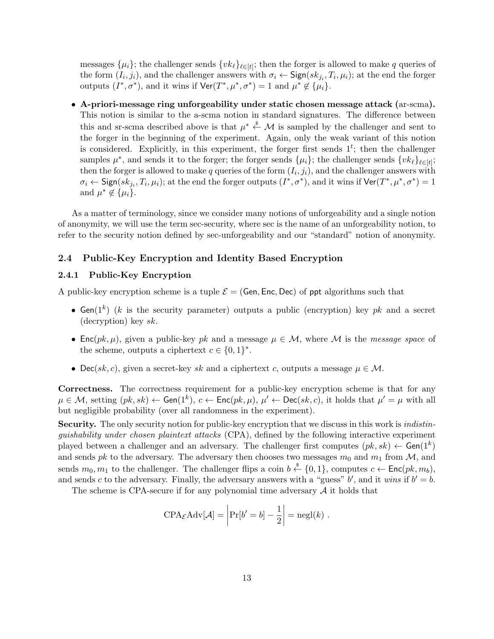messages  $\{\mu_i\}$ ; the challenger sends  $\{vk_\ell\}_{\ell \in [t]}$ ; then the forger is allowed to make *q* queries of the form  $(I_i, j_i)$ , and the challenger answers with  $\sigma_i \leftarrow \textsf{Sign}(sk_{j_i}, T_i, \mu_i)$ ; at the end the forger outputs  $(I^*, \sigma^*)$ , and it wins if  $\text{Ver}(T^*, \mu^*, \sigma^*) = 1$  and  $\mu^* \notin {\{\mu_i\}}$ .

*•* **A-priori-message ring unforgeability under static chosen message attack (**ar-scma**).** This notion is similar to the a-scma notion in standard signatures. The difference between this and sr-scma described above is that  $\mu^* \stackrel{\$}{\leftarrow} \mathcal{M}$  is sampled by the challenger and sent to the forger in the beginning of the experiment. Again, only the weak variant of this notion is considered. Explicitly, in this experiment, the forger first sends  $1^t$ ; then the challenger samples  $\mu^*$ , and sends it to the forger; the forger sends  $\{\mu_i\}$ ; the challenger sends  $\{vk_\ell\}_{\ell \in [t]}$ ; then the forger is allowed to make  $q$  queries of the form  $(I_i, j_i)$ , and the challenger answers with  $\sigma_i \leftarrow \textsf{Sign}(sk_{j_i}, T_i, \mu_i)$ ; at the end the forger outputs  $(I^*, \sigma^*)$ , and it wins if  $\textsf{Ver}(T^*, \mu^*, \sigma^*) = 1$ and  $\mu^* \notin {\{\mu_i\}}$ .

As a matter of terminology, since we consider many notions of unforgeability and a single notion of anonymity, we will use the term sec-security, where sec is the name of an unforgeability notion, to refer to the security notion defined by sec-unforgeability and our "standard" notion of anonymity.

## **2.4 Public-Key Encryption and Identity Based Encryption**

#### **2.4.1 Public-Key Encryption**

A public-key encryption scheme is a tuple  $\mathcal{E} = (Gen, Enc, Dec)$  of ppt algorithms such that

- *•* Gen(1*<sup>k</sup>* ) (*k* is the security parameter) outputs a public (encryption) key *pk* and a secret (decryption) key *sk*.
- Enc $(pk, \mu)$ , given a public-key *pk* and a message  $\mu \in \mathcal{M}$ , where M is the *message space* of the scheme, outputs a ciphertext  $c \in \{0,1\}^*$ .
- Dec( $sk, c$ ), given a secret-key  $sk$  and a ciphertext *c*, outputs a message  $\mu \in \mathcal{M}$ .

**Correctness.** The correctness requirement for a public-key encryption scheme is that for any  $\mu \in \mathcal{M}$ , setting  $(pk, sk) \leftarrow$  Gen $(1^k)$ ,  $c \leftarrow$  Enc $(pk, \mu)$ ,  $\mu' \leftarrow$  Dec $(sk, c)$ , it holds that  $\mu' = \mu$  with all but negligible probability (over all randomness in the experiment).

**Security.** The only security notion for public-key encryption that we discuss in this work is *indistinguishability under chosen plaintext attacks* (CPA), defined by the following interactive experiment played between a challenger and an adversary. The challenger first computes  $(pk, sk) \leftarrow \text{Gen}(1^k)$ and sends *pk* to the adversary. The adversary then chooses two messages  $m_0$  and  $m_1$  from *M*, and sends  $m_0, m_1$  to the challenger. The challenger flips a coin  $b \leftarrow \{0, 1\}$ , computes  $c \leftarrow \text{Enc}(pk, m_b)$ , and sends *c* to the adversary. Finally, the adversary answers with a "guess"  $b'$ , and it *wins* if  $b' = b$ .

The scheme is CPA-secure if for any polynomial time adversary *A* it holds that

$$
CPA_{\mathcal{E}}\text{Adv}[\mathcal{A}] = \left| \Pr[b' = b] - \frac{1}{2} \right| = \text{negl}(k) .
$$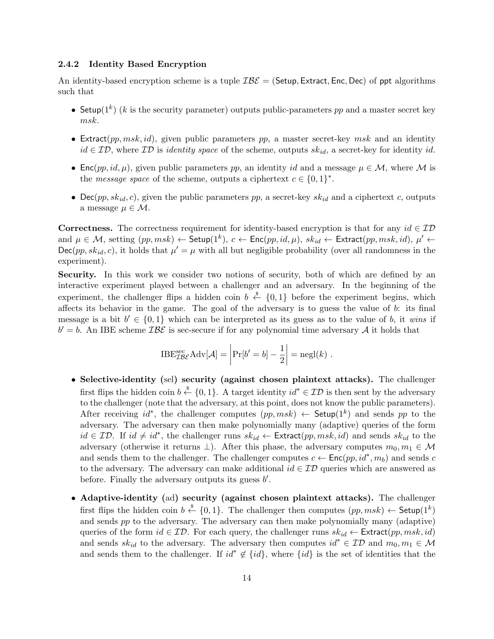# **2.4.2 Identity Based Encryption**

An identity-based encryption scheme is a tuple *IBE* = (Setup*,* Extract*,* Enc*,* Dec) of ppt algorithms such that

- *•* Setup(1*<sup>k</sup>* ) (*k* is the security parameter) outputs public-parameters *pp* and a master secret key *msk*.
- *•* Extract(*pp, msk, id*), given public parameters *pp*, a master secret-key *msk* and an identity *id ∈ ID*, where *ID* is *identity space* of the scheme, outputs *skid*, a secret-key for identity *id*.
- Enc(*pp, id, µ*), given public parameters *pp*, an identity *id* and a message  $\mu \in \mathcal{M}$ , where  $\mathcal M$  is the *message space* of the scheme, outputs a ciphertext  $c \in \{0, 1\}^*$ .
- Dec( $pp, sk_{id}, c$ ), given the public parameters  $pp$ , a secret-key  $sk_{id}$  and a ciphertext *c*, outputs a message  $\mu \in \mathcal{M}$ .

**Correctness.** The correctness requirement for identity-based encryption is that for any  $id \in \mathcal{ID}$  $p_i = M$ , setting  $(pp, msk) \leftarrow$  Setup $(1^k)$ ,  $c \leftarrow$  Enc $(pp, id, \mu)$ ,  $sk_{id} \leftarrow$  Extract $(pp, msk, id)$ ,  $\mu' \leftarrow$  $Dec(pp, sk<sub>id</sub>, c)$ , it holds that  $\mu' = \mu$  with all but negligible probability (over all randomness in the experiment).

**Security.** In this work we consider two notions of security, both of which are defined by an interactive experiment played between a challenger and an adversary. In the beginning of the experiment, the challenger flips a hidden coin  $b \stackrel{\$}{\leftarrow} \{0,1\}$  before the experiment begins, which affects its behavior in the game. The goal of the adversary is to guess the value of *b*: its final message is a bit  $b' \in \{0,1\}$  which can be interpreted as its guess as to the value of *b*, it *wins* if  $b' = b$ . An IBE scheme  $\mathcal{I} \mathcal{B} \mathcal{E}$  is sec-secure if for any polynomial time adversary *A* it holds that

$$
\text{IBE}_{\mathcal{I}\mathcal{B}\mathcal{E}}^{\text{sec}} \text{Adv}[\mathcal{A}] = \left| \Pr[b' = b] - \frac{1}{2} \right| = \text{negl}(k) .
$$

- *•* **Selective-identity (**sel**) security (against chosen plaintext attacks).** The challenger first flips the hidden coin  $b \stackrel{\$}{\leftarrow} \{0,1\}$ . A target identity  $id^* \in \mathcal{ID}$  is then sent by the adversary to the challenger (note that the adversary, at this point, does not know the public parameters). After receiving  $id^*$ , the challenger computes  $(pp, msk) \leftarrow$  Setup(1<sup>k</sup>) and sends pp to the adversary. The adversary can then make polynomially many (adaptive) queries of the form  $id \in \mathcal{ID}$ . If  $id \neq id^*$ , the challenger runs  $sk_{id} \leftarrow$  Extract $(pp, msk, id)$  and sends  $sk_{id}$  to the adversary (otherwise it returns  $\perp$ ). After this phase, the adversary computes  $m_0, m_1 \in \mathcal{M}$ and sends them to the challenger. The challenger computes  $c \leftarrow \text{Enc}(pp, id^*, m_b)$  and sends *c* to the adversary. The adversary can make additional *id ∈ ID* queries which are answered as before. Finally the adversary outputs its guess *b ′* .
- *•* **Adaptive-identity (**ad**) security (against chosen plaintext attacks).** The challenger first flips the hidden coin  $b \stackrel{\$}{\leftarrow} \{0,1\}$ . The challenger then computes  $(pp, msk) \leftarrow$  Setup $(1^k)$ and sends *pp* to the adversary. The adversary can then make polynomially many (adaptive) queries of the form  $id \in \mathcal{ID}$ . For each query, the challenger runs  $sk_{id} \leftarrow$  Extract $(pp, msk, id)$ and sends  $sk_{id}$  to the adversary. The adversary then computes  $id^* \in \mathcal{ID}$  and  $m_0, m_1 \in \mathcal{M}$ and sends them to the challenger. If  $id^* \notin \{id\}$ , where  $\{id\}$  is the set of identities that the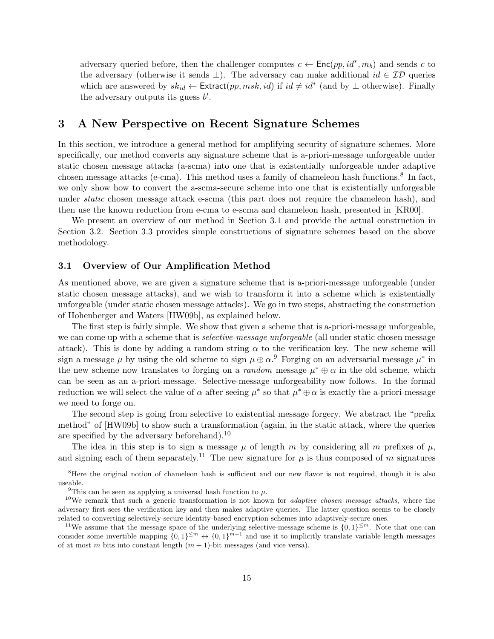adversary queried before, then the challenger computes  $c \leftarrow \text{Enc}(pp, id^*, m_b)$  and sends *c* to the adversary (otherwise it sends *⊥*). The adversary can make additional *id ∈ ID* queries which are answered by  $sk_{id} \leftarrow$  Extract $(pp, msk, id)$  if  $id \neq id^*$  (and by  $\perp$  otherwise). Finally the adversary outputs its guess *b ′* .

# **3 A New Perspective on Recent Signature Schemes**

In this section, we introduce a general method for amplifying security of signature schemes. More specifically, our method converts any signature scheme that is a-priori-message unforgeable under static chosen message attacks (a-scma) into one that is existentially unforgeable under adaptive chosen message attacks (e-cma). This method uses a family of chameleon hash functions.<sup>8</sup> In fact, we only show how to convert the a-scma-secure scheme into one that is existentially unforgeable under *static* chosen message attack e-scma (this part does not require the chameleon hash), and then use the known reduction from e-cma to e-scma and chameleon hash, presented in [KR00].

We present an overview of our method in Section 3.1 and provide the actual construction in Section 3.2. Section 3.3 provides simple constructions of signature schemes based on the above methodology.

## **3.1 Overview of Our Amplification Method**

As mentioned above, we are given a signature scheme that is a-priori-message unforgeable (under static chosen message attacks), and we wish to transform it into a scheme which is existentially unforgeable (under static chosen message attacks). We go in two steps, abstracting the construction of Hohenberger and Waters [HW09b], as explained below.

The first step is fairly simple. We show that given a scheme that is a-priori-message unforgeable, we can come up with a scheme that is *selective-message unforgeable* (all under static chosen message attack). This is done by adding a random string  $\alpha$  to the verification key. The new scheme will sign a message  $\mu$  by using the old scheme to sign  $\mu \oplus \alpha$ .<sup>9</sup> Forging on an adversarial message  $\mu^*$  in the new scheme now translates to forging on a *random* message  $\mu^* \oplus \alpha$  in the old scheme, which can be seen as an a-priori-message. Selective-message unforgeability now follows. In the formal reduction we will select the value of  $\alpha$  after seeing  $\mu^*$  so that  $\mu^* \oplus \alpha$  is exactly the a-priori-message we need to forge on.

The second step is going from selective to existential message forgery. We abstract the "prefix method" of [HW09b] to show such a transformation (again, in the static attack, where the queries are specified by the adversary beforehand).<sup>10</sup>

The idea in this step is to sign a message  $\mu$  of length *m* by considering all *m* prefixes of  $\mu$ , and signing each of them separately.<sup>11</sup> The new signature for  $\mu$  is thus composed of  $m$  signatures

<sup>&</sup>lt;sup>8</sup>Here the original notion of chameleon hash is sufficient and our new flavor is not required, though it is also useable.

<sup>&</sup>lt;sup>9</sup>This can be seen as applying a universal hash function to  $\mu$ .

<sup>10</sup>We remark that such a generic transformation is not known for *adaptive chosen message attacks*, where the adversary first sees the verification key and then makes adaptive queries. The latter question seems to be closely related to converting selectively-secure identity-based encryption schemes into adaptively-secure ones.

<sup>&</sup>lt;sup>11</sup>We assume that the message space of the underlying selective-message scheme is  $\{0,1\}^{\leq m}$ . Note that one can consider some invertible mapping  $\{0,1\}^{\leq m} \leftrightarrow \{0,1\}^{m+1}$  and use it to implicitly translate variable length messages of at most *m* bits into constant length  $(m + 1)$ -bit messages (and vice versa).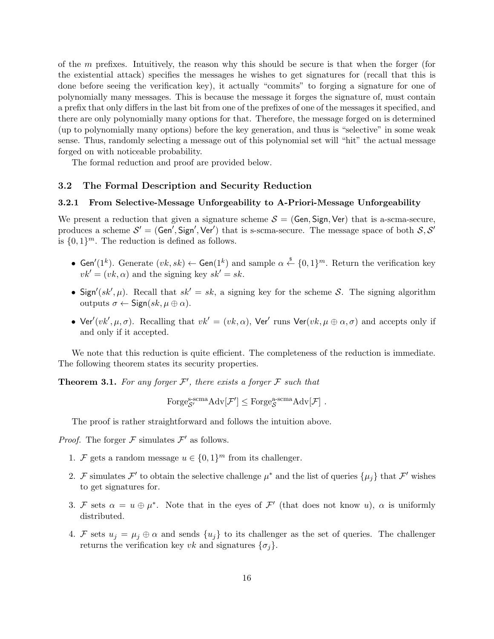of the *m* prefixes. Intuitively, the reason why this should be secure is that when the forger (for the existential attack) specifies the messages he wishes to get signatures for (recall that this is done before seeing the verification key), it actually "commits" to forging a signature for one of polynomially many messages. This is because the message it forges the signature of, must contain a prefix that only differs in the last bit from one of the prefixes of one of the messages it specified, and there are only polynomially many options for that. Therefore, the message forged on is determined (up to polynomially many options) before the key generation, and thus is "selective" in some weak sense. Thus, randomly selecting a message out of this polynomial set will "hit" the actual message forged on with noticeable probability.

The formal reduction and proof are provided below.

## **3.2 The Formal Description and Security Reduction**

#### **3.2.1 From Selective-Message Unforgeability to A-Priori-Message Unforgeability**

We present a reduction that given a signature scheme  $S = (Gen, Sign, Ver)$  that is a-scma-secure, produces a scheme  $S' = (Gen', Sign', Ver')$  that is s-scma-secure. The message space of both  $S, S'$ is  $\{0,1\}^m$ . The reduction is defined as follows.

- Gen<sup>'</sup>(1<sup>k</sup>). Generate  $(vk, sk) \leftarrow$  Gen(1<sup>k</sup>) and sample  $\alpha \stackrel{\$}{\leftarrow} \{0, 1\}^m$ . Return the verification key  $vk' = (vk, \alpha)$  and the signing key  $sk' = sk$ .
- Sign'(sk',  $\mu$ ). Recall that  $sk' = sk$ , a signing key for the scheme *S*. The signing algorithm outputs *σ ←* Sign(*sk, µ ⊕ α*).
- Ver<sup> $\prime$ </sup>(*vk'*,  $\mu$ , $\sigma$ ). Recalling that  $vk' = (vk, \alpha)$ , Ver<sup> $\prime$ </sup> runs Ver $(vk, \mu \oplus \alpha, \sigma)$  and accepts only if and only if it accepted.

We note that this reduction is quite efficient. The completeness of the reduction is immediate. The following theorem states its security properties.

**Theorem 3.1.** For any forger  $\mathcal{F}'$ , there exists a forger  $\mathcal{F}$  such that

$$
\operatorname{Forge}_{{\mathcal S}'}^{{\operatorname{s-}sem}}\operatorname{Adv}[\mathcal F']\leq \operatorname{Forge}_{{\mathcal S}}^{{\operatorname{a-}sem}}\operatorname{Adv}[\mathcal F]\ .
$$

The proof is rather straightforward and follows the intuition above.

*Proof.* The forger  $\mathcal F$  simulates  $\mathcal F'$  as follows.

- 1. *F* gets a random message  $u \in \{0,1\}^m$  from its challenger.
- 2. *F* simulates *F'* to obtain the selective challenge  $\mu^*$  and the list of queries  $\{\mu_j\}$  that *F'* wishes to get signatures for.
- 3. *F* sets  $\alpha = u \oplus \mu^*$ . Note that in the eyes of *F'* (that does not know *u*),  $\alpha$  is uniformly distributed.
- 4. *F* sets  $u_j = \mu_j \oplus \alpha$  and sends  $\{u_j\}$  to its challenger as the set of queries. The challenger returns the verification key *vk* and signatures  $\{\sigma_i\}$ .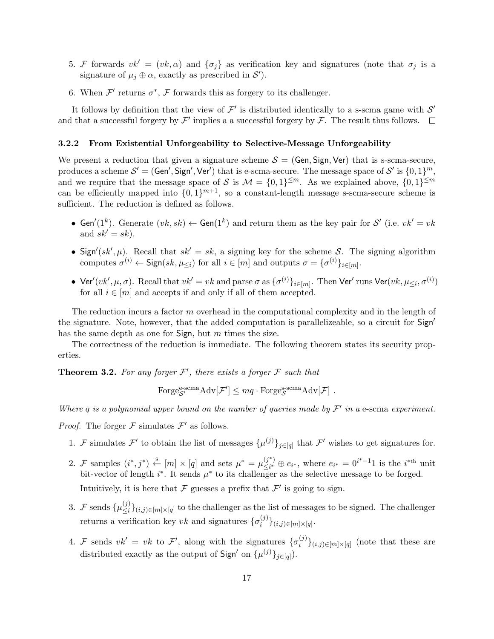- 5. *F* forwards  $vk' = (vk, \alpha)$  and  $\{\sigma_j\}$  as verification key and signatures (note that  $\sigma_j$  is a signature of  $\mu_j \oplus \alpha$ , exactly as prescribed in  $\mathcal{S}'$ ).
- 6. When  $\mathcal{F}'$  returns  $\sigma^*$ ,  $\mathcal F$  forwards this as forgery to its challenger.

It follows by definition that the view of  $\mathcal{F}'$  is distributed identically to a s-scma game with  $\mathcal{S}'$ and that a successful forgery by  $\mathcal{F}'$  implies a a successful forgery by  $\mathcal{F}$ . The result thus follows.

#### **3.2.2 From Existential Unforgeability to Selective-Message Unforgeability**

We present a reduction that given a signature scheme  $S = (Gen, Sign, Ver)$  that is s-scma-secure, produces a scheme  $\mathcal{S}' = (\mathsf{Gen}', \mathsf{Sign}', \mathsf{Ver}')$  that is e-scma-secure. The message space of  $\mathcal{S}'$  is  $\{0, 1\}^m$ , and we require that the message space of *S* is  $\mathcal{M} = \{0,1\}^{\leq m}$ . As we explained above,  $\{0,1\}^{\leq m}$ can be efficiently mapped into  $\{0,1\}^{m+1}$ , so a constant-length message s-scma-secure scheme is sufficient. The reduction is defined as follows.

- Gen<sup>'</sup>(1<sup>k</sup>). Generate  $(vk, sk)$  ← Gen(1<sup>k</sup>) and return them as the key pair for *S*<sup>'</sup> (i.e.  $vk' = vk$ and  $sk' = sk$ ).
- Sign'( $sk'$ ,  $\mu$ ). Recall that  $sk' = sk$ , a signing key for the scheme *S*. The signing algorithm computes  $\sigma^{(i)} \leftarrow$  Sign( $sk, \mu_{\leq i}$ ) for all  $i \in [m]$  and outputs  $\sigma = {\sigma^{(i)}}_{i \in [m]}$ .
- Ver'(vk',  $\mu, \sigma$ ). Recall that  $vk' = vk$  and parse  $\sigma$  as  $\{\sigma^{(i)}\}_{i \in [m]}$ . Then Ver' runs Ver(vk,  $\mu_{\leq i}, \sigma^{(i)}$ ) for all  $i \in [m]$  and accepts if and only if all of them accepted.

The reduction incurs a factor *m* overhead in the computational complexity and in the length of the signature. Note, however, that the added computation is parallelizeable, so a circuit for Sign*′* has the same depth as one for Sign, but *m* times the size.

The correctness of the reduction is immediate. The following theorem states its security properties.

**Theorem 3.2.** For any forger  $\mathcal{F}'$ , there exists a forger  $\mathcal{F}$  such that

 $\text{Forge}_{\mathcal{S}'}^{\text{e-scma}} \text{Adv}[\mathcal{F}'] \leq mq \cdot \text{Forge}_{\mathcal{S}}^{\text{s-scma}} \text{Adv}[\mathcal{F}]$ .

*Where q is a polynomial upper bound on the number of queries made by F ′ in a* e-scma *experiment.*

*Proof.* The forger  $\mathcal F$  simulates  $\mathcal F'$  as follows.

- 1. *F* simulates *F*<sup> $\prime$ </sup> to obtain the list of messages  $\{\mu^{(j)}\}_{j \in [q]}$  that *F*<sup> $\prime$ </sup> wishes to get signatures for.
- 2. *F* samples  $(i^*, j^*) \stackrel{\$}{\leftarrow} [m] \times [q]$  and sets  $\mu^* = \mu_{\leq i^*}^{(j^*)}$  $\sum_{i=1}^{(j^*)} a_i \oplus e_{i^*}$ , where  $e_{i^*} = 0^{i^*-1}1$  is the *i*<sup>\*th</sup> unit bit-vector of length  $i^*$ . It sends  $\mu^*$  to its challenger as the selective message to be forged.

Intuitively, it is here that  $\mathcal F$  guesses a prefix that  $\mathcal F'$  is going to sign.

- 3. *F* sends  $\{\mu_{\leq i}^{(j)}\}$ *≤i }*(*i,j*)*∈*[*m*]*×*[*q*] to the challenger as the list of messages to be signed. The challenger returns a verification key *vk* and signatures  $\{\sigma_i^{(j)}\}$  $\{i,j\}\{i,j\}$ ∈[*m*]×[*q*]
- 4. *F* sends  $vk' = vk$  to *F'*, along with the signatures  $\{\sigma_i^{(j)}\}$  $\binom{J}{i}$ <sub>*i*</sub>,*j*)∈[*m*]×[*q*] (note that these are distributed exactly as the output of  $\textsf{Sign}'$  on  $\{\mu^{(j)}\}_{j \in [q]}\$ .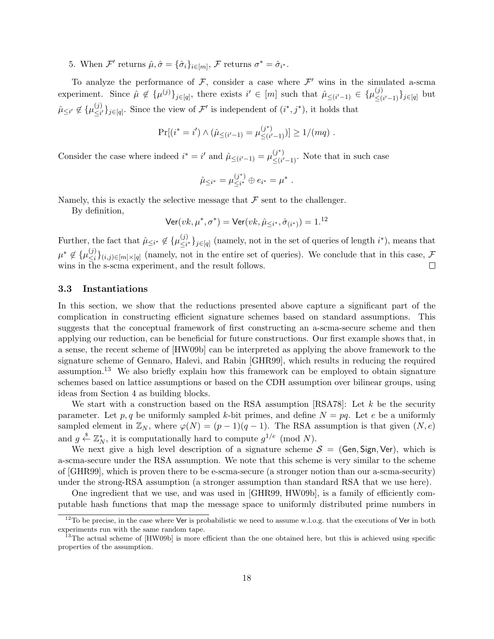5. When  $\mathcal{F}'$  returns  $\hat{\mu}, \hat{\sigma} = {\hat{\sigma}_i}_{i \in [m]}, \mathcal{F}$  returns  $\sigma^* = \hat{\sigma}_{i^*}.$ 

To analyze the performance of  $\mathcal{F}$ , consider a case where  $\mathcal{F}'$  wins in the simulated a-scma experiment. Since  $\hat{\mu} \notin {\{\mu^{(j)}\}_{j \in [q]}},$  there exists  $i' \in [m]$  such that  $\hat{\mu}_{\leq (i'-1)} \in {\{\mu^{(j)}_{\leq (i-1)}\}}$ *≤*(*i ′−*1)*}j∈*[*q*] but  $\hat{\mu}_{\leq i'} \not\in \{\mu_{< i}^{(j)}\}$  $\frac{(3)}{\leq i'}$ }<sub>*j*∈[*q*]</sub>. Since the view of *F*<sup>'</sup> is independent of  $(i^*, j^*)$ , it holds that

$$
\Pr[(i^* = i') \land (\hat{\mu}_{\leq (i'-1)} = \mu_{\leq (i'-1)}^{(j^*)})] \geq 1/(mq) .
$$

Consider the case where indeed  $i^* = i'$  and  $\hat{\mu}_{\leq (i'-1)} = \mu_{\leq (i')}^{(j^*)}$  $\frac{(7)}{\leq (i'-1)}$ . Note that in such case

$$
\hat{\mu}_{\leq i^*} = \mu_{\leq i^*}^{(j^*)} \oplus e_{i^*} = \mu^*.
$$

Namely, this is exactly the selective message that  $\mathcal F$  sent to the challenger.

By definition,

$$
\mathsf{Ver}(vk, \mu^*, \sigma^*) = \mathsf{Ver}(vk, \hat{\mu}_{\leq i^*}, \hat{\sigma}_{(i^*)}) = 1.^{12}
$$

Further, the fact that  $\hat{\mu}_{\leq i^*} \notin {\{\mu}_{\leq i}^{(j)}\}$  $\frac{(3)}{2}$ <sub>i</sub>  $\frac{1}{2}$ <sub>i</sub>∈[*q*] (namely, not in the set of queries of length *i*<sup>\*</sup>), means that  $\mu^*$  ∉ { $\mu_{\leq i}^{(j)}$  $\leq$ <sup>*i*</sup></sup>/ $\leq$ <sup>*i*</sup>/ $\leq$ <sub>*i*</sub> $\leq$ <sup>*j*</sup>/ $\leq$ <sup>*i*</sup>/ $\leq$ <sup>*j*</sup>/ $\leq$ <sup>*j*</sup>/ $\leq$ <sup>*j*</sup>/ $\leq$ *j*/ $\leq$ *j*/ $\leq$ *j*/ $\leq$ *j*/ $\leq$ *j*/ $\leq$ *j*/ $\leq$ *j*/ $\leq$ *j*/ $\leq$ *j*/ $\leq$ *j*/ $\leq$ *j*/ $\leq$ *j*/ $\leq$ *j*/ $\leq$ *j*/ $\leq$ wins in the s-scma experiment, and the result follows.  $\Box$ 

#### **3.3 Instantiations**

In this section, we show that the reductions presented above capture a significant part of the complication in constructing efficient signature schemes based on standard assumptions. This suggests that the conceptual framework of first constructing an a-scma-secure scheme and then applying our reduction, can be beneficial for future constructions. Our first example shows that, in a sense, the recent scheme of [HW09b] can be interpreted as applying the above framework to the signature scheme of Gennaro, Halevi, and Rabin [GHR99], which results in reducing the required assumption.<sup>13</sup> We also briefly explain how this framework can be employed to obtain signature schemes based on lattice assumptions or based on the CDH assumption over bilinear groups, using ideas from Section 4 as building blocks.

We start with a construction based on the RSA assumption [RSA78]: Let *k* be the security parameter. Let  $p, q$  be uniformly sampled *k*-bit primes, and define  $N = pq$ . Let *e* be a uniformly sampled element in  $\mathbb{Z}_N$ , where  $\varphi(N) = (p-1)(q-1)$ . The RSA assumption is that given  $(N, e)$ and  $g \stackrel{\$}{\leftarrow} \mathbb{Z}_N^*$ , it is computationally hard to compute  $g^{1/e}$  (mod *N*).

We next give a high level description of a signature scheme  $S = (Gen, Sign, Ver),$  which is a-scma-secure under the RSA assumption. We note that this scheme is very similar to the scheme of [GHR99], which is proven there to be e-scma-secure (a stronger notion than our a-scma-security) under the strong-RSA assumption (a stronger assumption than standard RSA that we use here).

One ingredient that we use, and was used in [GHR99, HW09b], is a family of efficiently computable hash functions that map the message space to uniformly distributed prime numbers in

<sup>&</sup>lt;sup>12</sup>To be precise, in the case where Ver is probabilistic we need to assume w.l.o.g. that the executions of Ver in both experiments run with the same random tape.

<sup>&</sup>lt;sup>13</sup>The actual scheme of [HW09b] is more efficient than the one obtained here, but this is achieved using specific properties of the assumption.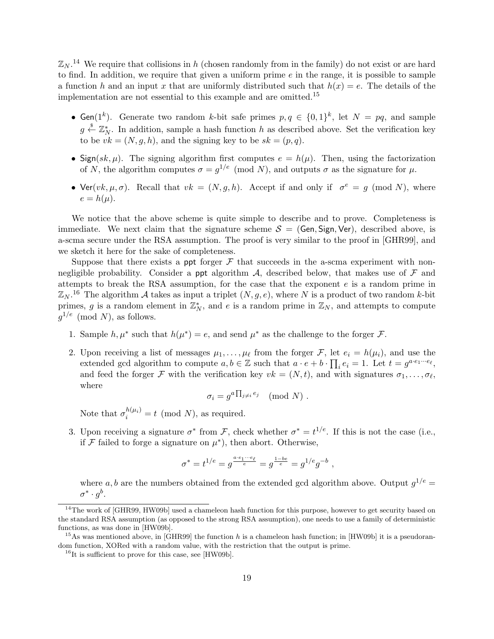$\mathbb{Z}_N$ .<sup>14</sup> We require that collisions in *h* (chosen randomly from in the family) do not exist or are hard to find. In addition, we require that given a uniform prime *e* in the range, it is possible to sample a function *h* and an input *x* that are uniformly distributed such that  $h(x) = e$ . The details of the implementation are not essential to this example and are omitted.<sup>15</sup>

- Gen( $1^k$ ). Generate two random *k*-bit safe primes  $p, q \in \{0, 1\}^k$ , let  $N = pq$ , and sample  $g \stackrel{\$}{\leftarrow} \mathbb{Z}_N^*$ . In addition, sample a hash function *h* as described above. Set the verification key to be  $vk = (N, g, h)$ , and the signing key to be  $sk = (p, q)$ .
- Sign( $sk, \mu$ ). The signing algorithm first computes  $e = h(\mu)$ . Then, using the factorization of *N*, the algorithm computes  $\sigma = g^{1/e} \pmod{N}$ , and outputs  $\sigma$  as the signature for  $\mu$ .
- Ver(*vk,*  $\mu$ *, σ*). Recall that  $vk = (N, g, h)$ . Accept if and only if  $\sigma^e = g \pmod{N}$ , where  $e = h(\mu)$ .

We notice that the above scheme is quite simple to describe and to prove. Completeness is immediate. We next claim that the signature scheme  $S = (Gen, Sign, Ver)$ , described above, is a-scma secure under the RSA assumption. The proof is very similar to the proof in [GHR99], and we sketch it here for the sake of completeness.

Suppose that there exists a ppt forger  $\mathcal F$  that succeeds in the a-scma experiment with nonnegligible probability. Consider a ppt algorithm  $\mathcal{A}$ , described below, that makes use of  $\mathcal{F}$  and attempts to break the RSA assumption, for the case that the exponent *e* is a random prime in  $\mathbb{Z}_N$ .<sup>16</sup> The algorithm *A* takes as input a triplet  $(N, g, e)$ , where *N* is a product of two random *k*-bit primes, *g* is a random element in  $\mathbb{Z}_N^*$ , and *e* is a random prime in  $\mathbb{Z}_N$ , and attempts to compute  $g^{1/e}$  (mod *N*), as follows.

- 1. Sample  $h, \mu^*$  such that  $h(\mu^*) = e$ , and send  $\mu^*$  as the challenge to the forger *F*.
- 2. Upon receiving a list of messages  $\mu_1, \ldots, \mu_\ell$  from the forger  $\mathcal{F}$ , let  $e_i = h(\mu_i)$ , and use the extended gcd algorithm to compute  $a, b \in \mathbb{Z}$  such that  $a \cdot e + b \cdot \prod_i e_i = 1$ . Let  $t = g^{a \cdot e_1 \cdots e_\ell}$ , and feed the forger *F* with the verification key  $vk = (N, t)$ , and with signatures  $\sigma_1, \ldots, \sigma_\ell$ , where

$$
\sigma_i = g^{a \prod_{j \neq i} e_j} \pmod{N} \ .
$$

Note that  $\sigma_i^{h(\mu_i)} = t \pmod{N}$ , as required.

3. Upon receiving a signature  $\sigma^*$  from *F*, check whether  $\sigma^* = t^{1/e}$ . If this is not the case (i.e., if  $\mathcal F$  failed to forge a signature on  $\mu^*$ ), then abort. Otherwise,

$$
\sigma^* = t^{1/e} = g^{\frac{a \cdot e_1 \cdot \cdot \cdot e_\ell}{e}} = g^{\frac{1 - be}{e}} = g^{1/e} g^{-b} \ ,
$$

where a, b are the numbers obtained from the extended gcd algorithm above. Output  $g^{1/e}$  =  $\sigma^* \cdot g^b$ .

<sup>&</sup>lt;sup>14</sup>The work of [GHR99, HW09b] used a chameleon hash function for this purpose, however to get security based on the standard RSA assumption (as opposed to the strong RSA assumption), one needs to use a family of deterministic functions, as was done in [HW09b].

<sup>&</sup>lt;sup>15</sup>As was mentioned above, in [GHR99] the function *h* is a chameleon hash function; in [HW09b] it is a pseudorandom function, XORed with a random value, with the restriction that the output is prime.

<sup>&</sup>lt;sup>16</sup>It is sufficient to prove for this case, see [HW09b].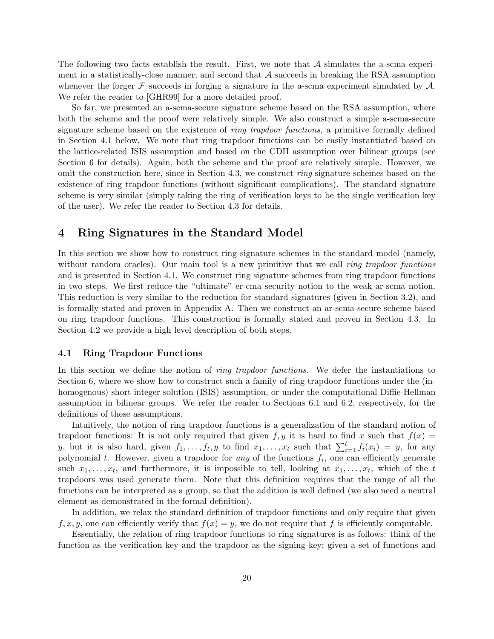The following two facts establish the result. First, we note that *A* simulates the a-scma experiment in a statistically-close manner; and second that *A* succeeds in breaking the RSA assumption whenever the forger *F* succeeds in forging a signature in the a-scma experiment simulated by *A*. We refer the reader to [GHR99] for a more detailed proof.

So far, we presented an a-scma-secure signature scheme based on the RSA assumption, where both the scheme and the proof were relatively simple. We also construct a simple a-scma-secure signature scheme based on the existence of *ring trapdoor functions*, a primitive formally defined in Section 4.1 below. We note that ring trapdoor functions can be easily instantiated based on the lattice-related ISIS assumption and based on the CDH assumption over bilinear groups (see Section 6 for details). Again, both the scheme and the proof are relatively simple. However, we omit the construction here, since in Section 4.3, we construct *ring* signature schemes based on the existence of ring trapdoor functions (without significant complications). The standard signature scheme is very similar (simply taking the ring of verification keys to be the single verification key of the user). We refer the reader to Section 4.3 for details.

# **4 Ring Signatures in the Standard Model**

In this section we show how to construct ring signature schemes in the standard model (namely, without random oracles). Our main tool is a new primitive that we call *ring trapdoor functions* and is presented in Section 4.1. We construct ring signature schemes from ring trapdoor functions in two steps. We first reduce the "ultimate" er-cma security notion to the weak ar-scma notion. This reduction is very similar to the reduction for standard signatures (given in Section 3.2), and is formally stated and proven in Appendix A. Then we construct an ar-scma-secure scheme based on ring trapdoor functions. This construction is formally stated and proven in Section 4.3. In Section 4.2 we provide a high level description of both steps.

#### **4.1 Ring Trapdoor Functions**

In this section we define the notion of *ring trapdoor functions*. We defer the instantiations to Section 6, where we show how to construct such a family of ring trapdoor functions under the (inhomogenous) short integer solution (ISIS) assumption, or under the computational Diffie-Hellman assumption in bilinear groups. We refer the reader to Sections 6.1 and 6.2, respectively, for the definitions of these assumptions.

Intuitively, the notion of ring trapdoor functions is a generalization of the standard notion of trapdoor functions: It is not only required that given  $f, y$  it is hard to find x such that  $f(x) =$ *y*, but it is also hard, given  $f_1, \ldots, f_t, y$  to find  $x_1, \ldots, x_t$  such that  $\sum_{i=1}^t f_i(x_i) = y$ , for any polynomial  $t$ . However, given a trapdoor for *any* of the functions  $f_i$ , one can efficiently generate such  $x_1, \ldots, x_t$ , and furthermore, it is impossible to tell, looking at  $x_1, \ldots, x_t$ , which of the *t* trapdoors was used generate them. Note that this definition requires that the range of all the functions can be interpreted as a group, so that the addition is well defined (we also need a neutral element as demonstrated in the formal definition).

In addition, we relax the standard definition of trapdoor functions and only require that given  $f, x, y$ , one can efficiently verify that  $f(x) = y$ , we do not require that f is efficiently computable.

Essentially, the relation of ring trapdoor functions to ring signatures is as follows: think of the function as the verification key and the trapdoor as the signing key; given a set of functions and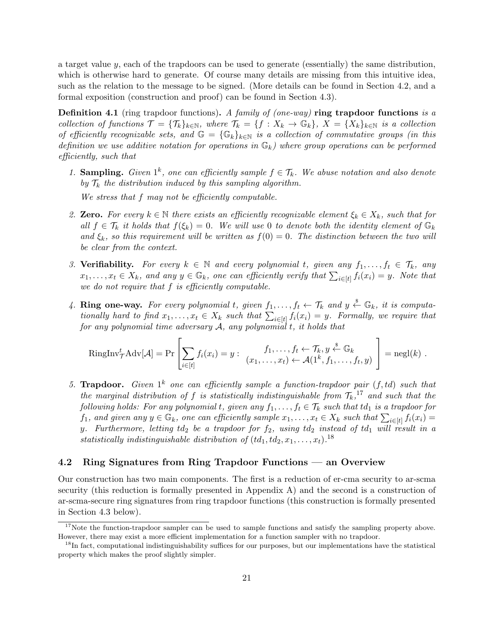a target value *y*, each of the trapdoors can be used to generate (essentially) the same distribution, which is otherwise hard to generate. Of course many details are missing from this intuitive idea, such as the relation to the message to be signed. (More details can be found in Section 4.2, and a formal exposition (construction and proof) can be found in Section 4.3).

**Definition 4.1** (ring trapdoor functions)**.** *A family of (one-way)* **ring trapdoor functions** *is a* collection of functions  $\mathcal{T} = {\mathcal{T}_k}_{k\in\mathbb{N}}$ , where  $\mathcal{T}_k = {\mathcal{T}_k} : X_k \to \mathbb{G}_k$ ,  $X = {X_k}_{k\in\mathbb{N}}$  is a collection *of efficiently recognizable sets, and*  $\mathbb{G} = {\mathbb{G}_k}_{k\in\mathbb{N}}$  *is a collection of commutative groups (in this definition we use additive notation for operations in* G*k) where group operations can be performed efficiently, such that*

1. **Sampling.** *Given*  $1^k$ , one can efficiently sample  $f \in \mathcal{T}_k$ . We abuse notation and also denote *by*  $\mathcal{T}_k$  *the distribution induced by this sampling algorithm.* 

*We stress that f may not be efficiently computable.*

- 2. **Zero.** For every  $k \in \mathbb{N}$  there exists an efficiently recognizable element  $\xi_k \in X_k$ , such that for *all*  $f \in \mathcal{T}_k$  *it holds that*  $f(\xi_k) = 0$ *. We will use* 0 *to denote both the identity element of*  $\mathbb{G}_k$ *and*  $\xi_k$ *, so this requirement will be written as*  $f(0) = 0$ *. The distinction between the two will be clear from the context.*
- *3.* **Verifiability.** *For every k ∈* N *and every polynomial t, given any f*1*, . . . , f<sup>t</sup> ∈ Tk, any*  $x_1, \ldots, x_t \in X_k$ , and any  $y \in \mathbb{G}_k$ , one can efficiently verify that  $\sum_{i \in [t]} f_i(x_i) = y$ . Note that *we do not require that f is efficiently computable.*
- 4. **Ring one-way.** For every polynomial *t*, given  $f_1, \ldots, f_t \leftarrow \mathcal{T}_k$  and  $y \stackrel{\$}{\leftarrow} \mathbb{G}_k$ , it is computa*tionally hard to find*  $x_1, \ldots, x_t \in X_k$  *such that*  $\sum_{i \in [t]} f_i(x_i) = y$ *. Formally, we require that for any polynomial time adversary A, any polynomial t, it holds that*

RingInv<sup>t</sup><sub>T</sub>Adv[
$$
\mathcal{A}
$$
] = Pr
$$
\left[\sum_{i \in [t]} f_i(x_i) = y : \begin{array}{c} f_1, \ldots, f_t \leftarrow \mathcal{T}_k, y \stackrel{s}{\leftarrow} \mathbb{G}_k \\ \forall 1, \ldots, x_t \rightarrow \mathcal{A}(1^k, f_1, \ldots, f_t, y) \end{array}\right] = negl(k).
$$

5. **Trapdoor.** Given  $1^k$  one can efficiently sample a function-trapdoor pair  $(f, td)$  such that *the marginal distribution of*  $f$  *is statistically indistinguishable from*  $T_k$ <sup>17</sup> *and such that the following holds: For any polynomial t, given any*  $f_1, \ldots, f_t \in \mathcal{T}_k$  such that  $td_1$  is a trapdoor for  $f_1$ , and given any  $y \in \mathbb{G}_k$ , one can efficiently sample  $x_1, \ldots, x_t \in X_k$  such that  $\sum_{i \in [t]} f_i(x_i) =$ *y. Furthermore, letting td*<sup>2</sup> *be a trapdoor for f*2*, using td*<sup>2</sup> *instead of td*<sup>1</sup> *will result in a statistically indistinguishable distribution of*  $(td_1, td_2, x_1, \ldots, x_t)$ .<sup>18</sup>

## **4.2 Ring Signatures from Ring Trapdoor Functions — an Overview**

Our construction has two main components. The first is a reduction of er-cma security to ar-scma security (this reduction is formally presented in Appendix A) and the second is a construction of ar-scma-secure ring signatures from ring trapdoor functions (this construction is formally presented in Section 4.3 below).

<sup>&</sup>lt;sup>17</sup>Note the function-trapdoor sampler can be used to sample functions and satisfy the sampling property above. However, there may exist a more efficient implementation for a function sampler with no trapdoor.

<sup>&</sup>lt;sup>18</sup>In fact, computational indistinguishability suffices for our purposes, but our implementations have the statistical property which makes the proof slightly simpler.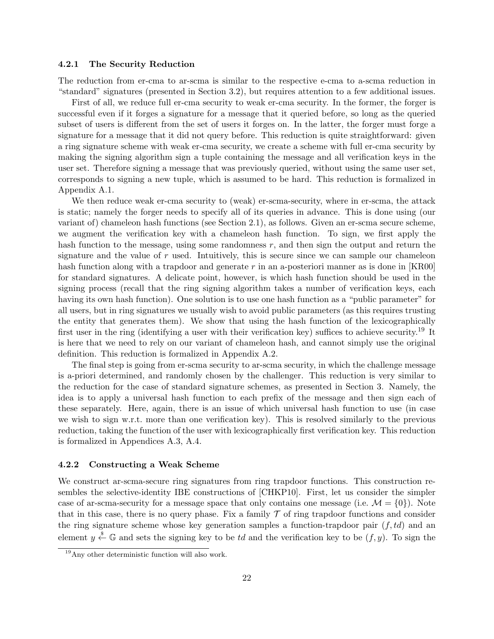#### **4.2.1 The Security Reduction**

The reduction from er-cma to ar-scma is similar to the respective e-cma to a-scma reduction in "standard" signatures (presented in Section 3.2), but requires attention to a few additional issues.

First of all, we reduce full er-cma security to weak er-cma security. In the former, the forger is successful even if it forges a signature for a message that it queried before, so long as the queried subset of users is different from the set of users it forges on. In the latter, the forger must forge a signature for a message that it did not query before. This reduction is quite straightforward: given a ring signature scheme with weak er-cma security, we create a scheme with full er-cma security by making the signing algorithm sign a tuple containing the message and all verification keys in the user set. Therefore signing a message that was previously queried, without using the same user set, corresponds to signing a new tuple, which is assumed to be hard. This reduction is formalized in Appendix A.1.

We then reduce weak er-cma security to (weak) er-scma-security, where in er-scma, the attack is static; namely the forger needs to specify all of its queries in advance. This is done using (our variant of) chameleon hash functions (see Section 2.1), as follows. Given an er-scma secure scheme, we augment the verification key with a chameleon hash function. To sign, we first apply the hash function to the message, using some randomness *r*, and then sign the output and return the signature and the value of  $r$  used. Intuitively, this is secure since we can sample our chameleon hash function along with a trapdoor and generate r in an a-posteriori manner as is done in [KR00] for standard signatures. A delicate point, however, is which hash function should be used in the signing process (recall that the ring signing algorithm takes a number of verification keys, each having its own hash function). One solution is to use one hash function as a "public parameter" for all users, but in ring signatures we usually wish to avoid public parameters (as this requires trusting the entity that generates them). We show that using the hash function of the lexicographically first user in the ring (identifying a user with their verification key) suffices to achieve security.<sup>19</sup> It is here that we need to rely on our variant of chameleon hash, and cannot simply use the original definition. This reduction is formalized in Appendix A.2.

The final step is going from er-scma security to ar-scma security, in which the challenge message is a-priori determined, and randomly chosen by the challenger. This reduction is very similar to the reduction for the case of standard signature schemes, as presented in Section 3. Namely, the idea is to apply a universal hash function to each prefix of the message and then sign each of these separately. Here, again, there is an issue of which universal hash function to use (in case we wish to sign w.r.t. more than one verification key). This is resolved similarly to the previous reduction, taking the function of the user with lexicographically first verification key. This reduction is formalized in Appendices A.3, A.4.

#### **4.2.2 Constructing a Weak Scheme**

We construct ar-scma-secure ring signatures from ring trapdoor functions. This construction resembles the selective-identity IBE constructions of [CHKP10]. First, let us consider the simpler case of ar-scma-security for a message space that only contains one message (i.e.  $\mathcal{M} = \{0\}$ ). Note that in this case, there is no query phase. Fix a family  $\mathcal T$  of ring trapdoor functions and consider the ring signature scheme whose key generation samples a function-trapdoor pair  $(f, td)$  and an element  $y \stackrel{\$}{\leftarrow} \mathbb{G}$  and sets the signing key to be *td* and the verification key to be  $(f, y)$ . To sign the

 $19\,\mathrm{Any}$  other deterministic function will also work.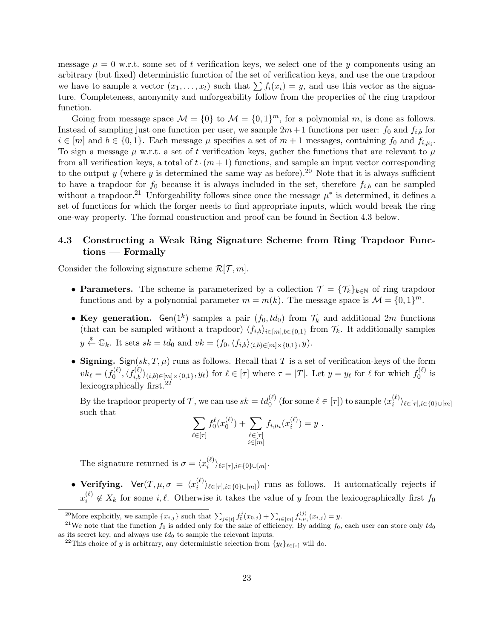message  $\mu = 0$  w.r.t. some set of t verification keys, we select one of the y components using an arbitrary (but fixed) deterministic function of the set of verification keys, and use the one trapdoor we have to sample a vector  $(x_1, \ldots, x_t)$  such that  $\sum f_i(x_i) = y$ , and use this vector as the signature. Completeness, anonymity and unforgeability follow from the properties of the ring trapdoor function.

Going from message space  $M = \{0\}$  to  $M = \{0, 1\}^m$ , for a polynomial m, is done as follows. Instead of sampling just one function per user, we sample  $2m+1$  functions per user:  $f_0$  and  $f_{i,b}$  for  $i \in [m]$  and  $b \in \{0, 1\}$ . Each message  $\mu$  specifies a set of  $m + 1$  messages, containing  $f_0$  and  $f_{i,\mu_i}$ . To sign a message  $\mu$  w.r.t. a set of t verification keys, gather the functions that are relevant to  $\mu$ from all verification keys, a total of  $t \cdot (m+1)$  functions, and sample an input vector corresponding to the output *y* (where *y* is determined the same way as before).<sup>20</sup> Note that it is always sufficient to have a trapdoor for  $f_0$  because it is always included in the set, therefore  $f_{i,b}$  can be sampled without a trapdoor.<sup>21</sup> Unforgeability follows since once the message  $\mu^*$  is determined, it defines a set of functions for which the forger needs to find appropriate inputs, which would break the ring one-way property. The formal construction and proof can be found in Section 4.3 below.

# **4.3 Constructing a Weak Ring Signature Scheme from Ring Trapdoor Functions — Formally**

Consider the following signature scheme  $\mathcal{R}[\mathcal{T}, m]$ .

- **Parameters.** The scheme is parameterized by a collection  $\mathcal{T} = {\mathcal{T}_k}_{k\in\mathbb{N}}$  of ring trapdoor functions and by a polynomial parameter  $m = m(k)$ . The message space is  $\mathcal{M} = \{0, 1\}^m$ .
- Key generation. Gen( $1^k$ ) samples a pair  $(f_0, td_0)$  from  $\mathcal{T}_k$  and additional 2*m* functions (that can be sampled without a trapdoor)  $\langle f_{i,b}\rangle_{i\in[m],b\in\{0,1\}}$  from  $\mathcal{T}_k$ . It additionally samples  $y \stackrel{\$}{\leftarrow} \mathbb{G}_k$ . It sets  $sk = td_0$  and  $vk = (f_0, \langle f_{i,b} \rangle_{(i,b) \in [m] \times \{0,1\}}, y)$ .
- **Signing.** Sign( $sk, T, \mu$ ) runs as follows. Recall that *T* is a set of verification-keys of the form  $vk_{\ell} = (f_0^{(\ell)}$  $\mathcal{L}_{0}^{(\ell)}, \langle f_{i,b}^{(\ell)} \rangle_{(i,b)\in[m]\times\{0,1\}}, y_{\ell})$  for  $\ell \in [\tau]$  where  $\tau = |T|$ . Let  $y = y_{\ell}$  for  $\ell$  for which  $f_{0}^{(\ell)}$  $\int_0^{(\ell)}$  is lexicographically first.<sup>22</sup>

By the trapdoor property of  $\mathcal{T}$ , we can use  $sk = td_0^{(\ell)}$  (for some  $\ell \in [\tau]$ ) to sample  $\langle x_i^{(\ell)} \rangle$ *i ⟩ℓ∈*[*τ*]*,i∈{*0*}∪*[*m*] such that

$$
\sum_{\ell \in [\tau]} f_0^{\ell}(x_0^{(\ell)}) + \sum_{\substack{\ell \in [\tau] \\ i \in [m]}} f_{i, \mu_i}(x_i^{(\ell)}) = y.
$$

The signature returned is  $\sigma = \langle x_i^{(\ell)} \rangle$ *i ⟩ℓ∈*[*τ*]*,i∈{*0*}∪*[*m*] .

• **Verifying.**  $\mathsf{Ver}(T, \mu, \sigma) = \langle x_i^{(\ell)} \rangle$  $\langle i \rangle_{\ell \in [\tau], i \in \{0\} \cup [m]}$  runs as follows. It automatically rejects if  $x_i^{(\ell)}$  $i^{\left(\ell\right)}$   $\notin X_k$  for some *i,*  $\ell$ . Otherwise it takes the value of *y* from the lexicographically first  $f_0$ 

<sup>&</sup>lt;sup>20</sup>More explicitly, we sample  $\{x_{i,j}\}$  such that  $\sum_{j\in[t]} f_0^j(x_{0,j}) + \sum_{i\in[m]} f_{i,\mu_i}^{(j)}(x_{i,j}) = y$ .

<sup>&</sup>lt;sup>21</sup>We note that the function  $f_0$  is added only for the sake of efficiency. By adding  $f_0$ , each user can store only  $td_0$ as its secret key, and always use  $td_0$  to sample the relevant inputs.

<sup>&</sup>lt;sup>22</sup>This choice of *y* is arbitrary, any deterministic selection from  $\{y_\ell\}_{\ell \in [\tau]}$  will do.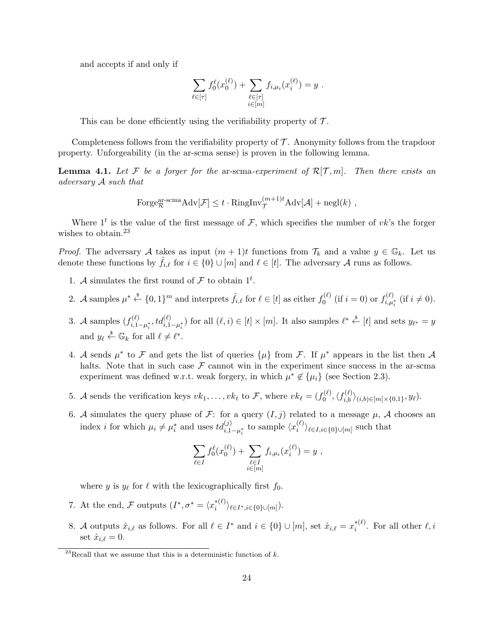and accepts if and only if

$$
\sum_{\ell \in [\tau]} f_0^{\ell}(x_0^{(\ell)}) + \sum_{\substack{\ell \in [\tau] \\ i \in [m]}} f_{i, \mu_i}(x_i^{(\ell)}) = y.
$$

This can be done efficiently using the verifiability property of *T* .

Completeness follows from the verifiability property of  $\mathcal T$ . Anonymity follows from the trapdoor property. Unforgeability (in the ar-scma sense) is proven in the following lemma.

**Lemma 4.1.** Let F be a forger for the ar-scma-experiment of  $\mathcal{R}[\mathcal{T},m]$ . Then there exists an *adversary A such that*

Forge<sub>R</sub><sup>ar-sema</sup>Adv[
$$
\mathcal{F}
$$
]  $\leq t \cdot \text{RingInv}_{\mathcal{T}}^{(m+1)t} \text{Adv}[\mathcal{A}] + \text{negl}(k)$ ,

Where  $1<sup>t</sup>$  is the value of the first message of  $\mathcal{F}$ , which specifies the number of *vk*'s the forger wishes to obtain.<sup>23</sup>

*Proof.* The adversary *A* takes as input  $(m + 1)t$  functions from  $\mathcal{T}_k$  and a value  $y \in \mathbb{G}_k$ . Let us denote these functions by  $f_{i,\ell}$  for  $i \in \{0\} \cup [m]$  and  $\ell \in [t]$ . The adversary *A* runs as follows.

- 1. *A* simulates the first round of  $\mathcal F$  to obtain 1<sup>t</sup>.
- 2. *A* samples  $\mu^* \stackrel{\$}{\leftarrow} \{0,1\}^m$  and interprets  $\hat{f}_{i,\ell}$  for  $\ell \in [t]$  as either  $f_0^{(\ell)}$  $g_0^{(\ell)}$  (if  $i=0$ ) or  $f_{i,\mu}^{(\ell)}$  $i, \mu_i^*$  (if *i* ≠ 0).
- 3. *A* samples  $(f_{i,1}^{(\ell)})$  $\mathcal{L}^{(\ell)}_{i,1-\mu_i^*},td_{i,1-\mu_i^*}^{(\ell)})$  for all  $(\ell,i)\in[t]\times[m]$ . It also samples  $\ell^*\overset{\$}{\leftarrow}[t]$  and sets  $y_{\ell^*}=y$ and  $y_{\ell} \stackrel{\$}{\leftarrow} \mathbb{G}_k$  for all  $\ell \neq \ell^*$ .
- 4. *A* sends  $\mu^*$  to *F* and gets the list of queries  $\{\mu\}$  from *F*. If  $\mu^*$  appears in the list then *A* halts. Note that in such case  $\mathcal F$  cannot win in the experiment since success in the ar-scma experiment was defined w.r.t. weak forgery, in which  $\mu^* \notin {\{\mu_i\}}$  (see Section 2.3).
- 5. *A* sends the verification keys  $vk_1, \ldots, vk_t$  to  $\mathcal{F}$ , where  $vk_\ell = (f_0^{(\ell)})$  $\langle f^{(\ell)}_{i,b}, \langle f^{(\ell)}_{i,b} \rangle_{(i,b)\in[m]\times\{0,1\}}, y_\ell \rangle.$
- 6. *A* simulates the query phase of *F*: for a query  $(I, j)$  related to a message  $\mu$ , *A* chooses an index *i* for which  $\mu_i \neq \mu_i^*$  and uses  $td_{i,1-\mu_i^*}^{(j)}$  to sample  $\langle x_i^{(\ell)} \rangle$  $\langle {i \atop i} \rangle$ <sup>*l*</sup> $\in I, i \in \{0\}$ ∪[*m*] such that

$$
\sum_{\ell \in I} f_0^{\ell}(x_0^{(\ell)}) + \sum_{\substack{\ell \in I \\ i \in [m]}} f_{i,\mu_i}(x_i^{(\ell)}) = y ,
$$

where *y* is  $y_{\ell}$  for  $\ell$  with the lexicographically first  $f_0$ .

- 7. At the end, *F* outputs  $(I^*, \sigma^* = \langle x_i^{*(\ell)} \rangle)$ *i ⟩ℓ∈<sup>I</sup> ∗,i∈{*0*}∪*[*m*] ).
- 8. *A* outputs  $\hat{x}_{i,\ell}$  as follows. For all  $\ell \in I^*$  and  $i \in \{0\} \cup [m]$ , set  $\hat{x}_{i,\ell} = x_i^{*(\ell)}$  $i^{*(\ell)}$ . For all other  $\ell, i$ set  $\hat{x}_{i,\ell} = 0$ .

<sup>&</sup>lt;sup>23</sup>Recall that we assume that this is a deterministic function of  $k$ .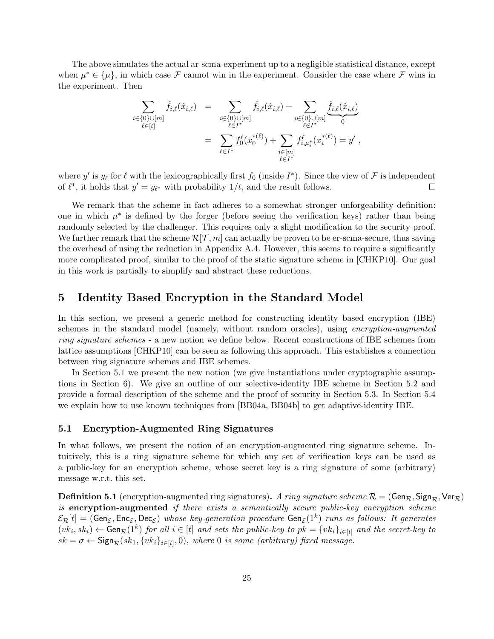The above simulates the actual ar-scma-experiment up to a negligible statistical distance, except when  $\mu^* \in {\{\mu\}}$ , in which case *F* cannot win in the experiment. Consider the case where *F* wins in the experiment. Then

$$
\sum_{i \in \{0\} \cup [m]} \hat{f}_{i,\ell}(\hat{x}_{i,\ell}) = \sum_{\substack{i \in \{0\} \cup [m] \\ \ell \in I^*}} \hat{f}_{i,\ell}(\hat{x}_{i,\ell}) + \sum_{\substack{i \in \{0\} \cup [m] \\ \ell \notin I^*}} \hat{f}_{i,\ell}(\hat{x}_{i,\ell})
$$
\n
$$
= \sum_{\ell \in I^*} f_0^{\ell}(x_0^{*(\ell)}) + \sum_{\substack{i \in [m] \\ \ell \in I^*}} f_{i,\mu_i^*}^{\ell}(x_i^{*(\ell)}) = y',
$$

where *y'* is  $y_{\ell}$  for  $\ell$  with the lexicographically first  $f_0$  (inside  $I^*$ ). Since the view of  $\mathcal F$  is independent of  $\ell^*$ , it holds that  $y' = y_{\ell^*}$  with probability  $1/t$ , and the result follows.  $\Box$ 

We remark that the scheme in fact adheres to a somewhat stronger unforgeability definition: one in which  $\mu^*$  is defined by the forger (before seeing the verification keys) rather than being randomly selected by the challenger. This requires only a slight modification to the security proof. We further remark that the scheme  $\mathcal{R}[\mathcal{T},m]$  can actually be proven to be er-scma-secure, thus saving the overhead of using the reduction in Appendix A.4. However, this seems to require a significantly more complicated proof, similar to the proof of the static signature scheme in [CHKP10]. Our goal in this work is partially to simplify and abstract these reductions.

# **5 Identity Based Encryption in the Standard Model**

In this section, we present a generic method for constructing identity based encryption (IBE) schemes in the standard model (namely, without random oracles), using *encryption-augmented ring signature schemes* - a new notion we define below. Recent constructions of IBE schemes from lattice assumptions [CHKP10] can be seen as following this approach. This establishes a connection between ring signature schemes and IBE schemes.

In Section 5.1 we present the new notion (we give instantiations under cryptographic assumptions in Section 6). We give an outline of our selective-identity IBE scheme in Section 5.2 and provide a formal description of the scheme and the proof of security in Section 5.3. In Section 5.4 we explain how to use known techniques from [BB04a, BB04b] to get adaptive-identity IBE.

#### **5.1 Encryption-Augmented Ring Signatures**

In what follows, we present the notion of an encryption-augmented ring signature scheme. Intuitively, this is a ring signature scheme for which any set of verification keys can be used as a public-key for an encryption scheme, whose secret key is a ring signature of some (arbitrary) message w.r.t. this set.

**Definition 5.1** (encryption-augmented ring signatures). *A ring signature scheme*  $\mathcal{R} = (\text{Gen}_{\mathcal{R}}, \text{Sign}_{\mathcal{R}}, \text{Ver}_{\mathcal{R}})$ *is* **encryption-augmented** *if there exists a semantically secure public-key encryption scheme*  $\mathcal{E}_{\mathcal{R}}[t] =$  (Gen $_{\mathcal{E}}$ , Enc<sub> $_{\mathcal{E}}$ </sub>, Dec<sub> $_{\mathcal{E}}$ </sub>) *whose key-generation procedure* Gen $_{\mathcal{E}}(1^k)$  *runs as follows: It generates*  $(vk_i, sk_i) \leftarrow$  Gen $_{\mathcal{R}}(1^k)$  for all  $i \in [t]$  and sets the public-key to  $pk = \{vk_i\}_{i \in [t]}$  and the secret-key to  $sk = \sigma \leftarrow$  Sign $_R(sk_1, \{vk_i\}_{i \in [t]}, 0)$ , where 0 *is some (arbitrary) fixed message.*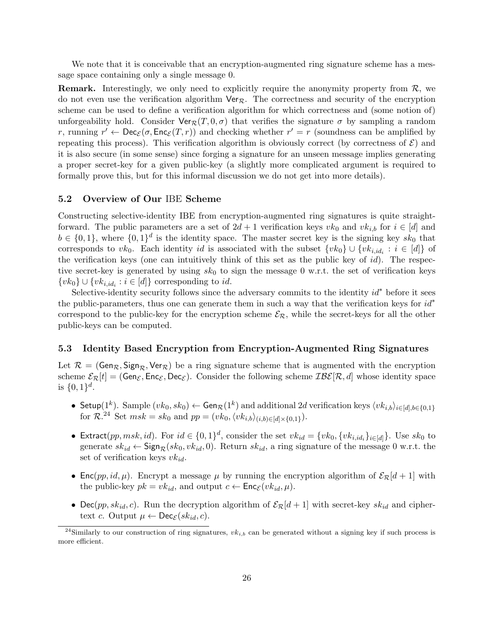We note that it is conceivable that an encryption-augmented ring signature scheme has a message space containing only a single message 0.

**Remark.** Interestingly, we only need to explicitly require the anonymity property from *R*, we do not even use the verification algorithm Ver*R*. The correctness and security of the encryption scheme can be used to define a verification algorithm for which correctness and (some notion of) unforgeability hold. Consider  $\text{Ver}_R(T, 0, \sigma)$  that verifies the signature  $\sigma$  by sampling a random *r*, running  $r' \leftarrow \text{Dec}_{\mathcal{E}}(\sigma, \text{Enc}_{\mathcal{E}}(T, r))$  and checking whether  $r' = r$  (soundness can be amplified by repeating this process). This verification algorithm is obviously correct (by correctness of  $\mathcal{E}$ ) and it is also secure (in some sense) since forging a signature for an unseen message implies generating a proper secret-key for a given public-key (a slightly more complicated argument is required to formally prove this, but for this informal discussion we do not get into more details).

# **5.2 Overview of Our** IBE **Scheme**

Constructing selective-identity IBE from encryption-augmented ring signatures is quite straightforward. The public parameters are a set of  $2d + 1$  verification keys  $vk_0$  and  $vk_{i,b}$  for  $i \in [d]$  and  $b \in \{0,1\}$ , where  $\{0,1\}$ <sup>d</sup> is the identity space. The master secret key is the signing key  $sk_0$  that corresponds to *vk*<sub>0</sub>. Each identity *id* is associated with the subset  $\{vk_0\} \cup \{vk_{i,id_i} : i \in [d]\}$  of the verification keys (one can intuitively think of this set as the public key of *id*). The respective secret-key is generated by using  $sk_0$  to sign the message 0 w.r.t. the set of verification keys  $\{vk_0\} \cup \{vk_{i,id_i} : i \in [d]\}$  corresponding to *id*.

Selective-identity security follows since the adversary commits to the identity *id<sup>∗</sup>* before it sees the public-parameters, thus one can generate them in such a way that the verification keys for *id<sup>∗</sup>* correspond to the public-key for the encryption scheme  $\mathcal{E}_{\mathcal{R}}$ , while the secret-keys for all the other public-keys can be computed.

#### **5.3 Identity Based Encryption from Encryption-Augmented Ring Signatures**

Let  $\mathcal{R} = (\text{Gen}_{\mathcal{R}}, \text{Sign}_{\mathcal{R}}, \text{Ver}_{\mathcal{R}})$  be a ring signature scheme that is augmented with the encryption scheme  $\mathcal{E}_{\mathcal{R}}[t] = (\mathsf{Gen}_{\mathcal{E}}, \mathsf{Enc}_{\mathcal{E}}, \mathsf{Dec}_{\mathcal{E}}).$  Consider the following scheme  $\mathcal{I} \mathcal{B} \mathcal{E}[\mathcal{R}, d]$  whose identity space is  $\{0, 1\}^d$ .

- Setup(1<sup>k</sup>). Sample  $(vk_0, sk_0) \leftarrow$  Gen $_{\mathcal{R}}(1^k)$  and additional 2d verification keys  $\langle vk_{i,b}\rangle_{i \in [d], b \in \{0,1\}}$ for  $\mathcal{R}^{24}$  Set  $msk = sk_0$  and  $pp = (vk_0, \langle vk_{i,b}\rangle_{(i,b) \in [d] \times \{0,1\}})$ .
- Extract(pp, msk, id). For  $id \in \{0,1\}^d$ , consider the set  $vk_{id} = \{vk_0, \{vk_{i,id_i}\}_{i \in [d]}\}$ . Use  $sk_0$  to generate  $sk_{id} \leftarrow$  Sign<sub>R</sub>( $sk_0, vk_{id}, 0$ ). Return  $sk_{id}$ , a ring signature of the message 0 w.r.t. the set of verification keys *vkid*.
- Enc(*pp, id,*  $\mu$ ). Encrypt a message  $\mu$  by running the encryption algorithm of  $\mathcal{E}_{\mathcal{R}}[d+1]$  with the public-key  $pk = vk_{id}$ , and output  $c \leftarrow \mathsf{Enc}_{\mathcal{E}}(vk_{id}, \mu)$ .
- Dec(*pp*,  $sk_{id}$ , *c*). Run the decryption algorithm of  $\mathcal{E}_{\mathcal{R}}[d+1]$  with secret-key  $sk_{id}$  and ciphertext *c*. Output  $\mu \leftarrow \text{Dec}_{\mathcal{E}}(sk_{id}, c)$ .

<sup>&</sup>lt;sup>24</sup>Similarly to our construction of ring signatures,  $vk_{i,b}$  can be generated without a signing key if such process is more efficient.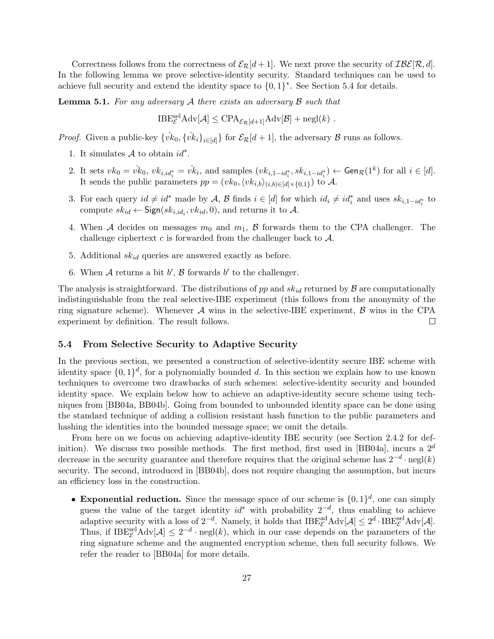Correctness follows from the correctness of  $\mathcal{E}_{\mathcal{R}}[d+1]$ . We next prove the security of  $\mathcal{IBE}[\mathcal{R}, d]$ . In the following lemma we prove selective-identity security. Standard techniques can be used to achieve full security and extend the identity space to *{*0*,* 1*} ∗* . See Section 5.4 for details.

**Lemma 5.1.** *For any adversary A there exists an adversary B such that*

 $\text{IBE}_{\mathcal{E}}^{\text{sel}} \text{Adv}[\mathcal{A}] \leq \text{CPA}_{\mathcal{E}_{\mathcal{R}}[d+1]} \text{Adv}[\mathcal{B}] + \text{negl}(k)$ .

*Proof.* Given a public-key  $\{\hat{vk}_0, \{\hat{vk}_i\}_{i \in [d]}\}$  for  $\mathcal{E}_{\mathcal{R}}[d+1]$ , the adversary *B* runs as follows.

- 1. It simulates  $A$  to obtain  $id^*$ .
- 2. It sets  $vk_0 = v_k^k$ ,  $vk_{i,id_i^*} = v_k^k$ , and samples  $(vk_{i,1-id_i^*}, sk_{i,1-id_i^*}) \leftarrow \textsf{Gen}_{\mathcal{R}}(1^k)$  for all  $i \in [d]$ . It sends the public parameters  $pp = (vk_0, \langle vk_{i,b}\rangle_{(i,b)\in[d]\times\{0,1\}})$  to A.
- 3. For each query  $id \neq id^*$  made by A, B finds  $i \in [d]$  for which  $id_i \neq id_i^*$  and uses  $sk_{i,1-id_i^*}$  to compute  $sk_{id} \leftarrow$  Sign( $sk_{i,id_i}, vk_{id}, 0$ ), and returns it to  $A$ .
- 4. When *A* decides on messages  $m_0$  and  $m_1$ , *B* forwards them to the CPA challenger. The challenge ciphertext *c* is forwarded from the challenger back to *A*.
- 5. Additional *skid* queries are answered exactly as before.
- 6. When  $A$  returns a bit  $b'$ ,  $B$  forwards  $b'$  to the challenger.

The analysis is straightforward. The distributions of  $pp$  and  $sk_{id}$  returned by  $\beta$  are computationally indistinguishable from the real selective-IBE experiment (this follows from the anonymity of the ring signature scheme). Whenever *A* wins in the selective-IBE experiment, *B* wins in the CPA experiment by definition. The result follows.  $\Box$ 

#### **5.4 From Selective Security to Adaptive Security**

In the previous section, we presented a construction of selective-identity secure IBE scheme with identity space  $\{0,1\}^d$ , for a polynomially bounded *d*. In this section we explain how to use known techniques to overcome two drawbacks of such schemes: selective-identity security and bounded identity space. We explain below how to achieve an adaptive-identity secure scheme using techniques from [BB04a, BB04b]. Going from bounded to unbounded identity space can be done using the standard technique of adding a collision resistant hash function to the public parameters and hashing the identities into the bounded message space; we omit the details.

From here on we focus on achieving adaptive-identity IBE security (see Section 2.4.2 for definition). We discuss two possible methods. The first method, first used in [BB04a], incurs a 2*<sup>d</sup>* decrease in the security guarantee and therefore requires that the original scheme has 2*−<sup>d</sup> ·* negl(*k*) security. The second, introduced in [BB04b], does not require changing the assumption, but incurs an efficiency loss in the construction.

• **Exponential reduction.** Since the message space of our scheme is  $\{0,1\}^d$ , one can simply guess the value of the target identity *id<sup>∗</sup>* with probability 2*−<sup>d</sup>* , thus enabling to achieve adaptive security with a loss of  $2^{-d}$ . Namely, it holds that  $IBE_{\mathcal{E}}^{\text{ad}} \text{Adv}[\mathcal{A}] \leq 2^d \cdot IBE_{\mathcal{E}}^{\text{sel}} \text{Adv}[\mathcal{A}].$ Thus, if  $IBE_{\mathcal{E}}^{\text{sel}} \text{Adv}[\mathcal{A}] \leq 2^{-d} \cdot \text{negl}(k)$ , which in our case depends on the parameters of the ring signature scheme and the augmented encryption scheme, then full security follows. We refer the reader to [BB04a] for more details.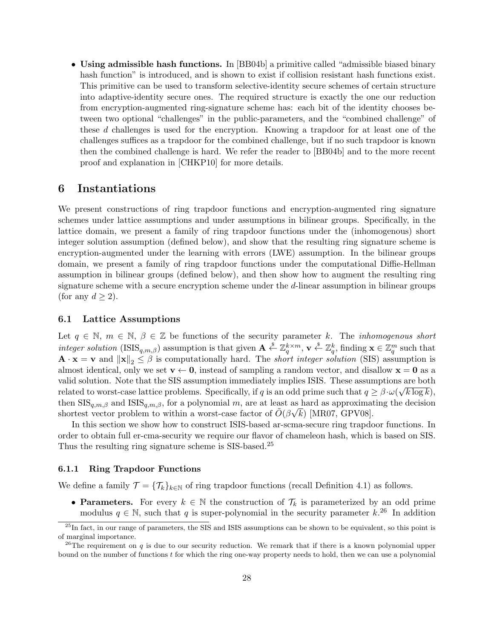• **Using admissible hash functions.** In [BB04b] a primitive called "admissible biased binary hash function" is introduced, and is shown to exist if collision resistant hash functions exist. This primitive can be used to transform selective-identity secure schemes of certain structure into adaptive-identity secure ones. The required structure is exactly the one our reduction from encryption-augmented ring-signature scheme has: each bit of the identity chooses between two optional "challenges" in the public-parameters, and the "combined challenge" of these *d* challenges is used for the encryption. Knowing a trapdoor for at least one of the challenges suffices as a trapdoor for the combined challenge, but if no such trapdoor is known then the combined challenge is hard. We refer the reader to [BB04b] and to the more recent proof and explanation in [CHKP10] for more details.

# **6 Instantiations**

We present constructions of ring trapdoor functions and encryption-augmented ring signature schemes under lattice assumptions and under assumptions in bilinear groups. Specifically, in the lattice domain, we present a family of ring trapdoor functions under the (inhomogenous) short integer solution assumption (defined below), and show that the resulting ring signature scheme is encryption-augmented under the learning with errors (LWE) assumption. In the bilinear groups domain, we present a family of ring trapdoor functions under the computational Diffie-Hellman assumption in bilinear groups (defined below), and then show how to augment the resulting ring signature scheme with a secure encryption scheme under the *d*-linear assumption in bilinear groups (for any  $d \geq 2$ ).

# **6.1 Lattice Assumptions**

Let  $q \in \mathbb{N}$ ,  $m \in \mathbb{N}$ ,  $\beta \in \mathbb{Z}$  be functions of the security parameter *k*. The *inhomogenous short integer solution* (ISIS<sub>q,m,β</sub>) assumption is that given  $\mathbf{A} \stackrel{\$}{\leftarrow} \mathbb{Z}_q^{k \times m}$ ,  $\mathbf{v} \stackrel{\$}{\leftarrow} \mathbb{Z}_q^k$ , finding  $\mathbf{x} \in \mathbb{Z}_q^m$  such that  $\mathbf{A} \cdot \mathbf{x} = \mathbf{v}$  and  $\|\mathbf{x}\|_2 \leq \beta$  is computationally hard. The *short integer solution* (SIS) assumption is almost identical, only we set  $\mathbf{v} \leftarrow \mathbf{0}$ , instead of sampling a random vector, and disallow  $\mathbf{x} = \mathbf{0}$  as a valid solution. Note that the SIS assumption immediately implies ISIS. These assumptions are both *√* related to worst-case lattice problems. Specifically, if *q* is an odd prime such that  $q \ge \beta \cdot \omega(\sqrt{k \log k})$ , then  $\text{SIS}_{q,m,\beta}$  and  $\text{ISS}_{q,m,\beta}$ , for a polynomial *m*, are at least as hard as approximating the decision shortest vector problem to within a worst-case factor of  $\tilde{O}(\beta\sqrt{k})$  [MR07, GPV08].

In this section we show how to construct ISIS-based ar-scma-secure ring trapdoor functions. In order to obtain full er-cma-security we require our flavor of chameleon hash, which is based on SIS. Thus the resulting ring signature scheme is SIS-based.<sup>25</sup>

#### **6.1.1 Ring Trapdoor Functions**

We define a family  $\mathcal{T} = {\mathcal{T}_k}_{k \in \mathbb{N}}$  of ring trapdoor functions (recall Definition 4.1) as follows.

**• Parameters.** For every  $k \in \mathbb{N}$  the construction of  $\mathcal{T}_k$  is parameterized by an odd prime modulus  $q \in \mathbb{N}$ , such that q is super-polynomial in the security parameter  $k^{26}$  In addition

 $^{25}$ In fact, in our range of parameters, the SIS and ISIS assumptions can be shown to be equivalent, so this point is of marginal importance.

<sup>&</sup>lt;sup>26</sup>The requirement on *q* is due to our security reduction. We remark that if there is a known polynomial upper bound on the number of functions *t* for which the ring one-way property needs to hold, then we can use a polynomial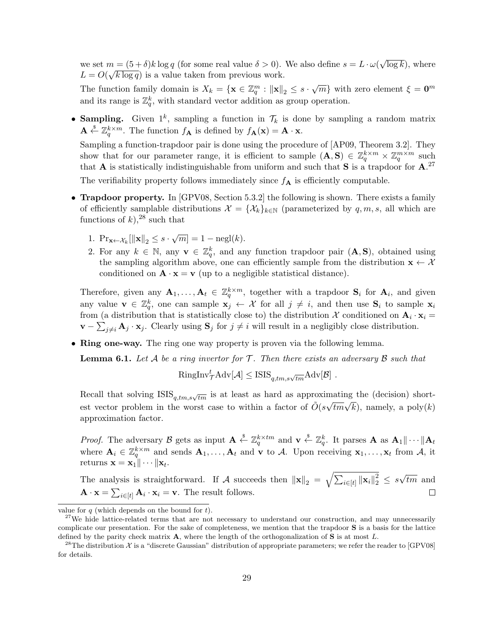we set  $m = (5 + \delta)k \log q$  (for some real value  $\delta > 0$ ). We also define  $s = L \cdot \omega(\sqrt{\log k})$ , where  $L = O(\sqrt{k \log q})$  is a value taken from previous work.

The function family domain is  $X_k = \{ \mathbf{x} \in \mathbb{Z}_q^m : ||\mathbf{x}||_2 \leq s \cdot \sqrt{m} \}$  with zero element  $\xi = \mathbf{0}^m$ and its range is  $\mathbb{Z}_q^k$ , with standard vector addition as group operation.

• **Sampling.** Given  $1^k$ , sampling a function in  $\mathcal{T}_k$  is done by sampling a random matrix  $\mathbf{A} \stackrel{\$}{\leftarrow} \mathbb{Z}_q^{k \times m}$ . The function  $f_{\mathbf{A}}$  is defined by  $f_{\mathbf{A}}(\mathbf{x}) = \mathbf{A} \cdot \mathbf{x}$ .

Sampling a function-trapdoor pair is done using the procedure of [AP09, Theorem 3.2]. They show that for our parameter range, it is efficient to sample  $(A, S) \in \mathbb{Z}_q^{k \times m} \times \mathbb{Z}_q^{m \times m}$  such that **A** is statistically indistinguishable from uniform and such that **S** is a trapdoor for  $\mathbf{A}$ .<sup>27</sup>

The verifiability property follows immediately since  $f_{\mathbf{A}}$  is efficiently computable.

- **Trapdoor property.** In [GPV08, Section 5.3.2] the following is shown. There exists a family of efficiently samplable distributions  $\mathcal{X} = {\mathcal{X}_k}_{k \in \mathbb{N}}$  (parameterized by  $q, m, s$ , all which are functions of  $k$ ), <sup>28</sup> such that
	- 1.  $\Pr_{\mathbf{x} \leftarrow \mathcal{X}_k} [\|\mathbf{x}\|_2 \leq s \cdot \sqrt{m}] = 1 \text{negl}(k).$
	- 2. For any  $k \in \mathbb{N}$ , any  $\mathbf{v} \in \mathbb{Z}_q^k$ , and any function trapdoor pair  $(\mathbf{A}, \mathbf{S})$ , obtained using the sampling algorithm above, one can efficiently sample from the distribution  $\mathbf{x} \leftarrow \mathcal{X}$ conditioned on  $\mathbf{A} \cdot \mathbf{x} = \mathbf{v}$  (up to a negligible statistical distance).

Therefore, given any  $\mathbf{A}_1, \ldots, \mathbf{A}_t \in \mathbb{Z}_q^{k \times m}$ , together with a trapdoor  $\mathbf{S}_i$  for  $\mathbf{A}_i$ , and given any value  $\mathbf{v} \in \mathbb{Z}_q^k$ , one can sample  $\mathbf{x}_j \leftarrow \mathcal{X}$  for all  $j \neq i$ , and then use  $\mathbf{S}_i$  to sample  $\mathbf{x}_i$ from (a distribution that is statistically close to) the distribution  $\mathcal{X}$  conditioned on  $\mathbf{A}_i \cdot \mathbf{x}_i =$ **v** −  $\sum_{j\neq i}$  **A**<sub>*j*</sub>  $\cdot$  **x**<sub>*j*</sub>. Clearly using **S**<sub>*j*</sub> for  $j \neq i$  will result in a negligibly close distribution.

• **Ring one-way.** The ring one way property is proven via the following lemma.

**Lemma 6.1.** *Let A be a ring invertor for T . Then there exists an adversary B such that*

$$
\text{RingInv}_{\mathcal{T}}^t \text{Adv}[\mathcal{A}] \leq \text{ISIS}_{q,tm,s\sqrt{tm}} \text{Adv}[\mathcal{B}] .
$$

Recall that solving ISIS $_{q,tm,s}\sqrt{tm}$  is at least as hard as approximating the (decision) shortest vector problem in the worst case to within a factor of  $\tilde{O}(s\sqrt{tm}\sqrt{k})$ , namely, a poly $(k)$ approximation factor.

*Proof.* The adversary *B* gets as input  $\mathbf{A} \leftarrow \mathbb{Z}_q^{k \times tm}$  and  $\mathbf{v} \leftarrow \mathbb{Z}_q^k$ . It parses  $\mathbf{A}$  as  $\mathbf{A}_1 || \cdots || \mathbf{A}_t$ *q* where  $\mathbf{A}_i \in \mathbb{Z}_q^{k \times m}$  and sends  $\mathbf{A}_1, \ldots, \mathbf{A}_t$  and **v** to *A*. Upon receiving  $\mathbf{x}_1, \ldots, \mathbf{x}_t$  from *A*, it  $\text{returns } \mathbf{x} = \mathbf{x}_1 \|\cdots \|\mathbf{x}_t.$ 

*√* The analysis is straightforward. If *A* succeeds then  $||\mathbf{x}||_2 = \sqrt{\sum_{i \in [t]} ||\mathbf{x}_i||_2^2} \leq s$ *tm* and  $\mathbf{A} \cdot \mathbf{x} = \sum_{i \in [t]} \mathbf{A}_i \cdot \mathbf{x}_i = \mathbf{v}$ . The result follows.  $\Box$ 

value for *q* (which depends on the bound for *t*).

 $27$ We hide lattice-related terms that are not necessary to understand our construction, and may unnecessarily complicate our presentation. For the sake of completeness, we mention that the trapdoor **S** is a basis for the lattice defined by the parity check matrix **A**, where the length of the orthogonalization of **S** is at most *L*.

<sup>&</sup>lt;sup>28</sup>The distribution  $X$  is a "discrete Gaussian" distribution of appropriate parameters; we refer the reader to [GPV08] for details.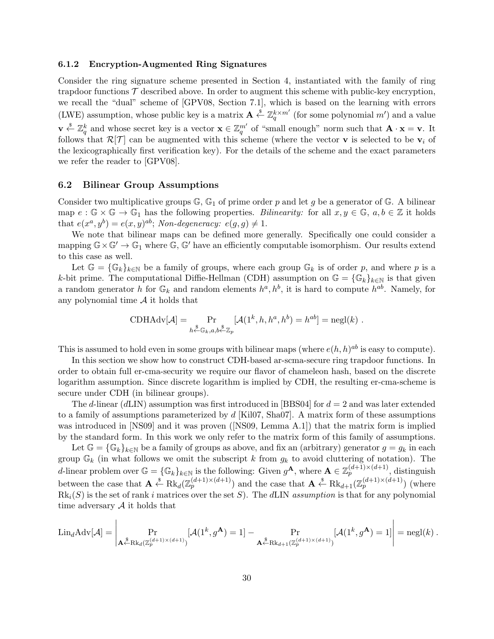#### **6.1.2 Encryption-Augmented Ring Signatures**

Consider the ring signature scheme presented in Section 4, instantiated with the family of ring trapdoor functions  $\mathcal T$  described above. In order to augment this scheme with public-key encryption, we recall the "dual" scheme of [GPV08, Section 7.1], which is based on the learning with errors (LWE) assumption, whose public key is a matrix  $\mathbf{A} \stackrel{\$}{\leftarrow} \mathbb{Z}_q^{k \times m'}$  (for some polynomial  $m'$ ) and a value  $\mathbf{v} \stackrel{\$}{\leftarrow} \mathbb{Z}_q^k$  and whose secret key is a vector  $\mathbf{x} \in \mathbb{Z}_q^{m'}$  of "small enough" norm such that  $\mathbf{A} \cdot \mathbf{x} = \mathbf{v}$ . It follows that  $\mathcal{R}[\mathcal{T}]$  can be augmented with this scheme (where the vector **v** is selected to be  $\mathbf{v}_i$  of the lexicographically first verification key). For the details of the scheme and the exact parameters we refer the reader to [GPV08].

#### **6.2 Bilinear Group Assumptions**

Consider two multiplicative groups  $\mathbb{G}$ ,  $\mathbb{G}_1$  of prime order p and let g be a generator of  $\mathbb{G}$ . A bilinear map  $e: \mathbb{G} \times \mathbb{G} \to \mathbb{G}_1$  has the following properties. *Bilinearity:* for all  $x, y \in \mathbb{G}$ ,  $a, b \in \mathbb{Z}$  it holds that  $e(x^a, y^b) = e(x, y)^{ab}$ ; *Non-degeneracy:*  $e(g, g) \neq 1$ .

We note that bilinear maps can be defined more generally. Specifically one could consider a mapping  $\mathbb{G} \times \mathbb{G}' \to \mathbb{G}_1$  where  $\mathbb{G}, \mathbb{G}'$  have an efficiently computable isomorphism. Our results extend to this case as well.

Let  $\mathbb{G} = {\mathbb{G}_k}_{k\in\mathbb{N}}$  be a family of groups, where each group  $\mathbb{G}_k$  is of order p, and where p is a *k*-bit prime. The computational Diffie-Hellman (CDH) assumption on  $\mathbb{G} = {\mathbb{G}_k}_{k\in\mathbb{N}}$  is that given a random generator *h* for  $\mathbb{G}_k$  and random elements  $h^a, h^b$ , it is hard to compute  $h^{ab}$ . Namely, for any polynomial time *A* it holds that

CDHAdv[
$$
\mathcal{A}
$$
] =  $\Pr_{h \leftarrow \mathbb{G}_k, a, b \leftarrow \mathbb{Z}_p} [\mathcal{A}(1^k, h, h^a, h^b) = h^{ab}] = negl(k)$ .

This is assumed to hold even in some groups with bilinear maps (where  $e(h, h)$ <sup>ab</sup> is easy to compute).

In this section we show how to construct CDH-based ar-scma-secure ring trapdoor functions. In order to obtain full er-cma-security we require our flavor of chameleon hash, based on the discrete logarithm assumption. Since discrete logarithm is implied by CDH, the resulting er-cma-scheme is secure under CDH (in bilinear groups).

The *d*-linear (*d*LIN) assumption was first introduced in [BBS04] for *d* = 2 and was later extended to a family of assumptions parameterized by *d* [Kil07, Sha07]. A matrix form of these assumptions was introduced in [NS09] and it was proven ([NS09, Lemma A.1]) that the matrix form is implied by the standard form. In this work we only refer to the matrix form of this family of assumptions.

Let  $\mathbb{G} = {\mathbb{G}_k}_{k\in\mathbb{N}}$  be a family of groups as above, and fix an (arbitrary) generator  $g = g_k$  in each group  $\mathbb{G}_k$  (in what follows we omit the subscript k from  $g_k$  to avoid cluttering of notation). The *d*-linear problem over  $\mathbb{G} = {\mathbb{G}_k}_{k\in\mathbb{N}}$  is the following: Given  $g^{\mathbf{A}}$ , where  $\mathbf{A} \in \mathbb{Z}_p^{(d+1)\times(d+1)}$ , distinguish between the case that  $\mathbf{A} \stackrel{\$}{\leftarrow} \text{Rk}_d(\mathbb{Z}_p^{(d+1)\times(d+1)})$  and the case that  $\mathbf{A} \stackrel{\$}{\leftarrow} \text{Rk}_{d+1}(\mathbb{Z}_p^{(d+1)\times(d+1)})$  (where  $Rk_i(S)$  is the set of rank *i* matrices over the set *S*). The *dLIN assumption* is that for any polynomial time adversary  $A$  it holds that

$$
\text{Lin}_{d}\text{Adv}[\mathcal{A}] = \left| \Pr_{\mathbf{A}^{\$}\text{-Rk}_{d}(\mathbb{Z}_{p}^{(d+1)\times (d+1)})}[\mathcal{A}(1^{k}, g^{\mathbf{A}}) = 1] - \Pr_{\mathbf{A}^{\$}\text{-Rk}_{d+1}(\mathbb{Z}_{p}^{(d+1)\times (d+1)})}[\mathcal{A}(1^{k}, g^{\mathbf{A}}) = 1] \right| = \text{negl}(k) .
$$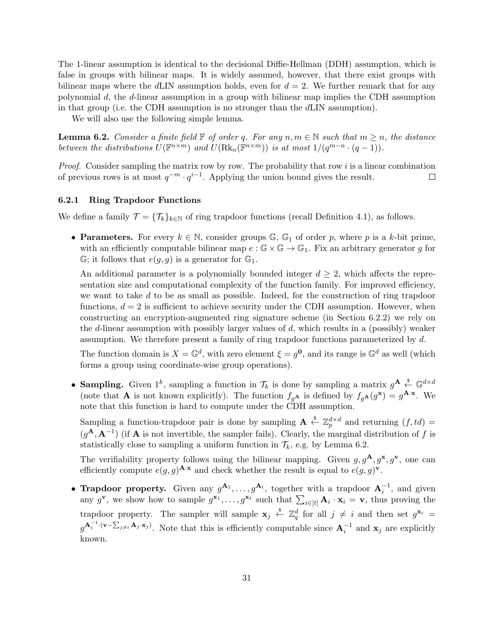The 1-linear assumption is identical to the decisional Diffie-Hellman (DDH) assumption, which is false in groups with bilinear maps. It is widely assumed, however, that there exist groups with bilinear maps where the  $d\text{LIN}$  assumption holds, even for  $d = 2$ . We further remark that for any polynomial *d*, the *d*-linear assumption in a group with bilinear map implies the CDH assumption in that group (i.e. the CDH assumption is no stronger than the *d*LIN assumption).

We will also use the following simple lemma.

**Lemma 6.2.** *Consider a finite field*  $\mathbb{F}$  *of order q. For any*  $n, m \in \mathbb{N}$  *such that*  $m \geq n$ *, the distance* between the distributions  $U(\mathbb{F}^{n \times m})$  and  $U(\text{Rk}_n(\mathbb{F}^{n \times m}))$  is at most  $1/(q^{m-n} \cdot (q-1))$ .

*Proof.* Consider sampling the matrix row by row. The probability that row *i* is a linear combination of previous rows is at most  $q^{-m} \cdot q^{i-1}$ . Applying the union bound gives the result.  $\Box$ 

# **6.2.1 Ring Trapdoor Functions**

We define a family  $\mathcal{T} = {\mathcal{T}_k}_{k\in\mathbb{N}}$  of ring trapdoor functions (recall Definition 4.1), as follows.

• **Parameters.** For every  $k \in \mathbb{N}$ , consider groups  $\mathbb{G}$ ,  $\mathbb{G}_1$  of order *p*, where *p* is a *k*-bit prime, with an efficiently computable bilinear map  $e : \mathbb{G} \times \mathbb{G} \to \mathbb{G}_1$ . Fix an arbitrary generator g for  $\mathbb{G}$ ; it follows that  $e(g, g)$  is a generator for  $\mathbb{G}_1$ .

An additional parameter is a polynomially bounded integer  $d \geq 2$ , which affects the representation size and computational complexity of the function family. For improved efficiency, we want to take *d* to be as small as possible. Indeed, for the construction of ring trapdoor functions,  $d = 2$  is sufficient to achieve security under the CDH assumption. However, when constructing an encryption-augmented ring signature scheme (in Section 6.2.2) we rely on the *d*-linear assumption with possibly larger values of *d*, which results in a (possibly) weaker assumption. We therefore present a family of ring trapdoor functions parameterized by *d*.

The function domain is  $X = \mathbb{G}^d$ , with zero element  $\xi = g^0$ , and its range is  $\mathbb{G}^d$  as well (which forms a group using coordinate-wise group operations).

• **Sampling.** Given  $1^k$ , sampling a function in  $\mathcal{T}_k$  is done by sampling a matrix  $g^{\mathbf{A}} \stackrel{\$}{\leftarrow} \mathbb{G}^{d \times d}$ (note that **A** is not known explicitly). The function  $f_{g}$ **A** is defined by  $f_{g}$ **A**( $g$ **x**) =  $g$ **A**<sup>*·***x**</sup>. We note that this function is hard to compute under the CDH assumption.

Sampling a function-trapdoor pair is done by sampling  $\mathbf{A} \stackrel{\$}{\leftarrow} \mathbb{Z}_p^{d \times d}$  and returning  $(f, td)$  $(g^{A}, A^{-1})$  (if **A** is not invertible, the sampler fails). Clearly, the marginal distribution of *f* is statistically close to sampling a uniform function in  $\mathcal{T}_k$ , e.g. by Lemma 6.2.

The verifiability property follows using the bilinear mapping. Given  $g, g^{\mathbf{A}}, g^{\mathbf{x}}, g^{\mathbf{v}}$ , one can efficiently compute  $e(g, g)$ <sup>**A**</sup>*·***x** and check whether the result is equal to  $e(g, g)$ <sup>**v**</sup>.

• **Trapdoor property.** Given any  $g^{\mathbf{A}_1}, \ldots, g^{\mathbf{A}_t}$ , together with a trapdoor  $\mathbf{A}_i^{-1}$ , and given any  $g^{\mathbf{v}}$ , we show how to sample  $g^{\mathbf{x}_1}, \ldots, g^{\mathbf{x}_t}$  such that  $\sum_{i \in [t]} \mathbf{A}_i \cdot \mathbf{x}_i = \mathbf{v}$ , thus proving the trapdoor property. The sampler will sample  $\mathbf{x}_j \stackrel{\$}{\leftarrow} \mathbb{Z}_q^d$  for all  $j \neq i$  and then set  $g^{\mathbf{x}_i} =$  $g^{\mathbf{A}_i^{-1} \cdot (\mathbf{v} - \sum_{j \neq i} \mathbf{A}_j \cdot \mathbf{x}_j)}$ . Note that this is efficiently computable since  $\mathbf{A}_i^{-1}$  and  $\mathbf{x}_j$  are explicitly known.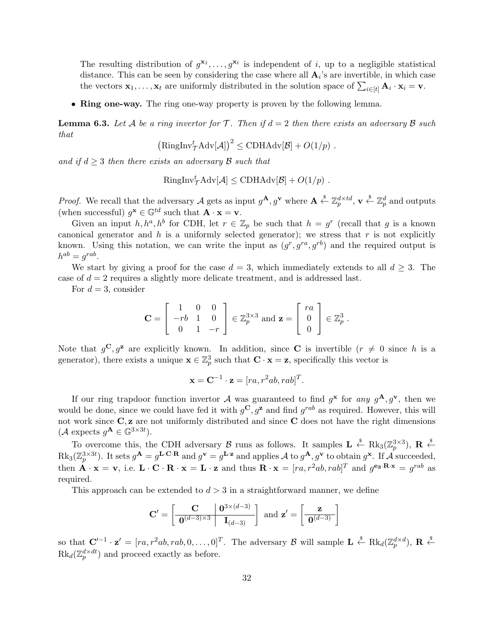The resulting distribution of  $g^{x_1}, \ldots, g^{x_t}$  is independent of *i*, up to a negligible statistical distance. This can be seen by considering the case where all  $A_i$ 's are invertible, in which case the vectors  $\mathbf{x}_1, \ldots, \mathbf{x}_t$  are uniformly distributed in the solution space of  $\sum_{i \in [t]} \mathbf{A}_i \cdot \mathbf{x}_i = \mathbf{v}$ .

• **Ring one-way.** The ring one-way property is proven by the following lemma.

**Lemma 6.3.** Let A be a ring invertor for  $\mathcal{T}$ . Then if  $d = 2$  then there exists an adversary  $\mathcal{B}$  such *that*

$$
\left(\text{RingInv}_{\mathcal{T}}^t \text{Adv}[\mathcal{A}]\right)^2 \leq \text{CDHAdv}[\mathcal{B}] + O(1/p) .
$$

*and if d ≥* 3 *then there exists an adversary B such that*

RingInv
$$
\frac{t}{\mathcal{T}}\text{Adv}[\mathcal{A}] \leq \text{CDHAdv}[\mathcal{B}] + O(1/p)
$$
.

*Proof.* We recall that the adversary *A* gets as input  $g^{\mathbf{A}}, g^{\mathbf{v}}$  where  $\mathbf{A} \stackrel{\$}{\leftarrow} \mathbb{Z}_p^{d \times td}$ ,  $\mathbf{v} \stackrel{\$}{\leftarrow} \mathbb{Z}_p^d$  and outputs (when successful)  $g^{\mathbf{x}} \in \mathbb{G}^{td}$  such that  $\mathbf{A} \cdot \mathbf{x} = \mathbf{v}$ .

Given an input  $h, h^a, h^b$  for CDH, let  $r \in \mathbb{Z}_p$  be such that  $h = g^r$  (recall that *g* is a known canonical generator and  $h$  is a uniformly selected generator); we stress that  $r$  is not explicitly known. Using this notation, we can write the input as  $(g^r, g^{ra}, g^{rb})$  and the required output is  $h^{ab} = g^{rab}$ .

We start by giving a proof for the case  $d = 3$ , which immediately extends to all  $d \geq 3$ . The case of *d* = 2 requires a slightly more delicate treatment, and is addressed last.

For  $d = 3$ , consider

$$
\mathbf{C} = \left[ \begin{array}{rrr} 1 & 0 & 0 \\ -rb & 1 & 0 \\ 0 & 1 & -r \end{array} \right] \in \mathbb{Z}_p^{3 \times 3} \text{ and } \mathbf{z} = \left[ \begin{array}{c} ra \\ 0 \\ 0 \end{array} \right] \in \mathbb{Z}_p^3 \; .
$$

Note that  $g^C, g^z$  are explicitly known. In addition, since **C** is invertible  $(r \neq 0$  since h is a generator), there exists a unique  $\mathbf{x} \in \mathbb{Z}_p^3$  such that  $\mathbf{C} \cdot \mathbf{x} = \mathbf{z}$ , specifically this vector is

$$
\mathbf{x} = \mathbf{C}^{-1} \cdot \mathbf{z} = [ra, r^2ab, rab]^T.
$$

If our ring trapdoor function invertor  $A$  was guaranteed to find  $g^{\bf x}$  for *any*  $g^{\bf A}$ ,  $g^{\bf v}$ , then we would be done, since we could have fed it with  $g^{\mathbf{C}}$ ,  $g^{\mathbf{z}}$  and find  $g^{rab}$  as required. However, this will not work since **C***,* **z** are not uniformly distributed and since **C** does not have the right dimensions  $(A \text{ expects } g^{\mathbf{A}} \in \mathbb{G}^{3 \times 3t}).$ 

To overcome this, the CDH adversary *B* runs as follows. It samples  $\mathbf{L} \leftarrow \text{Rk}_3(\mathbb{Z}_p^{3\times 3})$ ,  $\mathbf{R} \leftarrow \text{S}$  $\text{Rk}_3(\mathbb{Z}_p^{3\times 3t})$ . It sets  $g^{\mathbf{A}}=g^{\mathbf{L}\cdot\mathbf{C}\cdot\mathbf{R}}$  and  $g^{\mathbf{v}}=g^{\mathbf{L}\cdot\mathbf{z}}$  and applies  $\mathcal A$  to  $g^{\mathbf{A}}, g^{\mathbf{v}}$  to obtain  $g^{\mathbf{x}}$ . If  $\mathcal A$  succeeded, then  $\mathbf{A} \cdot \mathbf{x} = \mathbf{v}$ , i.e.  $\mathbf{L} \cdot \mathbf{C} \cdot \mathbf{R} \cdot \mathbf{x} = \mathbf{L} \cdot \mathbf{z}$  and thus  $\mathbf{R} \cdot \mathbf{x} = [ra, r^2ab, rab]^T$  and  $g^{\mathbf{e}_3 \cdot \mathbf{R} \cdot \mathbf{x}} = g^{rab}$  as required.

This approach can be extended to  $d > 3$  in a straightforward manner, we define

$$
\mathbf{C}' = \left[ \begin{array}{c|c} \mathbf{C} & \mathbf{0}^{3 \times (d-3)} \\ \hline \mathbf{0}^{(d-3)\times 3} & \mathbf{I}_{(d-3)} \end{array} \right] \text{ and } \mathbf{z}' = \left[ \begin{array}{c} \mathbf{z} \\ \hline \mathbf{0}^{(d-3)} \end{array} \right]
$$

so that  $\mathbf{C}'^{-1} \cdot \mathbf{z}' = [ra, r^2ab, rab, 0, \dots, 0]^T$ . The adversary  $\mathcal{B}$  will sample  $\mathbf{L} \stackrel{\$}{\leftarrow} \text{Rk}_d(\mathbb{Z}_p^{d \times d})$ ,  $\mathbf{R} \stackrel{\$}{\leftarrow}$  $Rk_d(\mathbb{Z}_p^{d \times dt})$  and proceed exactly as before.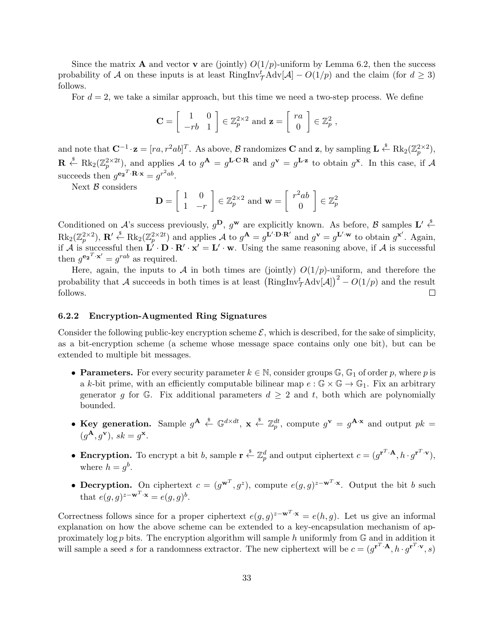Since the matrix **A** and vector **v** are (jointly)  $O(1/p)$ -uniform by Lemma 6.2, then the success probability of *A* on these inputs is at least  $\text{RingInv}_{\mathcal{T}}^t \text{Adv}[\mathcal{A}] - O(1/p)$  and the claim (for  $d \geq 3$ ) follows.

For  $d = 2$ , we take a similar approach, but this time we need a two-step process. We define

$$
\mathbf{C} = \left[ \begin{array}{cc} 1 & 0 \\ -rb & 1 \end{array} \right] \in \mathbb{Z}_p^{2 \times 2} \text{ and } \mathbf{z} = \left[ \begin{array}{c} ra \\ 0 \end{array} \right] \in \mathbb{Z}_p^2 ,
$$

and note that  $\mathbf{C}^{-1} \cdot \mathbf{z} = [ra, r^2ab]^T$ . As above,  $\mathcal{B}$  randomizes **C** and **z**, by sampling  $\mathbf{L} \stackrel{\$}{\leftarrow} \text{Rk}_2(\mathbb{Z}_p^{2 \times 2})$ ,  $\mathbf{R} \stackrel{\hspace{0.1em}\mathsf{\scriptscriptstyle\$}}{\leftarrow} \text{Rk}_2(\mathbb{Z}_p^{2\times 2t})$ , and applies A to  $g^{\mathbf{A}} = g^{\mathbf{L} \cdot \mathbf{C} \cdot \mathbf{R}}$  and  $g^{\mathbf{v}} = g^{\mathbf{L} \cdot \mathbf{z}}$  to obtain  $g^{\mathbf{x}}$ . In this case, if A succeeds then  $g^{e_2}$ <sup>*T*</sup> ·**R***·***x** =  $g^{r^2ab}$ .

Next *B* considers

$$
\mathbf{D} = \begin{bmatrix} 1 & 0 \\ 1 & -r \end{bmatrix} \in \mathbb{Z}_p^{2 \times 2} \text{ and } \mathbf{w} = \begin{bmatrix} r^2ab \\ 0 \end{bmatrix} \in \mathbb{Z}_p^2
$$

Conditioned on *A*'s success previously,  $g^D$ ,  $g^w$  are explicitly known. As before, *B* samples  $L' \stackrel{\$}{\leftarrow}$  $\mathrm{Rk}_2(\mathbb{Z}_p^{2\times 2}), \mathbf{R}' \stackrel{\hspace{0.1em}\mathsf{\scriptscriptstyle\$}}{\leftarrow} \mathrm{Rk}_2(\mathbb{Z}_p^{2\times 2t})$  and applies A to  $g^{\mathbf{A}}=g^{\mathbf{L}'\cdot \mathbf{D}\cdot \mathbf{R}'}$  and  $g^{\mathbf{v}}=g^{\mathbf{L}'\cdot \mathbf{w}}$  to obtain  $g^{\mathbf{x}'}$ . Again, if *A* is successful then  $\mathbf{L}' \cdot \mathbf{D} \cdot \mathbf{R}' \cdot \mathbf{x}' = \mathbf{L}' \cdot \mathbf{w}$ . Using the same reasoning above, if *A* is successful then  $g^{e_2^T \cdot x'} = g^{rab}$  as required.

Here, again, the inputs to *A* in both times are (jointly)  $O(1/p)$ -uniform, and therefore the probability that *A* succeeds in both times is at least  $(\text{RingInv}_{\mathcal{T}}^t \text{Adv}[\mathcal{A}])^2 - O(1/p)$  and the result follows.  $\Box$ 

#### **6.2.2 Encryption-Augmented Ring Signatures**

Consider the following public-key encryption scheme  $\mathcal{E}$ , which is described, for the sake of simplicity, as a bit-encryption scheme (a scheme whose message space contains only one bit), but can be extended to multiple bit messages.

- **Parameters.** For every security parameter  $k \in \mathbb{N}$ , consider groups  $\mathbb{G}$ ,  $\mathbb{G}_1$  of order *p*, where *p* is a *k*-bit prime, with an efficiently computable bilinear map  $e : \mathbb{G} \times \mathbb{G} \to \mathbb{G}_1$ . Fix an arbitrary generator *g* for G. Fix additional parameters  $d \geq 2$  and *t*, both which are polynomially bounded.
- Key generation. Sample  $g^{\mathbf{A}} \stackrel{\$}{\leftarrow} \mathbb{G}^{d \times dt}$ ,  $\mathbf{x} \stackrel{\$}{\leftarrow} \mathbb{Z}_p^{dt}$ , compute  $g^{\mathbf{v}} = g^{\mathbf{A} \cdot \mathbf{x}}$  and output  $pk =$  $(g^{\mathbf{A}}, g^{\mathbf{v}}), sk = g^{\mathbf{x}}.$
- Encryption. To encrypt a bit b, sample  $\mathbf{r} \stackrel{\$}{\leftarrow} \mathbb{Z}_p^d$  and output ciphertext  $c = (g^{\mathbf{r}^T \cdot \mathbf{A}}, h \cdot g^{\mathbf{r}^T \cdot \mathbf{v}})$ , where  $h = g^b$ .
- **Decryption.** On ciphertext  $c = (g^{w^T}, g^z)$ , compute  $e(g, g)^{z-w^T \cdot x}$ . Output the bit *b* such that  $e(g, g)^{z - \mathbf{w}^T \cdot \mathbf{x}} = e(g, g)^b$ .

Correctness follows since for a proper ciphertext  $e(g, g)^{z - \mathbf{w}^T \cdot \mathbf{x}} = e(h, g)$ . Let us give an informal explanation on how the above scheme can be extended to a key-encapsulation mechanism of approximately log *p* bits. The encryption algorithm will sample *h* uniformly from G and in addition it will sample a seed *s* for a randomness extractor. The new ciphertext will be  $c = (g^{r^T \cdot A}, h \cdot g^{r^T \cdot v}, s)$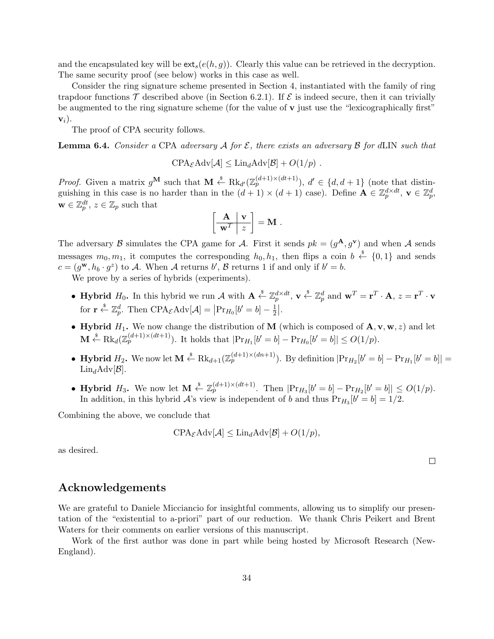and the encapsulated key will be  $ext_s(e(h, g))$ . Clearly this value can be retrieved in the decryption. The same security proof (see below) works in this case as well.

Consider the ring signature scheme presented in Section 4, instantiated with the family of ring trapdoor functions  $\mathcal T$  described above (in Section 6.2.1). If  $\mathcal E$  is indeed secure, then it can trivially be augmented to the ring signature scheme (for the value of **v** just use the "lexicographically first" **v***i*).

The proof of CPA security follows.

**Lemma 6.4.** *Consider a CPA adversary*  $\mathcal A$  *for*  $\mathcal E$ *, there exists an adversary*  $\mathcal B$  *for*  $d\text{LIN}$  *such that* 

$$
\text{CPA}_{\mathcal{E}}\text{Adv}[\mathcal{A}] \leq \text{Lin}_{d}\text{Adv}[\mathcal{B}] + O(1/p) .
$$

*Proof.* Given a matrix  $g^{\mathbf{M}}$  such that  $\mathbf{M} \stackrel{\$}{\leftarrow} \text{Rk}_{d'}(\mathbb{Z}_{p}^{(d+1)\times (dt+1)})$ ,  $d' \in \{d, d+1\}$  (note that distinguishing in this case is no harder than in the  $(d + 1) \times (d + 1)$  case). Define  $\mathbf{A} \in \mathbb{Z}_p^{d \times dt}$ ,  $\mathbf{v} \in \mathbb{Z}_p^d$ ,  $\mathbf{w} \in \mathbb{Z}_p^{dt}, z \in \mathbb{Z}_p$  such that

$$
\left[\begin{array}{c|c}\n\mathbf{A} & \mathbf{v} \\
\hline\n\mathbf{w}^T & z\n\end{array}\right] = \mathbf{M} .
$$

The adversary *B* simulates the CPA game for *A*. First it sends  $pk = (g^{\mathbf{A}}, g^{\mathbf{v}})$  and when *A* sends messages  $m_0, m_1$ , it computes the corresponding  $h_0, h_1$ , then flips a coin  $b \leftarrow \{0, 1\}$  and sends  $c = (g^{\mathbf{w}}, h_b \cdot g^z)$  to *A*. When *A* returns *b*<sup>'</sup>, *B* returns 1 if and only if  $b' = b$ .

We prove by a series of hybrids (experiments).

- Hybrid  $H_0$ . In this hybrid we run A with  $\mathbf{A} \stackrel{\$}{\leftarrow} \mathbb{Z}_p^{d \times dt}$ ,  $\mathbf{v} \stackrel{\$}{\leftarrow} \mathbb{Z}_p^d$  and  $\mathbf{w}^T = \mathbf{r}^T \cdot \mathbf{A}$ ,  $z = \mathbf{r}^T \cdot \mathbf{v}$ for  $\mathbf{r} \stackrel{\$}{\leftarrow} \mathbb{Z}_p^d$ . Then  $CPA_{\mathcal{E}} \text{Adv}[\mathcal{A}] = | \text{Pr}_{H_0}[b' = b] - \frac{1}{2}$  $\frac{1}{2}$ .
- **Hybrid**  $H_1$ . We now change the distribution of **M** (which is composed of  $A$ *,*  $v$ *,*  $w$ *, z*) and let  $\mathbf{M} \stackrel{\hspace{0.1em}\mathsf{\scriptscriptstyle\$}}{\leftarrow} \text{Rk}_d(\mathbb{Z}_p^{(d+1)\times (dt+1)})$ . It holds that  $|\text{Pr}_{H_1}[b'=b] - \text{Pr}_{H_0}[b'=b]| \leq O(1/p)$ .
- **Hybrid**  $H_2$ . We now let  $\mathbf{M} \stackrel{\$}{\leftarrow} \text{Rk}_{d+1}(\mathbb{Z}_p^{(d+1)\times(dn+1)})$ . By definition  $|\text{Pr}_{H_2}[b'=b] \text{Pr}_{H_1}[b'=b]|$  $\text{Lin}_{d}\text{Adv}[\mathcal{B}].$
- **Hybrid**  $H_3$ . We now let  $M \stackrel{s}{\leftarrow} \mathbb{Z}_p^{(d+1)\times(dt+1)}$ . Then  $|\Pr_{H_3}[b'=b] \Pr_{H_2}[b'=b]| \leq O(1/p)$ . In addition, in this hybrid  $\mathcal{A}$ 's view is independent of *b* and thus  $Pr_{H_3}[b' = b] = 1/2$ .

Combining the above, we conclude that

$$
\text{CPA}_{\mathcal{E}}\text{Adv}[\mathcal{A}] \leq \text{Lin}_{d}\text{Adv}[\mathcal{B}] + O(1/p),
$$

as desired.

 $\Box$ 

# **Acknowledgements**

We are grateful to Daniele Micciancio for insightful comments, allowing us to simplify our presentation of the "existential to a-priori" part of our reduction. We thank Chris Peikert and Brent Waters for their comments on earlier versions of this manuscript.

Work of the first author was done in part while being hosted by Microsoft Research (New-England).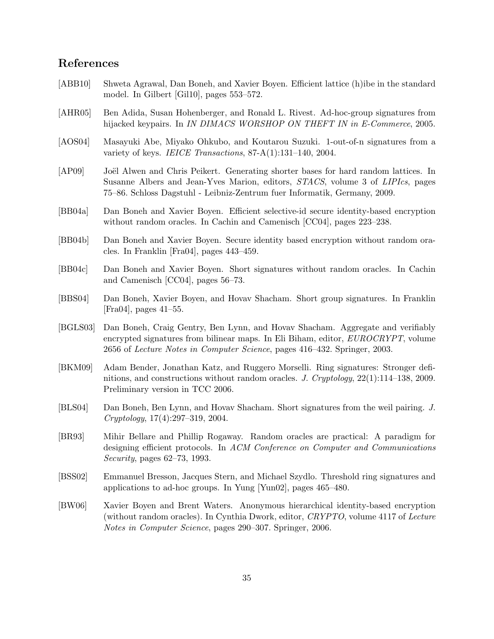# **References**

- [ABB10] Shweta Agrawal, Dan Boneh, and Xavier Boyen. Efficient lattice (h)ibe in the standard model. In Gilbert [Gil10], pages 553–572.
- [AHR05] Ben Adida, Susan Hohenberger, and Ronald L. Rivest. Ad-hoc-group signatures from hijacked keypairs. In *IN DIMACS WORSHOP ON THEFT IN in E-Commerce*, 2005.
- [AOS04] Masayuki Abe, Miyako Ohkubo, and Koutarou Suzuki. 1-out-of-n signatures from a variety of keys. *IEICE Transactions*, 87-A(1):131–140, 2004.
- [AP09] Joël Alwen and Chris Peikert. Generating shorter bases for hard random lattices. In Susanne Albers and Jean-Yves Marion, editors, *STACS*, volume 3 of *LIPIcs*, pages 75–86. Schloss Dagstuhl - Leibniz-Zentrum fuer Informatik, Germany, 2009.
- [BB04a] Dan Boneh and Xavier Boyen. Efficient selective-id secure identity-based encryption without random oracles. In Cachin and Camenisch [CC04], pages 223–238.
- [BB04b] Dan Boneh and Xavier Boyen. Secure identity based encryption without random oracles. In Franklin [Fra04], pages 443–459.
- [BB04c] Dan Boneh and Xavier Boyen. Short signatures without random oracles. In Cachin and Camenisch [CC04], pages 56–73.
- [BBS04] Dan Boneh, Xavier Boyen, and Hovav Shacham. Short group signatures. In Franklin [Fra04], pages 41–55.
- [BGLS03] Dan Boneh, Craig Gentry, Ben Lynn, and Hovav Shacham. Aggregate and verifiably encrypted signatures from bilinear maps. In Eli Biham, editor, *EUROCRYPT*, volume 2656 of *Lecture Notes in Computer Science*, pages 416–432. Springer, 2003.
- [BKM09] Adam Bender, Jonathan Katz, and Ruggero Morselli. Ring signatures: Stronger definitions, and constructions without random oracles. *J. Cryptology*, 22(1):114–138, 2009. Preliminary version in TCC 2006.
- [BLS04] Dan Boneh, Ben Lynn, and Hovav Shacham. Short signatures from the weil pairing. *J. Cryptology*, 17(4):297–319, 2004.
- [BR93] Mihir Bellare and Phillip Rogaway. Random oracles are practical: A paradigm for designing efficient protocols. In *ACM Conference on Computer and Communications Security*, pages 62–73, 1993.
- [BSS02] Emmanuel Bresson, Jacques Stern, and Michael Szydlo. Threshold ring signatures and applications to ad-hoc groups. In Yung [Yun02], pages 465–480.
- [BW06] Xavier Boyen and Brent Waters. Anonymous hierarchical identity-based encryption (without random oracles). In Cynthia Dwork, editor, *CRYPTO*, volume 4117 of *Lecture Notes in Computer Science*, pages 290–307. Springer, 2006.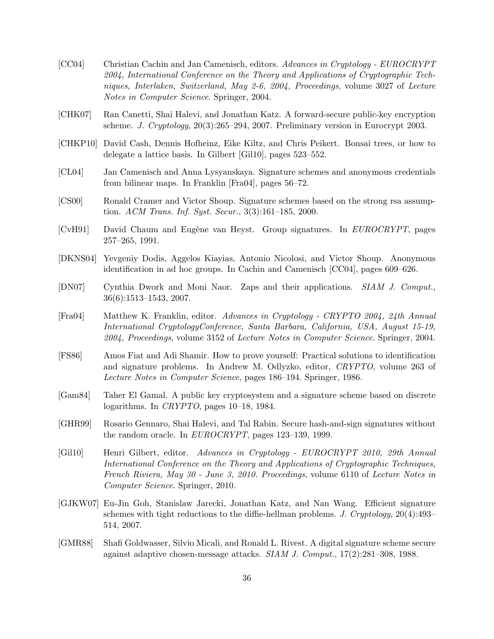- [CC04] Christian Cachin and Jan Camenisch, editors. *Advances in Cryptology EUROCRYPT 2004, International Conference on the Theory and Applications of Cryptographic Techniques, Interlaken, Switzerland, May 2-6, 2004, Proceedings*, volume 3027 of *Lecture Notes in Computer Science*. Springer, 2004.
- [CHK07] Ran Canetti, Shai Halevi, and Jonathan Katz. A forward-secure public-key encryption scheme. *J. Cryptology*, 20(3):265–294, 2007. Preliminary version in Eurocrypt 2003.
- [CHKP10] David Cash, Dennis Hofheinz, Eike Kiltz, and Chris Peikert. Bonsai trees, or how to delegate a lattice basis. In Gilbert [Gil10], pages 523–552.
- [CL04] Jan Camenisch and Anna Lysyanskaya. Signature schemes and anonymous credentials from bilinear maps. In Franklin [Fra04], pages 56–72.
- [CS00] Ronald Cramer and Victor Shoup. Signature schemes based on the strong rsa assumption. *ACM Trans. Inf. Syst. Secur.*, 3(3):161–185, 2000.
- [CvH91] David Chaum and Eugène van Heyst. Group signatures. In *EUROCRYPT*, pages 257–265, 1991.
- [DKNS04] Yevgeniy Dodis, Aggelos Kiayias, Antonio Nicolosi, and Victor Shoup. Anonymous identification in ad hoc groups. In Cachin and Camenisch [CC04], pages 609–626.
- [DN07] Cynthia Dwork and Moni Naor. Zaps and their applications. *SIAM J. Comput.*, 36(6):1513–1543, 2007.
- [Fra04] Matthew K. Franklin, editor. *Advances in Cryptology CRYPTO 2004, 24th Annual International CryptologyConference, Santa Barbara, California, USA, August 15-19, 2004, Proceedings*, volume 3152 of *Lecture Notes in Computer Science*. Springer, 2004.
- [FS86] Amos Fiat and Adi Shamir. How to prove yourself: Practical solutions to identification and signature problems. In Andrew M. Odlyzko, editor, *CRYPTO*, volume 263 of *Lecture Notes in Computer Science*, pages 186–194. Springer, 1986.
- [Gam84] Taher El Gamal. A public key cryptosystem and a signature scheme based on discrete logarithms. In *CRYPTO*, pages 10–18, 1984.
- [GHR99] Rosario Gennaro, Shai Halevi, and Tal Rabin. Secure hash-and-sign signatures without the random oracle. In *EUROCRYPT*, pages 123–139, 1999.
- [Gil10] Henri Gilbert, editor. *Advances in Cryptology EUROCRYPT 2010, 29th Annual International Conference on the Theory and Applications of Cryptographic Techniques, French Riviera, May 30 - June 3, 2010. Proceedings*, volume 6110 of *Lecture Notes in Computer Science*. Springer, 2010.
- [GJKW07] Eu-Jin Goh, Stanislaw Jarecki, Jonathan Katz, and Nan Wang. Efficient signature schemes with tight reductions to the diffie-hellman problems. *J. Cryptology*, 20(4):493– 514, 2007.
- [GMR88] Shafi Goldwasser, Silvio Micali, and Ronald L. Rivest. A digital signature scheme secure against adaptive chosen-message attacks. *SIAM J. Comput.*, 17(2):281–308, 1988.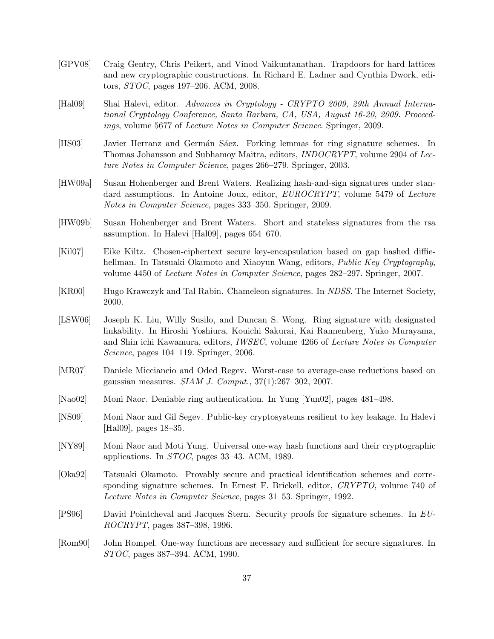- [GPV08] Craig Gentry, Chris Peikert, and Vinod Vaikuntanathan. Trapdoors for hard lattices and new cryptographic constructions. In Richard E. Ladner and Cynthia Dwork, editors, *STOC*, pages 197–206. ACM, 2008.
- [Hal09] Shai Halevi, editor. *Advances in Cryptology CRYPTO 2009, 29th Annual International Cryptology Conference, Santa Barbara, CA, USA, August 16-20, 2009. Proceedings*, volume 5677 of *Lecture Notes in Computer Science*. Springer, 2009.
- [HS03] Javier Herranz and Germán Sáez. Forking lemmas for ring signature schemes. In Thomas Johansson and Subhamoy Maitra, editors, *INDOCRYPT*, volume 2904 of *Lecture Notes in Computer Science*, pages 266–279. Springer, 2003.
- [HW09a] Susan Hohenberger and Brent Waters. Realizing hash-and-sign signatures under standard assumptions. In Antoine Joux, editor, *EUROCRYPT*, volume 5479 of *Lecture Notes in Computer Science*, pages 333–350. Springer, 2009.
- [HW09b] Susan Hohenberger and Brent Waters. Short and stateless signatures from the rsa assumption. In Halevi [Hal09], pages 654–670.
- [Kil07] Eike Kiltz. Chosen-ciphertext secure key-encapsulation based on gap hashed diffiehellman. In Tatsuaki Okamoto and Xiaoyun Wang, editors, *Public Key Cryptography*, volume 4450 of *Lecture Notes in Computer Science*, pages 282–297. Springer, 2007.
- [KR00] Hugo Krawczyk and Tal Rabin. Chameleon signatures. In *NDSS*. The Internet Society, 2000.
- [LSW06] Joseph K. Liu, Willy Susilo, and Duncan S. Wong. Ring signature with designated linkability. In Hiroshi Yoshiura, Kouichi Sakurai, Kai Rannenberg, Yuko Murayama, and Shin ichi Kawamura, editors, *IWSEC*, volume 4266 of *Lecture Notes in Computer Science*, pages 104–119. Springer, 2006.
- [MR07] Daniele Micciancio and Oded Regev. Worst-case to average-case reductions based on gaussian measures. *SIAM J. Comput.*, 37(1):267–302, 2007.
- [Nao02] Moni Naor. Deniable ring authentication. In Yung [Yun02], pages 481–498.
- [NS09] Moni Naor and Gil Segev. Public-key cryptosystems resilient to key leakage. In Halevi [Hal09], pages 18–35.
- [NY89] Moni Naor and Moti Yung. Universal one-way hash functions and their cryptographic applications. In *STOC*, pages 33–43. ACM, 1989.
- [Oka92] Tatsuaki Okamoto. Provably secure and practical identification schemes and corresponding signature schemes. In Ernest F. Brickell, editor, *CRYPTO*, volume 740 of *Lecture Notes in Computer Science*, pages 31–53. Springer, 1992.
- [PS96] David Pointcheval and Jacques Stern. Security proofs for signature schemes. In *EU-ROCRYPT*, pages 387–398, 1996.
- [Rom90] John Rompel. One-way functions are necessary and sufficient for secure signatures. In *STOC*, pages 387–394. ACM, 1990.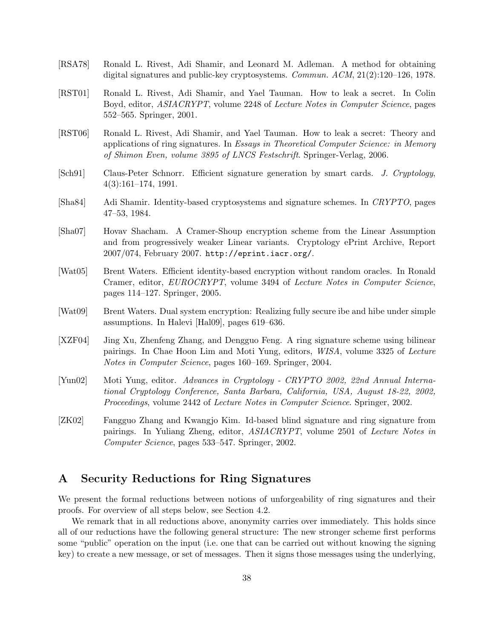- [RSA78] Ronald L. Rivest, Adi Shamir, and Leonard M. Adleman. A method for obtaining digital signatures and public-key cryptosystems. *Commun. ACM*, 21(2):120–126, 1978.
- [RST01] Ronald L. Rivest, Adi Shamir, and Yael Tauman. How to leak a secret. In Colin Boyd, editor, *ASIACRYPT*, volume 2248 of *Lecture Notes in Computer Science*, pages 552–565. Springer, 2001.
- [RST06] Ronald L. Rivest, Adi Shamir, and Yael Tauman. How to leak a secret: Theory and applications of ring signatures. In *Essays in Theoretical Computer Science: in Memory of Shimon Even, volume 3895 of LNCS Festschrift*. Springer-Verlag, 2006.
- [Sch91] Claus-Peter Schnorr. Efficient signature generation by smart cards. *J. Cryptology*, 4(3):161–174, 1991.
- [Sha84] Adi Shamir. Identity-based cryptosystems and signature schemes. In *CRYPTO*, pages 47–53, 1984.
- [Sha07] Hovav Shacham. A Cramer-Shoup encryption scheme from the Linear Assumption and from progressively weaker Linear variants. Cryptology ePrint Archive, Report 2007/074, February 2007. http://eprint.iacr.org/.
- [Wat05] Brent Waters. Efficient identity-based encryption without random oracles. In Ronald Cramer, editor, *EUROCRYPT*, volume 3494 of *Lecture Notes in Computer Science*, pages 114–127. Springer, 2005.
- [Wat09] Brent Waters. Dual system encryption: Realizing fully secure ibe and hibe under simple assumptions. In Halevi [Hal09], pages 619–636.
- [XZF04] Jing Xu, Zhenfeng Zhang, and Dengguo Feng. A ring signature scheme using bilinear pairings. In Chae Hoon Lim and Moti Yung, editors, *WISA*, volume 3325 of *Lecture Notes in Computer Science*, pages 160–169. Springer, 2004.
- [Yun02] Moti Yung, editor. *Advances in Cryptology CRYPTO 2002, 22nd Annual International Cryptology Conference, Santa Barbara, California, USA, August 18-22, 2002, Proceedings*, volume 2442 of *Lecture Notes in Computer Science*. Springer, 2002.
- [ZK02] Fangguo Zhang and Kwangjo Kim. Id-based blind signature and ring signature from pairings. In Yuliang Zheng, editor, *ASIACRYPT*, volume 2501 of *Lecture Notes in Computer Science*, pages 533–547. Springer, 2002.

# **A Security Reductions for Ring Signatures**

We present the formal reductions between notions of unforgeability of ring signatures and their proofs. For overview of all steps below, see Section 4.2.

We remark that in all reductions above, anonymity carries over immediately. This holds since all of our reductions have the following general structure: The new stronger scheme first performs some "public" operation on the input (i.e. one that can be carried out without knowing the signing key) to create a new message, or set of messages. Then it signs those messages using the underlying,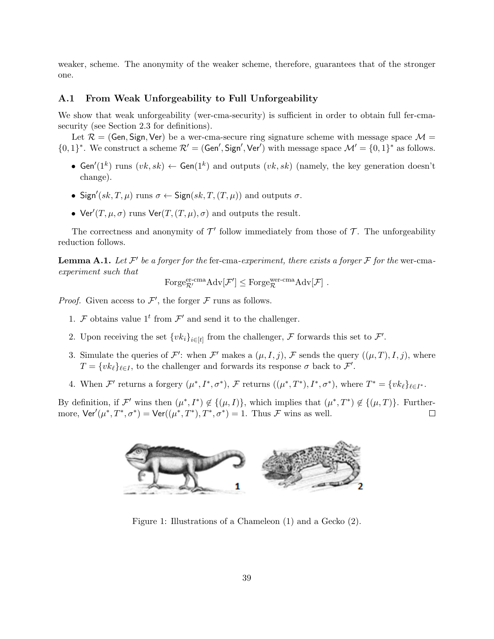weaker, scheme. The anonymity of the weaker scheme, therefore, guarantees that of the stronger one.

## **A.1 From Weak Unforgeability to Full Unforgeability**

We show that weak unforgeability (wer-cma-security) is sufficient in order to obtain full fer-cmasecurity (see Section 2.3 for definitions).

Let  $\mathcal{R} = (Gen, Sign, Ver)$  be a wer-cma-secure ring signature scheme with message space  $\mathcal{M} =$  $\{0,1\}^*$ . We construct a scheme  $\mathcal{R}' = (\mathsf{Gen}', \mathsf{Sign}', \mathsf{Ver}')$  with message space  $\mathcal{M}' = \{0,1\}^*$  as follows.

- Gen<sup> $\ell(1^k)$  runs  $(vk, sk) \leftarrow$  Gen $(1^k)$  and outputs  $(vk, sk)$  (namely, the key generation doesn't</sup> change).
- Sign'( $sk, T, \mu$ ) runs  $\sigma \leftarrow$  Sign( $sk, T, (T, \mu)$ ) and outputs  $\sigma$ .
- Ver<sup> $\prime$ </sup>(*T*,  $\mu$ *,*  $\sigma$ ) runs Ver(*T*, (*T*,  $\mu$ )*,*  $\sigma$ ) and outputs the result.

The correctness and anonymity of  $\mathcal{T}'$  follow immediately from those of  $\mathcal{T}$ . The unforgeability reduction follows.

**Lemma A.1.** Let  $\mathcal{F}'$  be a forger for the fer-cma-experiment, there exists a forger  $\mathcal{F}$  for the wer-cma*experiment such that*

$$
\operatorname{Forge}_{\mathcal{R}'}^{\operatorname{er-cma}}\!\operatorname{Adv}[\mathcal{F}']\leq \operatorname{Forge}_{\mathcal{R}}^{\operatorname{wer-cma}}\!\operatorname{Adv}[\mathcal{F}]\ .
$$

*Proof.* Given access to  $\mathcal{F}'$ , the forger  $\mathcal{F}$  runs as follows.

- 1. *F* obtains value  $1<sup>t</sup>$  from  $\mathcal{F}'$  and send it to the challenger.
- 2. Upon receiving the set  $\{vk_i\}_{i\in[t]}$  from the challenger,  $\mathcal F$  forwards this set to  $\mathcal F'$ .
- 3. Simulate the queries of  $\mathcal{F}'$ : when  $\mathcal{F}'$  makes a  $(\mu, I, j)$ ,  $\mathcal{F}$  sends the query  $((\mu, T), I, j)$ , where  $T = \{vk_{\ell}\}_{\ell \in I}$ , to the challenger and forwards its response  $\sigma$  back to  $\mathcal{F}'$ .
- 4. When  $\mathcal{F}'$  returns a forgery  $(\mu^*, I^*, \sigma^*)$ ,  $\mathcal{F}$  returns  $((\mu^*, I^*), I^*, \sigma^*)$ , where  $T^* = \{vk_\ell\}_{\ell \in I^*}$ .

By definition, if  $\mathcal{F}'$  wins then  $(\mu^*, I^*) \notin \{(\mu, I)\}$ , which implies that  $(\mu^*, I^*) \notin \{(\mu, T)\}$ . Furthermore,  $\text{Ver}'(\mu^*, T^*, \sigma^*) = \text{Ver}((\mu^*, T^*), T^*, \sigma^*) = 1$ . Thus *F* wins as well.  $\Box$ 



Figure 1: Illustrations of a Chameleon (1) and a Gecko (2).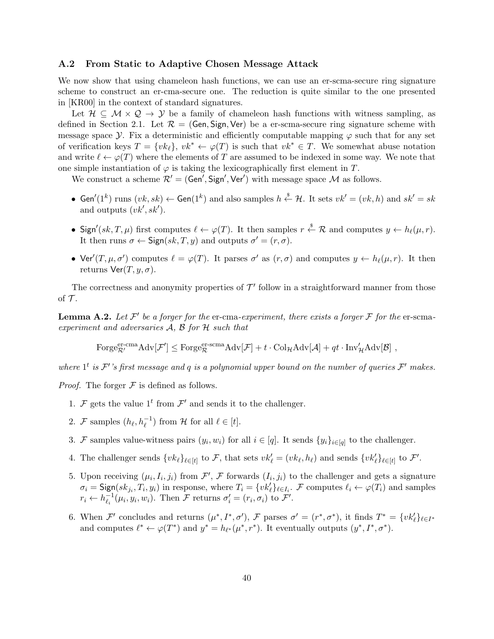## **A.2 From Static to Adaptive Chosen Message Attack**

We now show that using chameleon hash functions, we can use an er-scma-secure ring signature scheme to construct an er-cma-secure one. The reduction is quite similar to the one presented in [KR00] in the context of standard signatures.

Let  $\mathcal{H} \subseteq \mathcal{M} \times \mathcal{Q} \rightarrow \mathcal{Y}$  be a family of chameleon hash functions with witness sampling, as defined in Section 2.1. Let  $\mathcal{R} = (Gen, Sign, Ver)$  be a er-scma-secure ring signature scheme with message space *Y*. Fix a deterministic and efficiently computable mapping  $\varphi$  such that for any set of verification keys  $T = \{vk_{\ell}\}, v k^* \leftarrow \varphi(T)$  is such that  $vk^* \in T$ . We somewhat abuse notation and write  $\ell \leftarrow \varphi(T)$  where the elements of T are assumed to be indexed in some way. We note that one simple instantiation of  $\varphi$  is taking the lexicographically first element in *T*.

We construct a scheme  $\mathcal{R}' = (Gen', Sign', Ver')$  with message space  $\mathcal M$  as follows.

- Gen'(1<sup>k</sup>) runs  $(vk, sk)$  ← Gen(1<sup>k</sup>) and also samples  $h \stackrel{\$}{\leftarrow} H$ . It sets  $vk' = (vk, h)$  and  $sk' = sk$ and outputs (*vk′ , sk′* ).
- Sign'(sk, T,  $\mu$ ) first computes  $\ell \leftarrow \varphi(T)$ . It then samples  $r \stackrel{\$}{\leftarrow} \mathcal{R}$  and computes  $y \leftarrow h_{\ell}(\mu, r)$ . It then runs  $\sigma \leftarrow$  Sign( $sk, T, y$ ) and outputs  $\sigma' = (r, \sigma)$ .
- Ver<sup> $\prime$ </sup>(*T,*  $\mu$ *,*  $\sigma'$ ) computes  $\ell = \varphi(T)$ . It parses  $\sigma'$  as  $(r, \sigma)$  and computes  $y \leftarrow h_{\ell}(\mu, r)$ . It then returns  $\text{Ver}(T, y, \sigma)$ .

The correctness and anonymity properties of  $\mathcal{T}'$  follow in a straightforward manner from those of  $\mathcal T$ .

**Lemma A.2.** Let  $\mathcal{F}'$  be a forger for the er-cma-experiment, there exists a forger  $\mathcal{F}$  for the er-scma*experiment and adversaries A, B for H such that*

$$
\text{Forge}_{\mathcal{R}'}^{\text{er-cma}} \text{Adv}[\mathcal{F}'] \leq \text{Forge}_{\mathcal{R}}^{\text{er-sema}} \text{Adv}[\mathcal{F}] + t \cdot \text{Col}_{\mathcal{H}} \text{Adv}[\mathcal{A}] + qt \cdot \text{Inv}_{\mathcal{H}}' \text{Adv}[\mathcal{B}] ,
$$

*where*  $1^t$  *is*  $\mathcal{F}'$  *'s* first message and  $q$  *is a polynomial upper bound on the number of queries*  $\mathcal{F}'$  makes.

*Proof.* The forger  $\mathcal F$  is defined as follows.

- 1. *F* gets the value  $1<sup>t</sup>$  from  $\mathcal{F}'$  and sends it to the challenger.
- 2. *F* samples  $(h_{\ell}, h_{\ell}^{-1})$  from *H* for all  $\ell \in [t]$ .
- 3. *F* samples value-witness pairs  $(y_i, w_i)$  for all  $i \in [q]$ . It sends  $\{y_i\}_{i \in [q]}$  to the challenger.
- 4. The challenger sends  $\{vk_{\ell}\}_{\ell \in [t]}$  to F, that sets  $vk'_{\ell} = (vk_{\ell}, h_{\ell})$  and sends  $\{vk'_{\ell}\}_{\ell \in [t]}$  to F'.
- 5. Upon receiving  $(\mu_i, I_i, j_i)$  from  $\mathcal{F}', \mathcal{F}$  forwards  $(I_i, j_i)$  to the challenger and gets a signature  $\sigma_i = \text{Sign}(sk_{j_i}, T_i, y_i)$  in response, where  $T_i = \{vk'_\ell\}_{\ell \in I_i}$ . F computes  $\ell_i \leftarrow \varphi(T_i)$  and samples  $r_i \leftarrow h_{\ell_i}^{-1}$  $\mathcal{F}_i^{-1}(\mu_i, y_i, w_i)$ . Then  $\mathcal{F}$  returns  $\sigma'_i = (r_i, \sigma_i)$  to  $\mathcal{F}'$ .
- 6. When F' concludes and returns  $(\mu^*, I^*, \sigma')$ , F parses  $\sigma' = (r^*, \sigma^*)$ , it finds  $T^* = \{vk'_\ell\}_{\ell \in I^*}$ and computes  $\ell^* \leftarrow \varphi(T^*)$  and  $y^* = h_{\ell^*}(\mu^*, r^*)$ . It eventually outputs  $(y^*, I^*, \sigma^*)$ .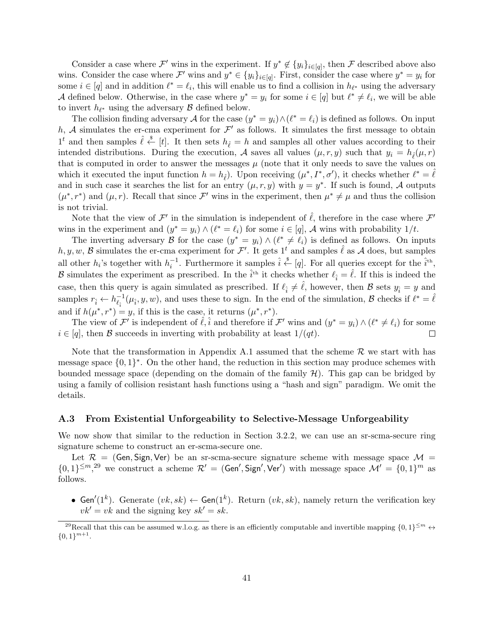Consider a case where  $\mathcal{F}'$  wins in the experiment. If  $y^* \notin \{y_i\}_{i \in [q]}$ , then  $\mathcal{F}$  described above also wins. Consider the case where  $\mathcal{F}'$  wins and  $y^* \in \{y_i\}_{i \in [q]}$ . First, consider the case where  $y^* = y_i$  for some  $i \in [q]$  and in addition  $\ell^* = \ell_i$ , this will enable us to find a collision in  $h_{\ell^*}$  using the adversary *A* defined below. Otherwise, in the case where  $y^* = y_i$  for some  $i \in [q]$  but  $\ell^* \neq \ell_i$ , we will be able to invert  $h_{\ell^*}$  using the adversary  $\beta$  defined below.

The collision finding adversary *A* for the case  $(y^* = y_i) \wedge (\ell^* = \ell_i)$  is defined as follows. On input h,  $A$  simulates the er-cma experiment for  $\mathcal{F}'$  as follows. It simulates the first message to obtain  $1<sup>t</sup>$  and then samples  $\hat{\ell} \stackrel{\$}{\leftarrow} [t]$ . It then sets  $h_{\hat{\ell}} = h$  and samples all other values according to their intended distributions. During the execution, *A* saves all values  $(\mu, r, y)$  such that  $y_i = h_{\hat{\ell}}(\mu, r)$ that is computed in order to answer the messages  $\mu$  (note that it only needs to save the values on which it executed the input function  $h = h_{\hat{\ell}}$ . Upon receiving  $(\mu^*, I^*, \sigma')$ , it checks whether  $\ell^* = \hat{\ell}$ and in such case it searches the list for an entry  $(\mu, r, y)$  with  $y = y^*$ . If such is found, *A* outputs  $(\mu^*, r^*)$  and  $(\mu, r)$ . Recall that since *F'* wins in the experiment, then  $\mu^* \neq \mu$  and thus the collision is not trivial.

Note that the view of  $\mathcal{F}'$  in the simulation is independent of  $\hat{\ell}$ , therefore in the case where  $\mathcal{F}'$ wins in the experiment and  $(y^* = y_i) \wedge (\ell^* = \ell_i)$  for some  $i \in [q]$ , *A* wins with probability  $1/t$ .

The inverting adversary *B* for the case  $(y^* = y_i) \wedge (\ell^* \neq \ell_i)$  is defined as follows. On inputs *h, y, w, B* simulates the er-cma experiment for  $\mathcal{F}'$ . It gets 1<sup>t</sup> and samples  $\hat{\ell}$  as A does, but samples all other *h<sub>i</sub>*'s together with  $h_i^{-1}$ . Furthermore it samples  $\hat{i} \stackrel{\$}{\leftarrow} [q]$ . For all queries except for the  $\hat{i}$ <sup>th</sup>, *B* simulates the experiment as prescribed. In the  $\hat{i}$ <sup>th</sup> it checks whether  $\ell_{\hat{i}} = \hat{\ell}$ . If this is indeed the case, then this query is again simulated as prescribed. If  $\ell_i \neq \hat{\ell}$ , however, then *B* sets  $y_i = y$  and samples  $r_{\hat{i}} \leftarrow h_{\ell_{\hat{i}}}^{-1}$  $\ell_i^{-1}(\mu_i, y, w)$ , and uses these to sign. In the end of the simulation, *B* checks if  $\ell^* = \hat{\ell}$ and if  $h(\mu^*, r^*) = y$ , if this is the case, it returns  $(\mu^*, r^*)$ .

The view of  $\mathcal{F}'$  is independent of  $\hat{\ell}, \hat{i}$  and therefore if  $\mathcal{F}'$  wins and  $(y^* = y_i) \wedge (\ell^* \neq \ell_i)$  for some  $i \in [q]$ , then *B* succeeds in inverting with probability at least  $1/(qt)$ .  $\Box$ 

Note that the transformation in Appendix A.1 assumed that the scheme  $R$  we start with has message space  $\{0,1\}^*$ . On the other hand, the reduction in this section may produce schemes with bounded message space (depending on the domain of the family  $H$ ). This gap can be bridged by using a family of collision resistant hash functions using a "hash and sign" paradigm. We omit the details.

#### **A.3 From Existential Unforgeability to Selective-Message Unforgeability**

We now show that similar to the reduction in Section 3.2.2, we can use an sr-scma-secure ring signature scheme to construct an er-scma-secure one.

Let  $\mathcal{R}$  = (Gen, Sign, Ver) be an sr-scma-secure signature scheme with message space  $\mathcal{M}$  =  $\{0,1\}^{\leq m},$  we construct a scheme  $\mathcal{R}' =$  (Gen', Sign', Ver') with message space  $\mathcal{M}' = \{0,1\}^m$  as follows.

• Gen<sup> $\ell(1^k)$ . Generate  $(vk, sk) \leftarrow$  Gen $(1^k)$ . Return  $(vk, sk)$ , namely return the verification key</sup>  $vk' = vk$  and the signing key  $sk' = sk$ .

<sup>&</sup>lt;sup>29</sup>Recall that this can be assumed w.l.o.g. as there is an efficiently computable and invertible mapping  $\{0,1\}^{\leq m} \leftrightarrow$  ${0,1}^{m+1}.$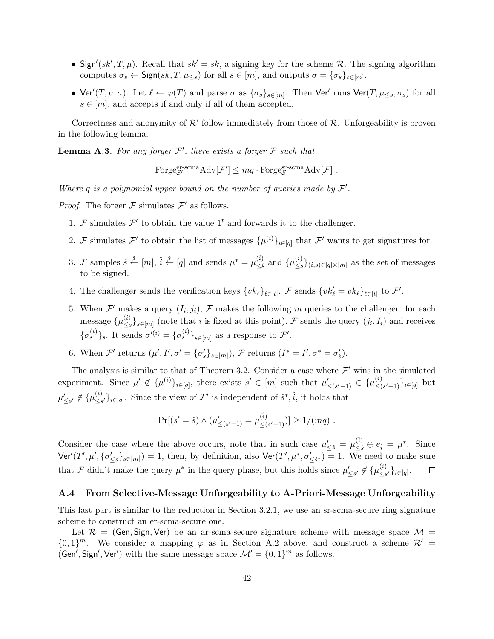- Sign'( $sk$ <sup>*'*</sup>, *T*,  $\mu$ ). Recall that  $sk' = sk$ , a signing key for the scheme *R*. The signing algorithm computes  $\sigma_s \leftarrow$  Sign( $sk, T, \mu_{\leq s}$ ) for all  $s \in [m]$ , and outputs  $\sigma = {\sigma_s}_{s \in [m]}$ .
- Ver' $(T, \mu, \sigma)$ . Let  $\ell \leftarrow \varphi(T)$  and parse  $\sigma$  as  $\{\sigma_s\}_{s \in [m]}$ . Then Ver' runs Ver $(T, \mu_{\leq s}, \sigma_s)$  for all  $s \in [m]$ , and accepts if and only if all of them accepted.

Correctness and anonymity of  $\mathcal{R}'$  follow immediately from those of  $\mathcal{R}$ . Unforgeability is proven in the following lemma.

**Lemma A.3.** For any forger  $\mathcal{F}'$ , there exists a forger  $\mathcal{F}$  such that

 $\text{Forge}_{\mathcal{S}'}^{\text{er-scma}} \text{Adv}[\mathcal{F}'] \leq mq \cdot \text{Forge}_{\mathcal{S}}^{\text{gr-scma}} \text{Adv}[\mathcal{F}]$ .

*Where*  $q$  *is a polynomial upper bound on the number of queries made by*  $\mathcal{F}'$ *.* 

*Proof.* The forger  $\mathcal F$  simulates  $\mathcal F'$  as follows.

- 1. *F* simulates  $\mathcal{F}'$  to obtain the value 1<sup>t</sup> and forwards it to the challenger.
- 2. *F* simulates *F*<sup> $\prime$ </sup> to obtain the list of messages  $\{\mu^{(i)}\}_{i \in [q]}$  that *F*<sup> $\prime$ </sup> wants to get signatures for.
- 3. *F* samples  $\hat{s} \stackrel{\$}{\leftarrow} [m], \hat{i} \stackrel{\$}{\leftarrow} [q]$  and sends  $\mu^* = \mu_{\leq \hat{s}}^{(\hat{i})}$  $\overset{(i)}{\leq}$ <sup>*s*</sup> and {*µ*<sup>(*i*</sup>)<sub>≤</sub>*s ≤s }*(*i,s*)*∈*[*q*]*×*[*m*] as the set of messages to be signed.
- 4. The challenger sends the verification keys  $\{vk_{\ell}\}_{\ell \in [t]}$ . F sends  $\{vk'_{\ell} = vk_{\ell}\}_{\ell \in [t]}$  to F'.
- 5. When  $\mathcal{F}'$  makes a query  $(I_i, j_i)$ ,  $\mathcal{F}$  makes the following *m* queries to the challenger: for each message  $\{\mu^{(i)}_{\leq s}$  $\{S_{s}\}_{s\in[m]}$  (note that *i* is fixed at this point), *F* sends the query  $(j_i, I_i)$  and receives  ${\{\sigma_s^{(i)}\}}_s$ . It sends  $\sigma'^{(i)} = {\{\sigma_s^{(i)}\}}_{s \in [m]}$  as a response to *F*'.
- 6. When  $\mathcal{F}'$  returns  $(\mu', I', \sigma' = {\{\sigma'_{s}\}}_{s \in [m]})$ ,  $\mathcal{F}$  returns  $(I^* = I', \sigma^* = \sigma'_{s})$ .

The analysis is similar to that of Theorem 3.2. Consider a case where  $\mathcal{F}'$  wins in the simulated experiment. Since  $\mu' \notin {\{\mu^{(i)}\}}_{i \in [q]},$  there exists  $s' \in [m]$  such that  $\mu'_{\leq (s'-1)} \in {\{\mu^{(i)}_{\leq (s'-1)}\}}$ *≤*(*s ′−*1)*}i∈*[*q*] but  $\mu'_{\leq s'} \not\in \{\mu^{(i)}_{\leq s}$  $\{S_{\leq s'}\}_{i \in [q]}$ . Since the view of *F*<sup>'</sup> is independent of  $\hat{s}^*, \hat{i}$ , it holds that

$$
\Pr[(s' = \hat{s}) \land (\mu'_{\leq (s'-1)} = \mu^{(\hat{i})}_{\leq (s'-1)})] \geq 1/(mq) .
$$

Consider the case where the above occurs, note that in such case  $\mu'_{\leq \hat{s}} = \mu^{(\hat{i})}_{\leq \hat{s}} \oplus e_{\hat{i}} = \mu^*$ . Since  $\mathsf{Ver}'(T',\mu', \{\sigma'_{\leq s}\}_{s\in[m]}) = 1$ , then, by definition, also  $\mathsf{Ver}(T',\mu^*, \sigma'_{\leq \hat{s}^*}) = 1$ . We need to make sure that *F* didn't make the query  $\mu^*$  in the query phase, but this holds since  $\mu'_{\leq s'} \notin {\{\mu_{\leq s}^{(i)}\}}$ *≤s ′}i∈*[*q*] .  $\Box$ 

#### **A.4 From Selective-Message Unforgeability to A-Priori-Message Unforgeability**

This last part is similar to the reduction in Section 3.2.1, we use an sr-scma-secure ring signature scheme to construct an er-scma-secure one.

Let  $\mathcal{R}$  = (Gen, Sign, Ver) be an ar-scma-secure signature scheme with message space  $\mathcal{M}$  =  $\{0,1\}$ <sup>*m*</sup>. We consider a mapping  $\varphi$  as in Section A.2 above, and construct a scheme  $\mathcal{R}'$  = (Gen', Sign', Ver') with the same message space  $\mathcal{M}' = \{0, 1\}^m$  as follows.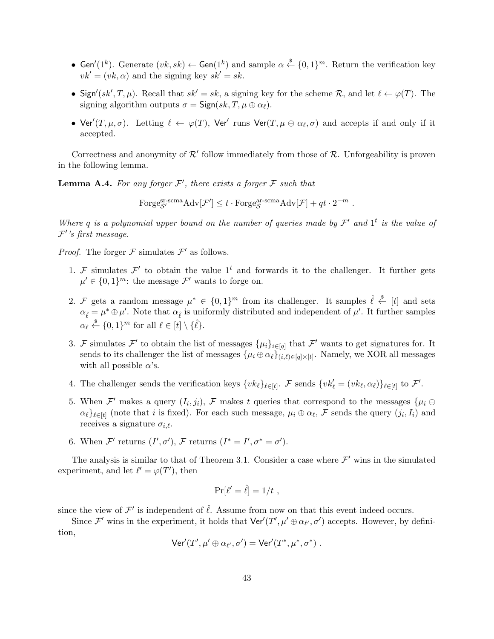- Gen<sup>'</sup>(1<sup>k</sup>). Generate  $(vk, sk) \leftarrow$  Gen(1<sup>k</sup>) and sample  $\alpha \stackrel{\$}{\leftarrow} \{0, 1\}^m$ . Return the verification key  $vk' = (vk, \alpha)$  and the signing key  $sk' = sk$ .
- Sign<sup>'</sup>( $sk'$ , *T*,  $\mu$ ). Recall that  $sk' = sk$ , a signing key for the scheme  $\mathcal{R}$ , and let  $\ell \leftarrow \varphi(T)$ . The signing algorithm outputs  $\sigma = \text{Sign}(sk, T, \mu \oplus \alpha_{\ell}).$
- Ver<sup> $\prime$ </sup>(*T*,  $\mu$ , $\sigma$ ). Letting  $\ell \leftarrow \varphi(T)$ , Ver<sup> $\prime$ </sup> runs Ver(*T*,  $\mu \oplus \alpha_{\ell}, \sigma$ ) and accepts if and only if it accepted.

Correctness and anonymity of  $\mathcal{R}'$  follow immediately from those of  $\mathcal{R}$ . Unforgeability is proven in the following lemma.

**Lemma A.4.** For any forger  $\mathcal{F}'$ , there exists a forger  $\mathcal{F}$  such that

Forge<sup>gr-scma</sup> $\text{Adv}[\mathcal{F}'] \leq t \cdot \text{Forge}^{\text{ar-scma}}_{\mathcal{S}} \text{Adv}[\mathcal{F}] + qt \cdot 2^{-m}$ .

*Where*  $q$  *is a polynomial upper bound on the number of queries made by*  $\mathcal{F}'$  *and*  $1^t$  *is the value of F ′ 's first message.*

*Proof.* The forger  $\mathcal F$  simulates  $\mathcal F'$  as follows.

- 1. *F* simulates  $\mathcal{F}'$  to obtain the value 1<sup>t</sup> and forwards it to the challenger. It further gets  $\mu' \in \{0, 1\}^m$ : the message  $\mathcal{F}'$  wants to forge on.
- 2. *F* gets a random message  $\mu^* \in \{0,1\}^m$  from its challenger. It samples  $\hat{\ell} \stackrel{\$}{\leftarrow} [t]$  and sets  $\alpha_{\hat{\ell}} = \mu^* \oplus \mu'$ . Note that  $\alpha_{\hat{\ell}}$  is uniformly distributed and independent of  $\mu'$ . It further samples  $\alpha_{\ell} \stackrel{\$}{\leftarrow} \{0,1\}^m$  for all  $\ell \in [t] \setminus {\{\hat{\ell}\}}.$
- 3. *F* simulates *F*<sup> $\prime$ </sup> to obtain the list of messages  $\{\mu_i\}_{i \in [q]}$  that *F*<sup> $\prime$ </sup> wants to get signatures for. It sends to its challenger the list of messages  $\{\mu_i \oplus \alpha_\ell\}_{(i,\ell) \in [q] \times [t]}$ . Namely, we XOR all messages with all possible  $\alpha$ 's.
- 4. The challenger sends the verification keys  $\{vk_{\ell}\}_{\ell \in [t]}$ . F sends  $\{vk'_{\ell} = (vk_{\ell}, \alpha_{\ell})\}_{\ell \in [t]}$  to F'.
- 5. When  $\mathcal{F}'$  makes a query  $(I_i, j_i)$ ,  $\mathcal{F}$  makes  $t$  queries that correspond to the messages  $\{\mu_i \oplus \mu_j\}$  $\alpha_{\ell}$ ,  $\ell_{\infty}$  (note that *i* is fixed). For each such message,  $\mu_i \oplus \alpha_{\ell}$ ,  $\mathcal{F}$  sends the query  $(j_i, I_i)$  and receives a signature  $\sigma_{i,\ell}$ .
- 6. When  $\mathcal{F}'$  returns  $(I', \sigma')$ ,  $\mathcal{F}$  returns  $(I^* = I', \sigma^* = \sigma')$ .

The analysis is similar to that of Theorem 3.1. Consider a case where  $\mathcal{F}'$  wins in the simulated experiment, and let  $\ell' = \varphi(T')$ , then

$$
\Pr[\ell' = \hat{\ell}] = 1/t ,
$$

since the view of  $\mathcal{F}'$  is independent of  $\hat{\ell}$ . Assume from now on that this event indeed occurs.

Since  $\mathcal{F}'$  wins in the experiment, it holds that  $\text{Ver}'(T', \mu' \oplus \alpha_{\ell'}, \sigma')$  accepts. However, by definition,

$$
\mathsf{Ver}'(T',\mu'\oplus\alpha_{\ell'},\sigma')=\mathsf{Ver}'(T^*,\mu^*,\sigma^*)\ .
$$